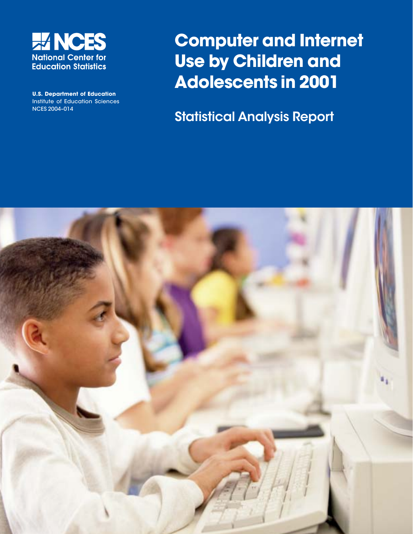

**U.S. Department of Education** Institute of Education Sciences NCES 2004–014

# **Computer and Internet Use by Children and Adolescents in 2001**

Statistical Analysis Report

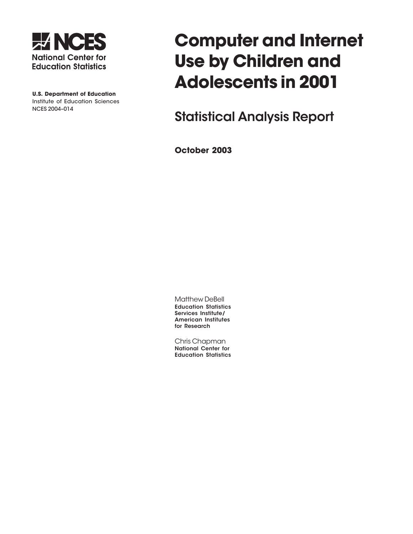

**U.S. Department of Education** Institute of Education Sciences NCES 2004–014

# **Computer and Internet Use by Children and Adolescents in 2001**

Statistical Analysis Report

**October 2003**

Matthew DeBell Education Statistics Services Institute/ American Institutes for Research

Chris Chapman National Center for Education Statistics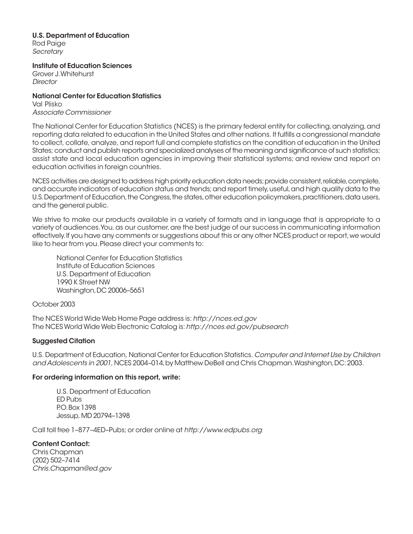# U.S. Department of Education

Rod Paige **Secretary** 

Institute of Education Sciences Grover J. Whitehurst **Director** 

## National Center for Education Statistics

Val Plisko Associate Commissioner

The National Center for Education Statistics (NCES) is the primary federal entity for collecting, analyzing, and reporting data related to education in the United States and other nations. It fulfills a congressional mandate to collect, collate, analyze, and report full and complete statistics on the condition of education in the United States; conduct and publish reports and specialized analyses of the meaning and significance of such statistics; assist state and local education agencies in improving their statistical systems; and review and report on education activities in foreign countries.

NCES activities are designed to address high priority education data needs; provide consistent, reliable, complete, and accurate indicators of education status and trends; and report timely, useful, and high quality data to the U.S. Department of Education, the Congress, the states, other education policymakers, practitioners, data users, and the general public.

We strive to make our products available in a variety of formats and in language that is appropriate to a variety of audiences. You, as our customer, are the best judge of our success in communicating information effectively. If you have any comments or suggestions about this or any other NCES product or report, we would like to hear from you. Please direct your comments to:

National Center for Education Statistics Institute of Education Sciences U.S. Department of Education 1990 K Street NW Washington, DC 20006–5651

#### October 2003

The NCES World Wide Web Home Page address is: http://nces.ed.gov The NCES World Wide Web Electronic Catalog is: http://nces.ed.gov/pubsearch

## Suggested Citation

U.S. Department of Education, National Center for Education Statistics. Computer and Internet Use by Children and Adolescents in 2001, NCES 2004–014, by Matthew DeBell and Chris Chapman. Washington, DC: 2003.

## For ordering information on this report, write:

U.S. Department of Education ED Pubs P.O. Box 1398 Jessup, MD 20794–1398

Call toll free 1–877–4ED–Pubs; or order online at http://www.edpubs.org

## Content Contact:

Chris Chapman (202) 502–7414 Chris.Chapman@ed.gov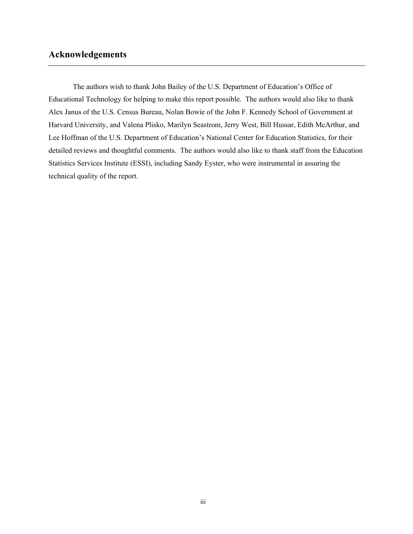# <span id="page-3-0"></span>**Acknowledgements**

The authors wish to thank John Bailey of the U.S. Department of Education's Office of Educational Technology for helping to make this report possible. The authors would also like to thank Alex Janus of the U.S. Census Bureau, Nolan Bowie of the John F. Kennedy School of Government at Harvard University, and Valena Plisko, Marilyn Seastrom, Jerry West, Bill Hussar, Edith McArthur, and Lee Hoffman of the U.S. Department of Education's National Center for Education Statistics, for their detailed reviews and thoughtful comments. The authors would also like to thank staff from the Education Statistics Services Institute (ESSI), including Sandy Eyster, who were instrumental in assuring the technical quality of the report.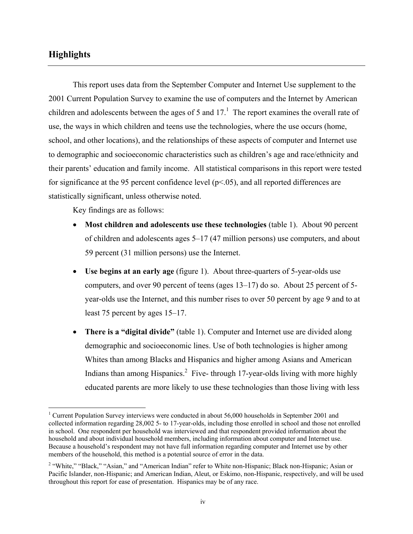# <span id="page-4-2"></span>**Highlights**

 $\overline{a}$ 

This report uses data from the September Computer and Internet Use supplement to the 2001 Current Population Survey to examine the use of computers and the Internet by American children and adolescents between the ages of 5 and  $17<sup>1</sup>$  $17<sup>1</sup>$ . The report examines the overall rate of use, the ways in which children and teens use the technologies, where the use occurs (home, school, and other locations), and the relationships of these aspects of computer and Internet use to demographic and socioeconomic characteristics such as children's age and race/ethnicity and their parents' education and family income. All statistical comparisons in this report were tested for significance at the 95 percent confidence level  $(p<.05)$ , and all reported differences are statistically significant, unless otherwise noted.

Key findings are as follows:

- **Most children and adolescents use these technologies** (table 1). About 90 percent of children and adolescents ages 5–17 (47 million persons) use computers, and about 59 percent (31 million persons) use the Internet.
- **Use begins at an early age** (figure 1). About three-quarters of 5-year-olds use computers, and over 90 percent of teens (ages 13–17) do so. About 25 percent of 5 year-olds use the Internet, and this number rises to over 50 percent by age 9 and to at least 75 percent by ages 15–17.
- **There is a "digital divide"** (table 1). Computer and Internet use are divided along demographic and socioeconomic lines. Use of both technologies is higher among Whites than among Blacks and Hispanics and higher among Asians and American Indians than among Hispanics.<sup>2</sup> Five- through 17-year-olds living with more highly educated parents are more likely to use these technologies than those living with less

<span id="page-4-0"></span><sup>&</sup>lt;sup>1</sup> Current Population Survey interviews were conducted in about 56,000 households in September 2001 and collected information regarding 28,002 5- to 17-year-olds, including those enrolled in school and those not enrolled in school. One respondent per household was interviewed and that respondent provided information about the household and about individual household members, including information about computer and Internet use. Because a household's respondent may not have full information regarding computer and Internet use by other members of the household, this method is a potential source of error in the data.

<span id="page-4-1"></span><sup>&</sup>lt;sup>2</sup> "White," "Black," "Asian," and "American Indian" refer to White non-Hispanic; Black non-Hispanic; Asian or Pacific Islander, non-Hispanic; and American Indian, Aleut, or Eskimo, non-Hispanic, respectively, and will be used throughout this report for ease of presentation. Hispanics may be of any race.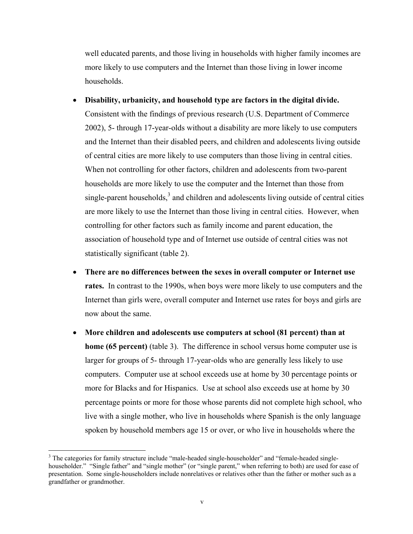well educated parents, and those living in households with higher family incomes are more likely to use computers and the Internet than those living in lower income households.

- **Disability, urbanicity, and household type are factors in the digital divide.**  Consistent with the findings of previous research (U.S. Department of Commerce 2002), 5- through 17-year-olds without a disability are more likely to use computers and the Internet than their disabled peers, and children and adolescents living outside of central cities are more likely to use computers than those living in central cities. When not controlling for other factors, children and adolescents from two-parent households are more likely to use the computer and the Internet than those from single-parent households, $3$  and children and adolescents living outside of central cities are more likely to use the Internet than those living in central cities. However, when controlling for other factors such as family income and parent education, the association of household type and of Internet use outside of central cities was not statistically significant (table 2).
- **There are no differences between the sexes in overall computer or Internet use rates.** In contrast to the 1990s, when boys were more likely to use computers and the Internet than girls were, overall computer and Internet use rates for boys and girls are now about the same.
- **More children and adolescents use computers at school (81 percent) than at home (65 percent)** (table 3). The difference in school versus home computer use is larger for groups of 5- through 17-year-olds who are generally less likely to use computers. Computer use at school exceeds use at home by 30 percentage points or more for Blacks and for Hispanics. Use at school also exceeds use at home by 30 percentage points or more for those whose parents did not complete high school, who live with a single mother, who live in households where Spanish is the only language spoken by household members age 15 or over, or who live in households where the

 $\overline{a}$ 

<span id="page-5-0"></span><sup>&</sup>lt;sup>3</sup> The categories for family structure include "male-headed single-householder" and "female-headed singlehouseholder." "Single father" and "single mother" (or "single parent," when referring to both) are used for ease of presentation. Some single-householders include nonrelatives or relatives other than the father or mother such as a grandfather or grandmother.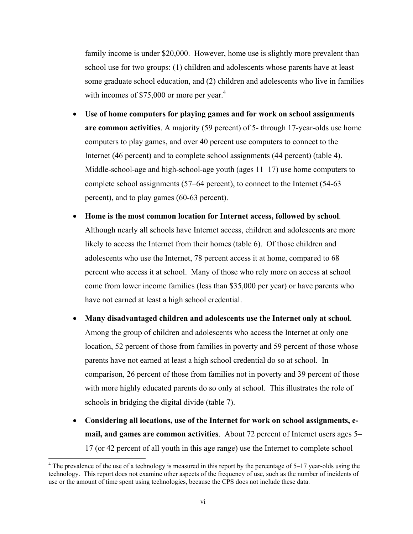family income is under \$20,000. However, home use is slightly more prevalent than school use for two groups: (1) children and adolescents whose parents have at least some graduate school education, and (2) children and adolescents who live in families with incomes of  $$75,000$  or more per year.<sup>[4](#page-6-0)</sup>

- **Use of home computers for playing games and for work on school assignments are common activities**. A majority (59 percent) of 5- through 17-year-olds use home computers to play games, and over 40 percent use computers to connect to the Internet (46 percent) and to complete school assignments (44 percent) (table 4). Middle-school-age and high-school-age youth (ages 11–17) use home computers to complete school assignments (57–64 percent), to connect to the Internet (54-63 percent), and to play games (60-63 percent).
- **Home is the most common location for Internet access, followed by school**. Although nearly all schools have Internet access, children and adolescents are more likely to access the Internet from their homes (table 6). Of those children and adolescents who use the Internet, 78 percent access it at home, compared to 68 percent who access it at school. Many of those who rely more on access at school come from lower income families (less than \$35,000 per year) or have parents who have not earned at least a high school credential.
- **Many disadvantaged children and adolescents use the Internet only at school**. Among the group of children and adolescents who access the Internet at only one location, 52 percent of those from families in poverty and 59 percent of those whose parents have not earned at least a high school credential do so at school. In comparison, 26 percent of those from families not in poverty and 39 percent of those with more highly educated parents do so only at school. This illustrates the role of schools in bridging the digital divide (table 7).
- **Considering all locations, use of the Internet for work on school assignments, email, and games are common activities**. About 72 percent of Internet users ages 5– 17 (or 42 percent of all youth in this age range) use the Internet to complete school

 $\overline{a}$ 

<span id="page-6-0"></span> $4$  The prevalence of the use of a technology is measured in this report by the percentage of 5–17 year-olds using the technology. This report does not examine other aspects of the frequency of use, such as the number of incidents of use or the amount of time spent using technologies, because the CPS does not include these data.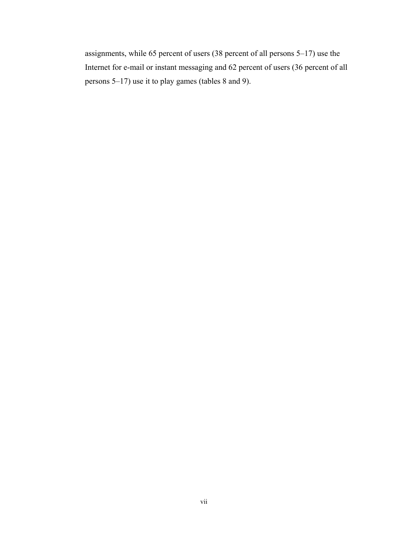assignments, while 65 percent of users (38 percent of all persons 5–17) use the Internet for e-mail or instant messaging and 62 percent of users (36 percent of all persons 5–17) use it to play games (tables 8 and 9).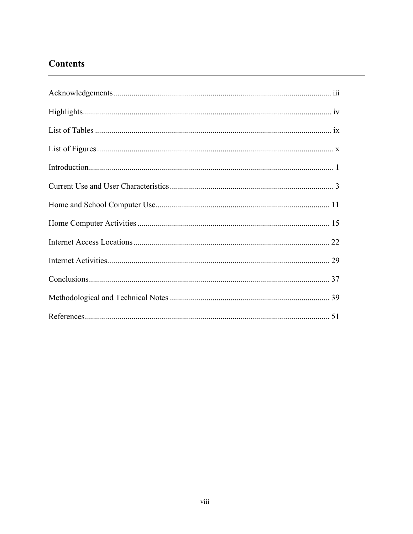# **Contents**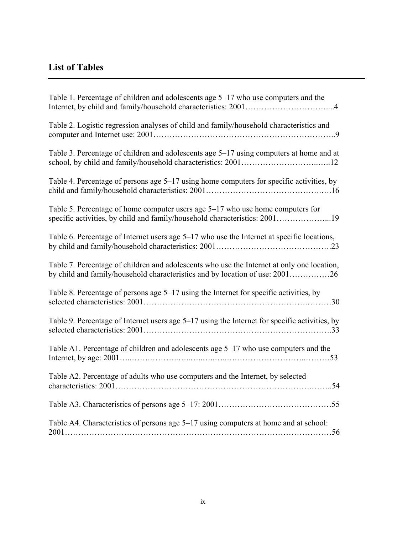# <span id="page-9-0"></span>**List of Tables**

| Table 1. Percentage of children and adolescents age 5–17 who use computers and the                                                                                         |
|----------------------------------------------------------------------------------------------------------------------------------------------------------------------------|
| Table 2. Logistic regression analyses of child and family/household characteristics and                                                                                    |
| Table 3. Percentage of children and adolescents age 5–17 using computers at home and at<br>school, by child and family/household characteristics: 200112                   |
| Table 4. Percentage of persons age 5–17 using home computers for specific activities, by                                                                                   |
| Table 5. Percentage of home computer users age 5–17 who use home computers for<br>specific activities, by child and family/household characteristics: 200119               |
| Table 6. Percentage of Internet users age 5–17 who use the Internet at specific locations,                                                                                 |
| Table 7. Percentage of children and adolescents who use the Internet at only one location,<br>by child and family/household characteristics and by location of use: 200126 |
| Table 8. Percentage of persons age 5–17 using the Internet for specific activities, by                                                                                     |
| Table 9. Percentage of Internet users age 5–17 using the Internet for specific activities, by                                                                              |
| Table A1. Percentage of children and adolescents age 5-17 who use computers and the                                                                                        |
| Table A2. Percentage of adults who use computers and the Internet, by selected                                                                                             |
|                                                                                                                                                                            |
| Table A4. Characteristics of persons age 5–17 using computers at home and at school:                                                                                       |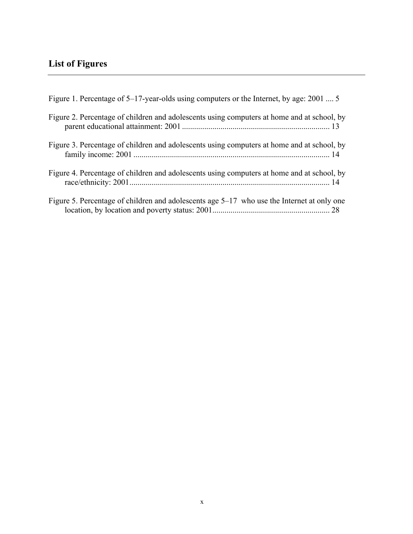# <span id="page-10-0"></span>**List of Figures**

| Figure 1. Percentage of 5–17-year-olds using computers or the Internet, by age: 2001  5    |
|--------------------------------------------------------------------------------------------|
| Figure 2. Percentage of children and adolescents using computers at home and at school, by |
| Figure 3. Percentage of children and adolescents using computers at home and at school, by |
| Figure 4. Percentage of children and adolescents using computers at home and at school, by |
| Figure 5. Percentage of children and adolescents age 5–17 who use the Internet at only one |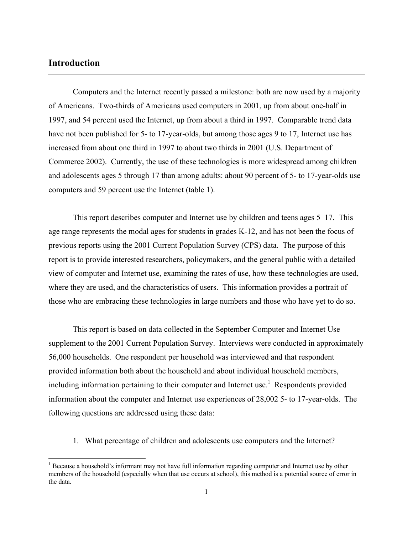# <span id="page-11-0"></span>**Introduction**

 $\overline{a}$ 

Computers and the Internet recently passed a milestone: both are now used by a majority of Americans. Two-thirds of Americans used computers in 2001, up from about one-half in 1997, and 54 percent used the Internet, up from about a third in 1997. Comparable trend data have not been published for 5- to 17-year-olds, but among those ages 9 to 17, Internet use has increased from about one third in 1997 to about two thirds in 2001 (U.S. Department of Commerce 2002). Currently, the use of these technologies is more widespread among children and adolescents ages 5 through 17 than among adults: about 90 percent of 5- to 17-year-olds use computers and 59 percent use the Internet (table 1).

This report describes computer and Internet use by children and teens ages 5–17. This age range represents the modal ages for students in grades K-12, and has not been the focus of previous reports using the 2001 Current Population Survey (CPS) data. The purpose of this report is to provide interested researchers, policymakers, and the general public with a detailed view of computer and Internet use, examining the rates of use, how these technologies are used, where they are used, and the characteristics of users. This information provides a portrait of those who are embracing these technologies in large numbers and those who have yet to do so.

This report is based on data collected in the September Computer and Internet Use supplement to the 2001 Current Population Survey. Interviews were conducted in approximately 56,000 households. One respondent per household was interviewed and that respondent provided information both about the household and about individual household members, including information pertaining to their computer and Internet use.<sup>1</sup> Respondents provided information about the computer and Internet use experiences of 28,002 5- to 17-year-olds. The following questions are addressed using these data:

1. What percentage of children and adolescents use computers and the Internet?

<span id="page-11-1"></span><sup>&</sup>lt;sup>1</sup> Because a household's informant may not have full information regarding computer and Internet use by other members of the household (especially when that use occurs at school), this method is a potential source of error in the data.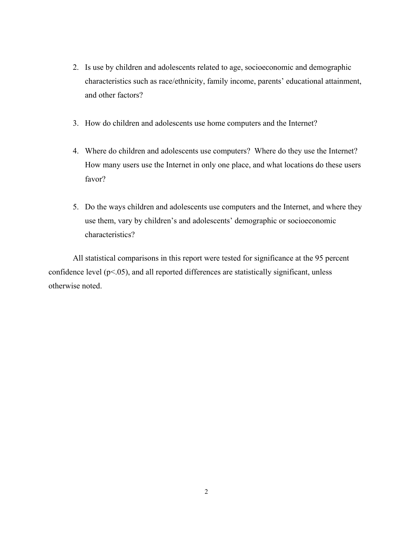- 2. Is use by children and adolescents related to age, socioeconomic and demographic characteristics such as race/ethnicity, family income, parents' educational attainment, and other factors?
- 3. How do children and adolescents use home computers and the Internet?
- 4. Where do children and adolescents use computers? Where do they use the Internet? How many users use the Internet in only one place, and what locations do these users favor?
- 5. Do the ways children and adolescents use computers and the Internet, and where they use them, vary by children's and adolescents' demographic or socioeconomic characteristics?

All statistical comparisons in this report were tested for significance at the 95 percent confidence level  $(p<0.05)$ , and all reported differences are statistically significant, unless otherwise noted.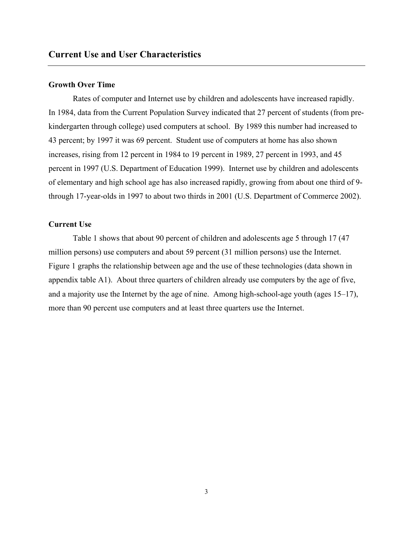#### <span id="page-13-0"></span>**Growth Over Time**

Rates of computer and Internet use by children and adolescents have increased rapidly. In 1984, data from the Current Population Survey indicated that 27 percent of students (from prekindergarten through college) used computers at school. By 1989 this number had increased to 43 percent; by 1997 it was 69 percent. Student use of computers at home has also shown increases, rising from 12 percent in 1984 to 19 percent in 1989, 27 percent in 1993, and 45 percent in 1997 (U.S. Department of Education 1999). Internet use by children and adolescents of elementary and high school age has also increased rapidly, growing from about one third of 9 through 17-year-olds in 1997 to about two thirds in 2001 (U.S. Department of Commerce 2002).

#### **Current Use**

<span id="page-13-1"></span>Table 1 shows that about 90 percent of children and adolescents age 5 through 17 (47 million persons) use computers and about 59 percent (31 million persons) use the Internet. Figure 1 graphs the relationship between age and the use of these technologies (data shown in appendix table A1). About three quarters of children already use computers by the age of five, and a majority use the Internet by the age of nine. Among high-school-age youth (ages 15–17), more than 90 percent use computers and at least three quarters use the Internet.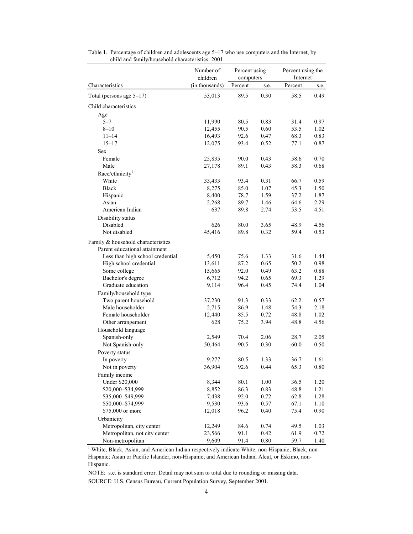|                                                                     | Number of<br>children | Percent using<br>computers |      | Percent using the<br>Internet |      |  |
|---------------------------------------------------------------------|-----------------------|----------------------------|------|-------------------------------|------|--|
| Characteristics                                                     | (in thousands)        | Percent                    | s.e. | Percent                       | s.e. |  |
| Total (persons age 5-17)                                            | 53,013                | 89.5                       | 0.30 | 58.5                          | 0.49 |  |
| Child characteristics                                               |                       |                            |      |                               |      |  |
| Age                                                                 |                       |                            |      |                               |      |  |
| $5 - 7$                                                             | 11,990                | 80.5                       | 0.83 | 31.4                          | 0.97 |  |
| $8 - 10$                                                            | 12,455                | 90.5                       | 0.60 | 53.5                          | 1.02 |  |
| $11 - 14$                                                           | 16,493                | 92.6                       | 0.47 | 68.3                          | 0.83 |  |
| $15 - 17$                                                           | 12,075                | 93.4                       | 0.52 | 77.1                          | 0.87 |  |
| Sex                                                                 |                       |                            |      |                               |      |  |
| Female                                                              | 25,835                | 90.0                       | 0.43 | 58.6                          | 0.70 |  |
| Male                                                                | 27,178                | 89.1                       | 0.43 | 58.3                          | 0.68 |  |
| Race/ethnicity <sup>1</sup>                                         |                       |                            |      |                               |      |  |
| White                                                               | 33,433                | 93.4                       | 0.31 | 66.7                          | 0.59 |  |
| <b>Black</b>                                                        | 8,275                 | 85.0                       | 1.07 | 45.3                          | 1.50 |  |
| Hispanic                                                            | 8,400                 | 78.7                       | 1.59 | 37.2                          | 1.87 |  |
| Asian                                                               | 2,268                 | 89.7                       | 1.46 | 64.6                          | 2.29 |  |
| American Indian                                                     | 637                   | 89.8                       | 2.74 | 53.5                          | 4.51 |  |
| Disability status                                                   |                       |                            |      |                               |      |  |
| Disabled                                                            | 626                   | 80.0                       | 3.65 | 48.9                          | 4.56 |  |
| Not disabled                                                        | 45,416                | 89.8                       | 0.32 | 59.4                          | 0.53 |  |
| Family & household characteristics<br>Parent educational attainment |                       |                            |      |                               |      |  |
| Less than high school credential                                    | 5,450                 | 75.6                       | 1.33 | 31.6                          | 1.44 |  |
| High school credential                                              | 13,611                | 87.2                       | 0.65 | 50.2                          | 0.98 |  |
| Some college                                                        | 15,665                | 92.0                       | 0.49 | 63.2                          | 0.88 |  |
| Bachelor's degree                                                   | 6,712                 | 94.2                       | 0.65 | 69.3                          | 1.29 |  |
| Graduate education                                                  | 9,114                 | 96.4                       | 0.45 | 74.4                          | 1.04 |  |
| Family/household type                                               |                       |                            |      |                               |      |  |
| Two parent household                                                | 37,230                | 91.3                       | 0.33 | 62.2                          | 0.57 |  |
| Male householder                                                    | 2,715                 | 86.9                       | 1.48 | 54.3                          | 2.18 |  |
| Female householder                                                  | 12,440                | 85.5                       | 0.72 | 48.8                          | 1.02 |  |
| Other arrangement                                                   | 628                   | 75.2                       | 3.94 | 48.8                          | 4.56 |  |
| Household language                                                  |                       |                            |      |                               |      |  |
| Spanish-only                                                        | 2,549                 | 70.4                       | 2.06 | 28.7                          | 2.05 |  |
| Not Spanish-only                                                    | 50,464                | 90.5                       | 0.30 | 60.0                          | 0.50 |  |
|                                                                     |                       |                            |      |                               |      |  |
| Poverty status                                                      |                       |                            |      |                               |      |  |
| In poverty                                                          | 9,277                 | 80.5                       | 1.33 | 36.7                          | 1.61 |  |
| Not in poverty                                                      | 36,904                | 92.6                       | 0.44 | 65.3                          | 0.80 |  |
| Family income                                                       |                       |                            |      |                               |      |  |
| <b>Under \$20,000</b>                                               | 8,344                 | 80.1                       | 1.00 | 36.5                          | 1.20 |  |
| \$20,000-\$34,999                                                   | 8,852                 | 86.3                       | 0.83 | 48.8                          | 1.21 |  |
| \$35,000-\$49,999                                                   | 7,438                 | 92.0                       | 0.72 | 62.8                          | 1.28 |  |
| \$50,000-\$74,999                                                   | 9,530                 | 93.6                       | 0.57 | 67.1                          | 1.10 |  |
| \$75,000 or more                                                    | 12,018                | 96.2                       | 0.40 | 75.4                          | 0.90 |  |
| Urbanicity                                                          |                       |                            |      |                               |      |  |
| Metropolitan, city center                                           | 12,249                | 84.6                       | 0.74 | 49.5                          | 1.03 |  |
| Metropolitan, not city center                                       | 23,566                | 91.1                       | 0.42 | 61.9                          | 0.72 |  |
| Non-metropolitan                                                    | 9,609                 | 91.4                       | 0.80 | 59.7                          | 1.40 |  |

| Table 1. Percentage of children and adolescents age 5–17 who use computers and the Internet, by |
|-------------------------------------------------------------------------------------------------|
| child and family/household characteristics: 2001                                                |

<sup>1</sup> White, Black, Asian, and American Indian respectively indicate White, non-Hispanic; Black, non-Hispanic; Asian or Pacific Islander, non-Hispanic; and American Indian, Aleut, or Eskimo, non-Hispanic.

SOURCE: U.S. Census Bureau, Current Population Survey, September 2001. NOTE: s.e. is standard error. Detail may not sum to total due to rounding or missing data.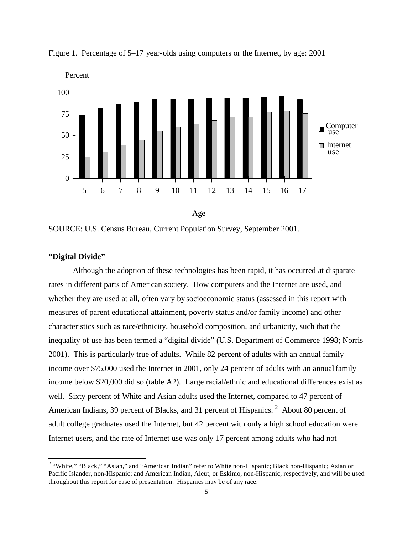

<span id="page-15-0"></span>Figure 1. Percentage of 5–17 year-olds using computers or the Internet, by age: 2001

SOURCE: U.S. Census Bureau, Current Population Survey, September 2001.

#### **"Digital Divide"**

 $\overline{a}$ 

Although the adoption of these technologies has been rapid, it has occurred at disparate rates in different parts of American society. How computers and the Internet are used, and whether they are used at all, often vary by socioeconomic status (assessed in this report with measures of parent educational attainment, poverty status and/or family income) and other characteristics such as race/ethnicity, household composition, and urbanicity, such that the inequality of use has been termed a "digital divide" (U.S. Department of Commerce 1998; Norris 2001). This is particularly true of adults. While 82 percent of adults with an annual family income over \$75,000 used the Internet in 2001, only 24 percent of adults with an annual family income below \$20,000 did so (table A2). Large racial/ethnic and educational differences exist as well. Sixty percent of White and Asian adults used the Internet, compared to 47 percent of American Indians, 39 percent of Blacks, and 31 percent of Hispanics.<sup>[2](#page-15-1)</sup> About 80 percent of adult college graduates used the Internet, but 42 percent with only a high school education were Internet users, and the rate of Internet use was only 17 percent among adults who had not

<span id="page-15-1"></span><sup>&</sup>lt;sup>2</sup> "White," "Black," "Asian," and "American Indian" refer to White non-Hispanic; Black non-Hispanic; Asian or Pacific Islander, non-Hispanic; and American Indian, Aleut, or Eskimo, non-Hispanic, respectively, and will be used throughout this report for ease of presentation. Hispanics may be of any race.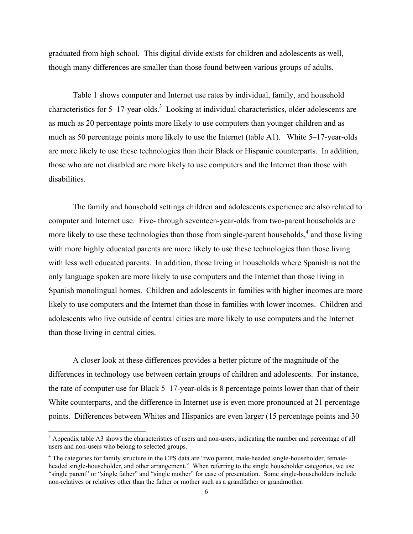graduated from high school. This digital divide exists for children and adolescents as well , though many differences are smaller than those found between various groups of adults.

Table 1 shows computer and Internet use rates by individual, family, and household characteristics for  $5-17$ -year-olds.<sup>[3](#page-16-0)</sup> Looking at individual characteristics, older adolescents are much as 50 percentage points more likely to use the Internet (table A1). White 5–17-year-olds as much as 20 percentage points more likely to use computers than younger children and as are more likely to use these technologies than their Black or Hispanic counterparts. In addition, those who are not disabled are more likely to use computers and the Internet than those with disabilities.

The family and household settings children and adolescents experience are also related to compu ter and Internet use. Five- through seventeen-year-olds from two-parent households are more likely to use these technologies than those from single-parent households,<sup>[4](#page-16-1)</sup> and those living with less well educated parents. In addition, those living in households where Spanish is not the Spanish monolingual homes. Children and adolescents in families with higher incomes are more with more highly educated parents are more likely to use these technologies than those living only language spoken are more likely to use computers and the Internet than those living in likely to use computers and the Internet than those in families with lower incomes. Children and adolescents who live outside of central cities are more likely to use computers and the Internet than those living in central cities.

A closer look at these differences provides a better picture of the magnitude of the differences in technology use between certain groups of children and adolescents. For instance, the rate of computer use for Black 5–17-year-olds is 8 percentage points lower than that of their White counterparts, and the difference in Internet use is even more pronounced at 21 percentage points. Differences between Whites and Hispanics are even larger (15 percentage points and 30

 $\overline{a}$ 

<span id="page-16-0"></span> $3$  Appendix table A3 shows the characteristics of users and non-users, indicating the number and percentage of all users and non-users who belong to selected groups.

<span id="page-16-1"></span><sup>&</sup>lt;sup>4</sup> The categories for family structure in the CPS data are "two parent, male-headed single-householder, femaleheaded single-householder, and other arrangement." When referring to the single householder categories, we use "single parent" or "single father" and "single mother" for ease of presentation. Some single-householders include non-relatives or relatives other than the father or mother such as a grandfather or grandmother.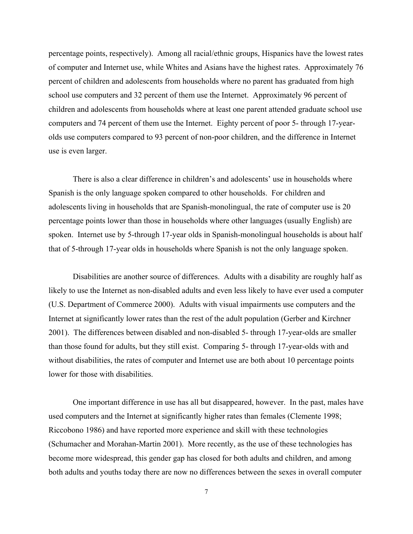percentage points, respectively). Among all racial/ethnic groups, Hispanics have the lowest rates of computer and Internet use, while Whites and Asians have the highest rates. Approximately 76 percent of children and adolescents from households where no parent has graduated from high school use computers and 32 percent of them use the Internet. Approximately 96 percent of children and adolescents from households where at least one parent attended graduate school use computers and 74 percent of them use the Internet. Eighty percent of poor 5- through 17-yearolds use computers compared to 93 percent of non-poor children, and the difference in Internet use is even larger.

There is also a clear difference in children's and adolescents' use in households where Spanis h is the only language spoken compared to other households. For children and adolescents living in households that are Spanish-monolingual, the rate of computer use is 20 spoken. Internet use by 5-through 17-year olds in Spanish-monolingual households is about half percentage points lower than those in households where other languages (usually English) are that of 5-through 17-year olds in households where Spanish is not the only language spoken.

Disabilities are another source of differences. Adults with a disability are roughly half as likely t o use the Internet as non-disabled adults and even less likely to have ever used a computer 2001). The differences between disabled and non-disabled 5- through 17-year-olds are smaller (U.S. Department of Commerce 2000). Adults with visual impairments use computers and the Internet at significantly lower rates than the rest of the adult population (Gerber and Kirchner than those found for adults, but they still exist. Comparing 5- through 17-year-olds with and without disabilities, the rates of computer and Internet use are both about 10 percentage points lower for those with disabilities.

One important difference in use has all but disappeared, however. In the past, males have used co mputers and the Internet at significantly higher rates than females (Clemente 1998; (Schumacher and Morahan-Martin 2001). More recently, as the use of these technologies has both adults and youths today there are now no differences between the sexes in overall computer Riccobono 1986) and have reported more experience and skill with these technologies become more widespread, this gender gap has closed for both adults and children, and among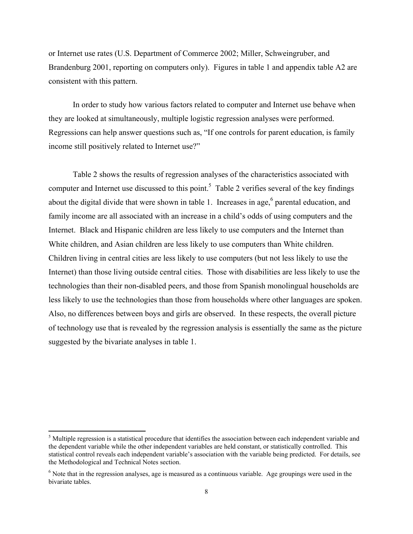or Internet use rates (U.S. Department of Commerce 2002; Miller, Schweingruber, and Brandenburg 2001, reporting on computers only). Figures in table 1 and appendix table A2 are consistent with this pattern.

In order to study how various factors related to computer and Internet use behave when they ar e looked at simultaneously, multiple logistic regression analyses were performed. Regressions can help answer questions such as, "If one controls for parent education, is family income still positively related to Internet use?"

Table 2 shows the results of regression analyses of the characteristics associated with computer and Internet use discussed to this point.<sup>[5](#page-18-0)</sup> Table 2 verifies several of the key findings Children living in central cities are less likely to use computers (but not less likely to use the Internet) than those living outside central cities. Those with disabilities are less likely to use the about the digital divide that were shown in table 1. Increases in age,  $6$  parental education, and family income are all associated with an increase in a child's odds of using computers and the Internet. Black and Hispanic children are less likely to use computers and the Internet than White children, and Asian children are less likely to use computers than White children. technologies than their non-disabled peers, and those from Spanish monolingual households are less likely to use the technologies than those from households where other languages are spoken. Also, no differences between boys and girls are observed. In these respects, the overall picture of technology use that is revealed by the regression analysis is essentially the same as the picture suggested by the bivariate analyses in table 1.

 $\overline{a}$ 

<span id="page-18-0"></span><sup>&</sup>lt;sup>5</sup> Multiple regression is a statistical procedure that identifies the association between each independent variable and the dependent variable while the other independent variables are held constant, or statistically controlled. This statistical control reveals each independent variable's association with the variable being predicted. For details, see the Methodological and Technical Notes section.

<span id="page-18-1"></span> $<sup>6</sup>$  Note that in the regression analyses, age is measured as a continuous variable. Age groupings were used in the</sup> bivariate tables.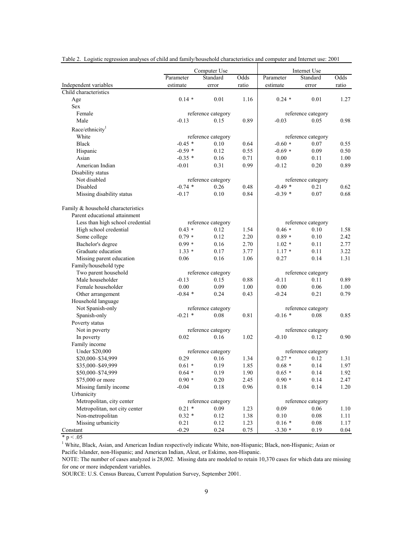|                                    |           | Computer Use               | Internet Use |           |                            |       |  |  |
|------------------------------------|-----------|----------------------------|--------------|-----------|----------------------------|-------|--|--|
|                                    | Parameter | Standard                   | Odds         | Parameter | Standard                   | Odds  |  |  |
| Independent variables              | estimate  | error                      | ratio        | estimate  | error                      | ratio |  |  |
| Child characteristics              |           |                            |              |           |                            |       |  |  |
| Age                                | $0.14*$   | 0.01                       | 1.16         | $0.24*$   | 0.01                       | 1.27  |  |  |
| Sex                                |           |                            |              |           |                            |       |  |  |
| Female                             |           | reference category         |              |           | reference category         |       |  |  |
| Male                               | $-0.13$   | 0.15                       | 0.89         | $-0.03$   | 0.05                       | 0.98  |  |  |
| Race/ethnicity <sup>1</sup>        |           |                            |              |           |                            |       |  |  |
| White                              |           | reference category         |              |           | reference category         |       |  |  |
| <b>Black</b>                       | $-0.45$ * | 0.10                       | 0.64         | $-0.60*$  | 0.07                       | 0.55  |  |  |
| Hispanic                           | $-0.59*$  | 0.12                       | 0.55         | $-0.69*$  | 0.09                       | 0.50  |  |  |
| Asian                              | $-0.35$ * | 0.16                       | 0.71         | 0.00      | 0.11                       | 1.00  |  |  |
| American Indian                    | $-0.01$   | 0.31                       | 0.99         | $-0.12$   | 0.20                       | 0.89  |  |  |
| Disability status                  |           |                            |              |           |                            |       |  |  |
| Not disabled                       |           | reference category         |              |           | reference category         |       |  |  |
| Disabled                           | $-0.74$ * | 0.26                       | 0.48         | $-0.49*$  | 0.21                       | 0.62  |  |  |
| Missing disability status          | $-0.17$   | 0.10                       | 0.84         | $-0.39*$  | 0.07                       | 0.68  |  |  |
| Family & household characteristics |           |                            |              |           |                            |       |  |  |
| Parent educational attainment      |           |                            |              |           |                            |       |  |  |
| Less than high school credential   | $0.43*$   | reference category         |              | $0.46*$   | reference category         |       |  |  |
| High school credential             |           | 0.12                       | 1.54         |           | 0.10                       | 1.58  |  |  |
| Some college                       | $0.79*$   | 0.12                       | 2.20         | $0.89*$   | 0.10                       | 2.42  |  |  |
| Bachelor's degree                  | $0.99*$   | 0.16                       | 2.70         | $1.02*$   | 0.11                       | 2.77  |  |  |
| Graduate education                 | $1.33*$   | 0.17                       | 3.77         | $1.17*$   | 0.11                       | 3.22  |  |  |
| Missing parent education           | 0.06      | 0.16                       | 1.06         | 0.27      | 0.14                       | 1.31  |  |  |
| Family/household type              |           |                            |              |           |                            |       |  |  |
| Two parent household               |           | reference category         |              |           | reference category         |       |  |  |
| Male householder                   | $-0.13$   | 0.15                       | 0.88         | $-0.11$   | 0.11                       | 0.89  |  |  |
| Female householder                 | 0.00      | 0.09                       | 1.00         | 0.00      | 0.06                       | 1.00  |  |  |
| Other arrangement                  | $-0.84$ * | 0.24                       | 0.43         | $-0.24$   | 0.21                       | 0.79  |  |  |
| Household language                 |           |                            |              |           |                            |       |  |  |
| Not Spanish-only                   |           | reference category         |              |           | reference category         |       |  |  |
| Spanish-only                       | $-0.21$ * | 0.08                       | 0.81         | $-0.16*$  | 0.08                       | 0.85  |  |  |
| Poverty status                     |           |                            |              |           |                            |       |  |  |
| Not in poverty                     |           | reference category         |              |           | reference category         |       |  |  |
| In poverty                         | 0.02      | 0.16                       | 1.02         | $-0.10$   | 0.12                       | 0.90  |  |  |
| Family income                      |           |                            |              |           |                            |       |  |  |
| Under \$20,000                     | 0.29      | reference category<br>0.16 |              | $0.27 *$  | reference category<br>0.12 |       |  |  |
| \$20,000-\$34,999                  |           |                            | 1.34         |           |                            | 1.31  |  |  |
| \$35,000-\$49,999                  | $0.61 *$  | 0.19                       | 1.85         | $0.68 *$  | 0.14                       | 1.97  |  |  |
| \$50,000-\$74,999                  | $0.64*$   | 0.19                       | 1.90         | $0.65*$   | 0.14                       | 1.92  |  |  |
| \$75,000 or more                   | $0.90*$   | $0.20\,$                   | 2.45         | $0.90*$   | 0.14                       | 2.47  |  |  |
| Missing family income              | $-0.04$   | $0.18\,$                   | 0.96         | 0.18      | 0.14                       | 1.20  |  |  |
| Urbanicity                         |           |                            |              |           |                            |       |  |  |
| Metropolitan, city center          |           | reference category         |              |           | reference category         |       |  |  |
| Metropolitan, not city center      | $0.21$ *  | 0.09                       | 1.23         | 0.09      | 0.06                       | 1.10  |  |  |
| Non-metropolitan                   | $0.32 *$  | 0.12                       | 1.38         | 0.10      | 0.08                       | 1.11  |  |  |
| Missing urbanicity                 | 0.21      | 0.12                       | 1.23         | $0.16*$   | 0.08                       | 1.17  |  |  |
| Constant                           | $-0.29$   | 0.24                       | 0.75         | $-3.30*$  | 0.19                       | 0.04  |  |  |

Table 2. Logistic regression analyses of child and family/household characteristics and computer and Internet use: 2001

 $* p < .05$ 

<sup>1</sup> White, Black, Asian, and American Indian respectively indicate White, non-Hispanic; Black, non-Hispanic; Asian or Pacific Islander, non-Hispanic; and American Indian, Aleut, or Eskimo, non-Hispanic.

NOTE: The number of cases analyzed is 28,002. Missing data are modeled to retain 10,370 cases for which data are missing for one or more independent variables.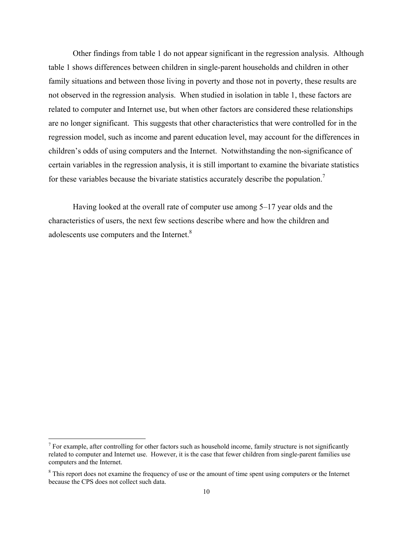Other findings from table 1 do not appear significant in the regression analysis. Although table 1 shows differences between children in single-parent households and children in other family situations and between those living in poverty and those not in poverty, these results are not observed in the regression analysis. When studied in isolation in table 1, these factors are related to computer and Internet use, but when other factors are considered these relationships are no longer significant. This suggests that other characteristics that were controlled for in the regression model, such as income and parent education level, may account for the differences in children's odds of using computers and the Internet. Notwithstanding the non-significance of certain variables in the regression analysis, it is still important to examine the bivariate statistics for these variables because the bivariate statistics accurately describe the population.[7](#page-20-0)

Having looked at the overall rate of computer use among 5–17 year olds and the characteristics of users, the next few sections describe where and how the children and adolescents use computers and the Internet. $8$ 

 $\overline{a}$ 

<span id="page-20-0"></span> $<sup>7</sup>$  For example, after controlling for other factors such as household income, family structure is not significantly</sup> related to computer and Internet use. However, it is the case that fewer children from single-parent families use computers and the Internet.

<span id="page-20-1"></span><sup>&</sup>lt;sup>8</sup> This report does not examine the frequency of use or the amount of time spent using computers or the Internet because the CPS does not collect such data.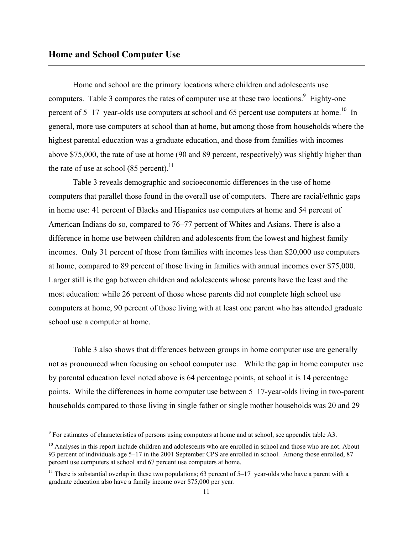$\overline{a}$ 

<span id="page-21-0"></span>Home and school are the primary locations where children and adolescents use computers. Table 3 compares the rates of computer use at these two locations.  $9$  Eighty-one percent of 5–17 year-olds use computers at school and 65 percent use computers at home.<sup>10</sup> In general, more use computers at school than at home, but among those from households where the highest parental education was a graduate education, and those from families with incomes above \$75,000, the rate of use at home (90 and 89 percent, respectively) was slightly higher than the rate of use at school  $(85 \text{ percent})$ .<sup>11</sup>

Table 3 reveals demographic and socioeconomic differences in the use of home computers that parallel those found in the overall use of computers. There are racial/ethnic gaps in home use: 41 percent of Blacks and Hispanics use computers at home and 54 percent of American Indians do so, compared to 76–77 percent of Whites and Asians. There is also a difference in home use between children and adolescents from the lowest and highest family incomes. Only 31 percent of those from families with incomes less than \$20,000 use computers at home, compared to 89 percent of those living in families with annual incomes over \$75,000. Larger still is the gap between children and adolescents whose parents have the least and the most education: while 26 percent of those whose parents did not complete high school use computers at home, 90 percent of those living with at least one parent who has attended graduate school use a computer at home.

Table 3 also shows that differences between groups in home computer use are generally not as pronounced when focusing on school computer use. While the gap in home computer use by parental education level noted above is 64 percentage points, at school it is 14 percentage points. While the differences in home computer use between 5–17-year-olds living in two-parent households compared to those living in single father or single mother households was 20 and 29

<span id="page-21-1"></span><sup>&</sup>lt;sup>9</sup> For estimates of characteristics of persons using computers at home and at school, see appendix table A3.

<span id="page-21-2"></span> $10$  Analyses in this report include children and adolescents who are enrolled in school and those who are not. About 93 percent of individuals age 5–17 in the 2001 September CPS are enrolled in school. Among those enrolled, 87 percent use computers at school and 67 percent use computers at home.

<span id="page-21-3"></span><sup>&</sup>lt;sup>11</sup> There is substantial overlap in these two populations; 63 percent of 5–17 year-olds who have a parent with a graduate education also have a family income over \$75,000 per year.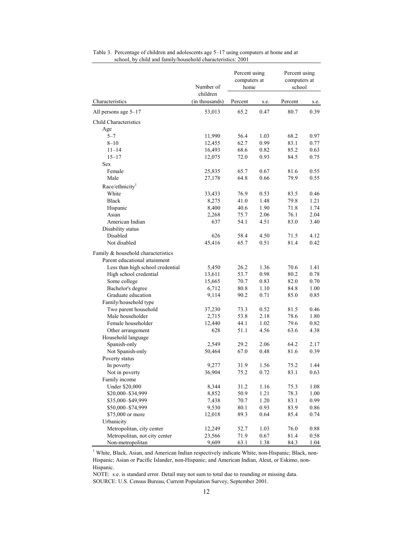|                                    | Number of                  | Percent using<br>computers at<br>home |      | Percent using<br>computers at<br>school |          |  |  |  |
|------------------------------------|----------------------------|---------------------------------------|------|-----------------------------------------|----------|--|--|--|
| Characteristics                    | children<br>(in thousands) | Percent                               | s.e. | Percent                                 | s.e.     |  |  |  |
| All persons age 5-17               | 53,013                     | 65.2                                  | 0.47 | 80.7                                    | 0.39     |  |  |  |
| Child Characteristics              |                            |                                       |      |                                         |          |  |  |  |
| Age                                |                            |                                       |      |                                         |          |  |  |  |
| $5 - 7$                            | 11,990                     | 56.4                                  | 1.03 | 68.2                                    | 0.97     |  |  |  |
| $8 - 10$                           | 12,455                     | 62.7                                  | 0.99 | 83.1                                    | 0.77     |  |  |  |
| $11 - 14$                          | 16,493                     | 68.6                                  | 0.82 | 85.2                                    | 0.63     |  |  |  |
| $15 - 17$                          | 12,075                     | 72.0                                  | 0.93 | 84.5                                    | 0.75     |  |  |  |
| <b>Sex</b>                         |                            |                                       |      |                                         |          |  |  |  |
| Female                             | 25,835                     | 65.7                                  | 0.67 | 81.6                                    | 0.55     |  |  |  |
| Male                               | 27,178                     | 64.8                                  | 0.66 | 79.9                                    | 0.55     |  |  |  |
| Race/ethnicity <sup>1</sup>        |                            |                                       |      |                                         |          |  |  |  |
| White                              | 33,433                     | 76.9                                  | 0.53 | 83.5                                    | 0.46     |  |  |  |
| <b>Black</b>                       | 8,275                      | 41.0                                  | 1.48 | 79.8                                    | 1.21     |  |  |  |
| Hispanic                           | 8,400                      | 40.6                                  | 1.90 | 71.8                                    | 1.74     |  |  |  |
| Asian                              | 2,268                      | 75.7                                  | 2.06 | 76.1                                    | 2.04     |  |  |  |
| American Indian                    | 637                        | 54.1                                  | 4.51 | 83.0                                    | 3.40     |  |  |  |
| Disability status                  |                            |                                       |      |                                         |          |  |  |  |
| Disabled                           | 626                        | 58.4                                  | 4.50 | 71.5                                    | 4.12     |  |  |  |
| Not disabled                       | 45,416                     | 65.7                                  | 0.51 | 81.4                                    | 0.42     |  |  |  |
|                                    |                            |                                       |      |                                         |          |  |  |  |
| Family & household characteristics |                            |                                       |      |                                         |          |  |  |  |
| Parent educational attainment      |                            |                                       |      |                                         |          |  |  |  |
| Less than high school credential   | 5,450                      | 26.2                                  | 1.36 | 70.6                                    | 1.41     |  |  |  |
| High school credential             | 13,611                     | 53.7                                  | 0.98 | 80.2                                    | 0.78     |  |  |  |
| Some college                       | 15,665                     | 70.7                                  | 0.83 | 82.0                                    | 0.70     |  |  |  |
| Bachelor's degree                  | 6,712                      | 80.8                                  | 1.10 | 84.8                                    | 1.00     |  |  |  |
| Graduate education                 | 9,114                      | 90.2                                  | 0.71 | 85.0                                    | 0.85     |  |  |  |
| Family/household type              |                            |                                       |      |                                         |          |  |  |  |
| Two parent household               | 37,230                     | 73.3                                  | 0.52 | 81.5                                    | 0.46     |  |  |  |
| Male householder                   | 2,715                      | 53.8                                  | 2.18 | 78.6                                    | 1.80     |  |  |  |
| Female householder                 | 12,440                     | 44.1                                  | 1.02 | 79.6                                    | 0.82     |  |  |  |
| Other arrangement                  | 628                        | 51.1                                  | 4.56 | 63.6                                    | 4.38     |  |  |  |
| Household language                 |                            |                                       |      |                                         |          |  |  |  |
| Spanish-only                       | 2,549                      | 29.2                                  | 2.06 | 64.2                                    | 2.17     |  |  |  |
| Not Spanish-only                   | 50,464                     | 67.0                                  | 0.48 | 81.6                                    | 0.39     |  |  |  |
| Poverty status                     |                            |                                       |      |                                         |          |  |  |  |
| In poverty                         | 9,277                      | 31.9                                  | 1.56 | 75.2                                    | 1.44     |  |  |  |
| Not in poverty                     | 36,904                     | 75.2                                  | 0.72 | 83.1                                    | 0.63     |  |  |  |
| Family income                      |                            |                                       |      |                                         |          |  |  |  |
| Under \$20,000                     | 8,344                      | 31.2                                  | 1.16 | 75.3                                    | 1.08     |  |  |  |
| \$20,000-\$34,999                  | 8,852                      | 50.9                                  | 1.21 | 78.3                                    | 1.00     |  |  |  |
| \$35,000-\$49,999                  | 7,438                      | 70.7                                  | 1.20 | 83.1                                    | 0.99     |  |  |  |
| \$50,000-\$74,999                  | 9,530                      | 80.1                                  | 0.93 | 83.9                                    | 0.86     |  |  |  |
| \$75,000 or more                   | 12,018                     | 89.3                                  | 0.64 | 85.4                                    | 0.74     |  |  |  |
| Urbanicity                         |                            |                                       |      |                                         |          |  |  |  |
| Metropolitan, city center          | 12,249                     | 52.7                                  | 1.03 | 76.0                                    | $0.88\,$ |  |  |  |
| Metropolitan, not city center      | 23,566                     | 71.9                                  | 0.67 | 81.4                                    | 0.58     |  |  |  |
| Non-metropolitan                   | 9,609                      | 63.1                                  | 1.38 | 84.3                                    | 1.04     |  |  |  |

#### Table 3. Percentage of children and adolescents age 5–17 using computers at home and at school, by child and family/household characteristics: 2001

<sup>1</sup> White, Black, Asian, and American Indian respectively indicate White, non-Hispanic; Black, non-Hispanic; Asian or Pacific Islander, non-Hispanic; and American Indian, Aleut, or Eskimo, non-Hispanic.

NOTE: s.e. is standard error. Detail may not sum to total due to rounding or missing data. SOURCE: U.S. Census Bureau, Current Population Survey, September 2001.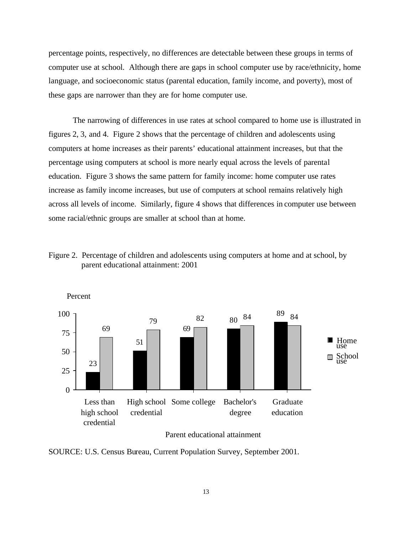<span id="page-23-0"></span>percentage points, respectively, no differences are detectable between these groups in terms of computer use at school. Although there are gaps in school computer use by race/ethnicity, home language, and socioeconomic status (parental education, family income, and poverty), most of these gaps are narrower than they are for home computer use.

The narrowing of differences in use rates at school compared to home use is illustrated in figures 2, 3, and 4. Figure 2 shows that the percentage of children and adolescents using computers at home increases as their parents' educational attainment increases, but that the percentage using computers at school is more nearly equal across the levels of parental education. Figure 3 shows the same pattern for family income: home computer use rates increase as family income increases, but use of computers at school remains relatively high across all levels of income. Similarly, figure 4 shows that differences in computer use between some racial/ethnic groups are smaller at school than at home.

Figure 2. Percentage of children and adolescents using computers at home and at school, by parent educational attainment: 2001



Parent educational attainment

SOURCE: U.S. Census Bureau, Current Population Survey, September 2001.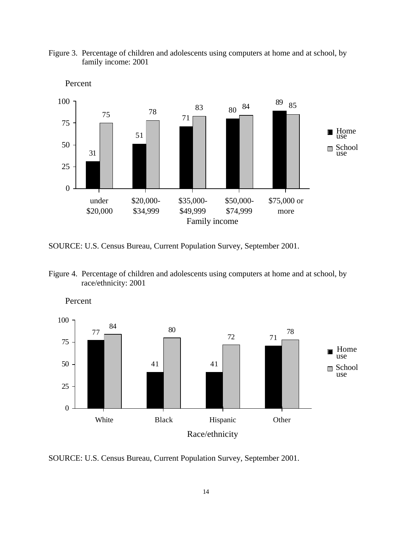

<span id="page-24-0"></span>

SOURCE: U.S. Census Bureau, Current Population Survey, September 2001.

Figure 4. Percentage of children and adolescents using computers at home and at school, by race/ethnicity: 2001



Percent

SOURCE: U.S. Census Bureau, Current Population Survey, September 2001.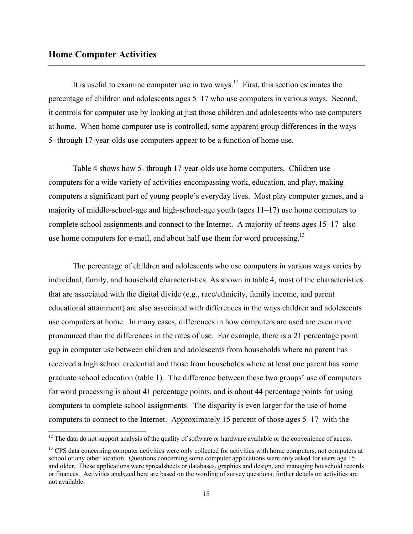## <span id="page-25-0"></span>**Home Computer Activities**

 $\overline{a}$ 

It is useful to examine computer use in two ways.<sup>12</sup> First, this section estimates the percentage of children and adolescents ages 5–17 who use computers in various ways. Second, it controls for computer use by looking at just those children and adolescents who use computers at home. When home computer use is controlled, some apparent group differences in the ways 5- through 17-year-olds use computers appear to be a function of home use.

Table 4 shows how 5- through 17-year-olds use home computers. Children use computers for a wide variety of activities encompassing work, education, and play, making computers a significant part of young people's everyday lives. Most play computer games, and a majority of middle-school-age and high-school-age youth (ages 11–17) use home computers to complete school assignments and connect to the Internet. A majority of teens ages 15–17 also use home computers for e-mail, and about half use them for word processing.<sup>13</sup>

The percentage of children and adolescents who use computers in various ways varies by individual, family, and household characteristics. As shown in table 4, most of the characteristics that are associated with the digital divide (e.g., race/ethnicity, family income, and parent educational attainment) are also associated with differences in the ways children and adolescents use computers at home. In many cases, differences in how computers are used are even more pronounced than the differences in the rates of use. For example, there is a 21 percentage point gap in computer use between children and adolescents from households where no parent has received a high school credential and those from households where at least one parent has some graduate school education (table 1). The difference between these two groups' use of computers for word processing is about 41 percentage points, and is about 44 percentage points for using computers to complete school assignments. The disparity is even larger for the use of home computers to connect to the Internet. Approximately 15 percent of those ages 5–17 with the

<span id="page-25-1"></span> $12$  The data do not support analysis of the quality of software or hardware available or the convenience of access.

<span id="page-25-2"></span><sup>&</sup>lt;sup>13</sup> CPS data concerning computer activities were only collected for activities with home computers, not computers at school or any other location. Questions concerning some computer applications were only asked for users age 15 and older. These applications were spreadsheets or databases, graphics and design, and managing household records or finances. Activities analyzed here are based on the wording of survey questions; further details on activities are not available.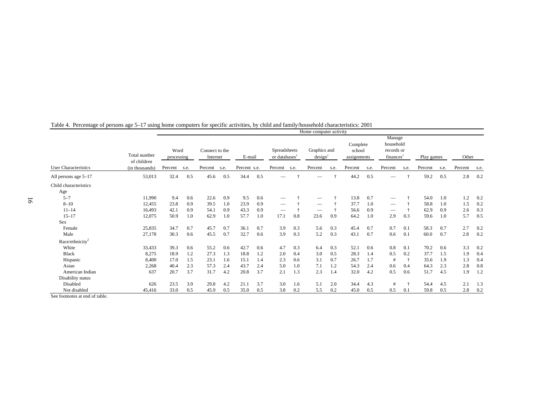|                              |                             | Home computer activity                                                                                                                                                                                                                                                                                                                                   |     |            |     |       |     |                                 |     |                                 |     |      |     |                                 |      |         |      |         |      |
|------------------------------|-----------------------------|----------------------------------------------------------------------------------------------------------------------------------------------------------------------------------------------------------------------------------------------------------------------------------------------------------------------------------------------------------|-----|------------|-----|-------|-----|---------------------------------|-----|---------------------------------|-----|------|-----|---------------------------------|------|---------|------|---------|------|
|                              | Total number<br>of children | Manage<br>household<br>Complete<br>Graphics and<br>Spreadsheets<br>records or<br>Word<br>Connect to the<br>school<br>E-mail<br>or databases <sup>1</sup><br>finances <sup>1</sup><br>Internet<br>design<br>assignments<br>processing<br>Percent<br>Percent<br>Percent<br>Percent s.e.<br>Percent s.e.<br>Percent s.e.<br>Percent<br>s.e.<br>s.e.<br>s.e. |     | Play games |     | Other |     |                                 |     |                                 |     |      |     |                                 |      |         |      |         |      |
| <b>User Characteristics</b>  | (in thousands)              |                                                                                                                                                                                                                                                                                                                                                          |     |            |     |       |     |                                 |     |                                 |     |      |     |                                 | s.e. | Percent | s.e. | Percent | s.e. |
| All persons age 5-17         | 53,013                      | 32.4                                                                                                                                                                                                                                                                                                                                                     | 0.5 | 45.6       | 0.5 | 34.4  | 0.5 |                                 |     |                                 | ÷   | 44.2 | 0.5 |                                 | ÷    | 59.2    | 0.5  | 2.8     | 0.2  |
| Child characteristics<br>Age |                             |                                                                                                                                                                                                                                                                                                                                                          |     |            |     |       |     |                                 |     |                                 |     |      |     |                                 |      |         |      |         |      |
| $5 - 7$                      | 11,990                      | 9.4                                                                                                                                                                                                                                                                                                                                                      | 0.6 | 22.6       | 0.9 | 9.5   | 0.6 |                                 |     | $\hspace{0.1mm}-\hspace{0.1mm}$ |     | 13.8 | 0.7 | $\overline{\phantom{m}}$        |      | 54.0    | 1.0  | 1.2     | 0.2  |
| $8 - 10$                     | 12,455                      | 23.8                                                                                                                                                                                                                                                                                                                                                     | 0.9 | 39.5       | 1.0 | 23.9  | 0.9 | $\hspace{0.1mm}-\hspace{0.1mm}$ |     |                                 |     | 37.7 | 1.0 | $\hspace{0.1mm}-\hspace{0.1mm}$ |      | 58.8    | 1.0  | 1.5     | 0.2  |
| $11 - 14$                    | 16,493                      | 42.1                                                                                                                                                                                                                                                                                                                                                     | 0.9 | 54.1       | 0.9 | 43.3  | 0.9 |                                 |     |                                 | ÷   | 56.6 | 0.9 | $\hspace{0.05cm}$               |      | 62.9    | 0.9  | 2.6     | 0.3  |
| $15 - 17$                    | 12,075                      | 50.9                                                                                                                                                                                                                                                                                                                                                     | 1.0 | 62.9       | 1.0 | 57.7  | 1.0 | 17.1                            | 0.8 | 23.6                            | 0.9 | 64.2 | 1.0 | 2.9                             | 0.3  | 59.6    | 1.0  | 5.7     | 0.5  |
| Sex                          |                             |                                                                                                                                                                                                                                                                                                                                                          |     |            |     |       |     |                                 |     |                                 |     |      |     |                                 |      |         |      |         |      |
| Female                       | 25,835                      | 34.7                                                                                                                                                                                                                                                                                                                                                     | 0.7 | 45.7       | 0.7 | 36.1  | 0.7 | 3.9                             | 0.3 | 5.6                             | 0.3 | 45.4 | 0.7 | 0.7                             | 0.1  | 58.3    | 0.7  | 2.7     | 0.2  |
| Male                         | 27,178                      | 30.3                                                                                                                                                                                                                                                                                                                                                     | 0.6 | 45.5       | 0.7 | 32.7  | 0.6 | 3.9                             | 0.3 | 5.2                             | 0.3 | 43.1 | 0.7 | 0.6                             | 0.1  | 60.0    | 0.7  | 2.8     | 0.2  |
| Race/ethnicity <sup>2</sup>  |                             |                                                                                                                                                                                                                                                                                                                                                          |     |            |     |       |     |                                 |     |                                 |     |      |     |                                 |      |         |      |         |      |
| White                        | 33,433                      | 39.3                                                                                                                                                                                                                                                                                                                                                     | 0.6 | 55.2       | 0.6 | 42.7  | 0.6 | 4.7                             | 0.3 | 6.4                             | 0.3 | 52.1 | 0.6 | 0.8                             | 0.1  | 70.2    | 0.6  | 3.3     | 0.2  |
| <b>Black</b>                 | 8,275                       | 18.9                                                                                                                                                                                                                                                                                                                                                     | 1.2 | 27.3       | 1.3 | 18.8  | 1.2 | 2.0                             | 0.4 | 3.0                             | 0.5 | 28.3 | 1.4 | 0.5                             | 0.2  | 37.7    | 1.5  | 1.9     | 0.4  |
| Hispanic                     | 8,400                       | 17.0                                                                                                                                                                                                                                                                                                                                                     | 1.5 | 23.1       | 1.6 | 15.1  | 1.4 | 2.3                             | 0.6 | 3.1                             | 0.7 | 26.7 | 1.7 | #                               |      | 35.6    | 1.9  | 1.3     | 0.4  |
| Asian                        | 2,268                       | 40.4                                                                                                                                                                                                                                                                                                                                                     | 2.3 | 57.3       | 2.4 | 43.7  | 2.4 | 5.0                             | 1.0 | 7.1                             | 1.2 | 54.3 | 2.4 | 0.6                             | 0.4  | 64.3    | 2.3  | 2.8     | 0.8  |
| American Indian              | 637                         | 20.7                                                                                                                                                                                                                                                                                                                                                     | 3.7 | 31.7       | 4.2 | 20.8  | 3.7 | 2.1                             | 1.3 | 2.3                             | 1.4 | 32.0 | 4.2 | 0.5                             | 0.6  | 51.7    | 4.5  | 1.9     | 1.2  |
| Disability status            |                             |                                                                                                                                                                                                                                                                                                                                                          |     |            |     |       |     |                                 |     |                                 |     |      |     |                                 |      |         |      |         |      |
| Disabled                     | 626                         | 23.5                                                                                                                                                                                                                                                                                                                                                     | 3.9 | 29.8       | 4.2 | 21.1  | 3.7 | 3.0                             | 1.6 | 5.1                             | 2.0 | 34.4 | 4.3 | #                               |      | 54.4    | 4.5  | 2.1     | 1.3  |
| Not disabled                 | 45,416                      | 33.0                                                                                                                                                                                                                                                                                                                                                     | 0.5 | 45.9       | 0.5 | 35.0  | 0.5 | 3.8                             | 0.2 | 5.5                             | 0.2 | 45.0 | 0.5 | 0.5                             | 0.1  | 59.8    | 0.5  | 2.8     | 0.2  |

#### Table 4. Percentage of persons age 5–17 using home computers for specific activities, by child and family/household characteristics: 2001

See footnotes at end of table.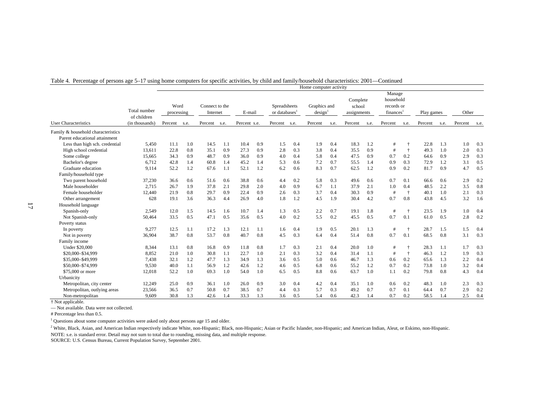|                                                                     |                             | Home computer activity |      |                            |      |              |     |                                           |      |                        |      |                                   |      |                                               |            |            |      |         |      |
|---------------------------------------------------------------------|-----------------------------|------------------------|------|----------------------------|------|--------------|-----|-------------------------------------------|------|------------------------|------|-----------------------------------|------|-----------------------------------------------|------------|------------|------|---------|------|
|                                                                     | Total number<br>of children | Word<br>processing     |      | Connect to the<br>Internet |      | E-mail       |     | Spreadsheets<br>or databases <sup>1</sup> |      | Graphics and<br>design |      | Complete<br>school<br>assignments |      | Manage<br>household<br>records or<br>finances |            | Play games |      | Other   |      |
| User Characteristics                                                | (in thousands)              | Percent                | s.e. | Percent                    | s.e. | Percent s.e. |     | Percent                                   | s.e. | Percent                | s.e. | Percent                           | s.e. | Percent                                       | s.e.       | Percent    | s.e. | Percent | s.e. |
| Family & household characteristics<br>Parent educational attainment |                             |                        |      |                            |      |              |     |                                           |      |                        |      |                                   |      |                                               |            |            |      |         |      |
| Less than high sch. credential                                      | 5,450                       | 11.1                   | 1.0  | 14.5                       | 1.1  | 10.4         | 0.9 | 1.5                                       | 0.4  | 1.9                    | 0.4  | 18.3                              | 1.2  | $^{\rm \#}$                                   |            | 22.8       | 1.3  | 1.0     | 0.3  |
| High school credential                                              | 13,611                      | 22.8                   | 0.8  | 35.1                       | 0.9  | 27.3         | 0.9 | 2.8                                       | 0.3  | 3.8                    | 0.4  | 35.5                              | 0.9  | #                                             | $\ddagger$ | 49.3       | 1.0  | 2.0     | 0.3  |
| Some college                                                        | 15,665                      | 34.3                   | 0.9  | 48.7                       | 0.9  | 36.0         | 0.9 | 4.0                                       | 0.4  | 5.8                    | 0.4  | 47.5                              | 0.9  | 0.7                                           | 0.2        | 64.6       | 0.9  | 2.9     | 0.3  |
| Bachelor's degree                                                   | 6,712                       | 42.8                   | 1.4  | 60.8                       | 1.4  | 45.2         | 1.4 | 5.3                                       | 0.6  | 7.2                    | 0.7  | 55.5                              | 1.4  | 0.9                                           | 0.3        | 72.9       | 1.2  | 3.1     | 0.5  |
| Graduate education                                                  | 9,114                       | 52.2                   | 1.2  | 67.6                       | 1.1  | 52.1         | 1.2 | 6.2                                       | 0.6  | 8.3                    | 0.7  | 62.5                              | 1.2  | 0.9                                           | 0.2        | 81.7       | 0.9  | 4.7     | 0.5  |
| Family/household type                                               |                             |                        |      |                            |      |              |     |                                           |      |                        |      |                                   |      |                                               |            |            |      |         |      |
| Two parent household                                                | 37,230                      | 36.6                   | 0.6  | 51.6                       | 0.6  | 38.8         | 0.6 | 4.4                                       | 0.2  | 5.8                    | 0.3  | 49.6                              | 0.6  | 0.7                                           | 0.1        | 66.6       | 0.6  | 2.9     | 0.2  |
| Male householder                                                    | 2,715                       | 26.7                   | 1.9  | 37.8                       | 2.1  | 29.8         | 2.0 | 4.0                                       | 0.9  | 6.7                    | 1.1  | 37.9                              | 2.1  | 1.0                                           | 0.4        | 48.5       | 2.2  | 3.5     | 0.8  |
| Female householder                                                  | 12,440                      | 21.9                   | 0.8  | 29.7                       | 0.9  | 22.4         | 0.9 | 2.6                                       | 0.3  | 3.7                    | 0.4  | 30.3                              | 0.9  | #                                             | $\ddagger$ | 40.1       | 1.0  | 2.1     | 0.3  |
| Other arrangement                                                   | 628                         | 19.1                   | 3.6  | 36.3                       | 4.4  | 26.9         | 4.0 | 1.8                                       | 1.2  | 4.5                    | 1.9  | 30.4                              | 4.2  | 0.7                                           | 0.8        | 43.8       | 4.5  | 3.2     | 1.6  |
| Household language                                                  |                             |                        |      |                            |      |              |     |                                           |      |                        |      |                                   |      |                                               |            |            |      |         |      |
| Spanish-only                                                        | 2,549                       | 12.0                   | 1.5  | 14.5                       | 1.6  | 10.7         | 1.4 | 1.3                                       | 0.5  | 2.2                    | 0.7  | 19.1                              | 1.8  | #                                             | $\ddagger$ | 23.5       | 1.9  | 1.0     | 0.4  |
| Not Spanish-only                                                    | 50,464                      | 33.5                   | 0.5  | 47.1                       | 0.5  | 35.6         | 0.5 | 4.0                                       | 0.2  | 5.5                    | 0.2  | 45.5                              | 0.5  | 0.7                                           | 0.1        | 61.0       | 0.5  | 2.8     | 0.2  |
| Poverty status                                                      |                             |                        |      |                            |      |              |     |                                           |      |                        |      |                                   |      |                                               |            |            |      |         |      |
| In poverty                                                          | 9,277                       | 12.5                   | 1.1  | 17.2                       | 1.3  | 12.1         | 1.1 | 1.6                                       | 0.4  | 1.9                    | 0.5  | 20.1                              | 1.3  | #                                             |            | 28.7       | 1.5  | 1.5     | 0.4  |
| Not in poverty                                                      | 36,904                      | 38.7                   | 0.8  | 53.7                       | 0.8  | 40.7         | 0.8 | 4.5                                       | 0.3  | 6.4                    | 0.4  | 51.4                              | 0.8  | 0.7                                           | 0.1        | 68.5       | 0.8  | 3.1     | 0.3  |
| Family income                                                       |                             |                        |      |                            |      |              |     |                                           |      |                        |      |                                   |      |                                               |            |            |      |         |      |
| <b>Under \$20,000</b>                                               | 8,344                       | 13.1                   | 0.8  | 16.8                       | 0.9  | 11.8         | 0.8 | 1.7                                       | 0.3  | 2.1                    | 0.4  | 20.0                              | 1.0  | #                                             |            | 28.3       | 1.1  | 1.7     | 0.3  |
| \$20,000-\$34,999                                                   | 8,852                       | 21.0                   | 1.0  | 30.8                       | 1.1  | 22.7         | 1.0 | 2.1                                       | 0.3  | 3.2                    | 0.4  | 31.4                              | 1.1  | #                                             | $\ddagger$ | 46.3       | 1.2  | 1.9     | 0.3  |
| \$35,000-\$49,999                                                   | 7,438                       | 32.1                   | 1.2  | 47.7                       | 1.3  | 34.9         | 1.3 | 3.6                                       | 0.5  | 5.0                    | 0.6  | 46.7                              | 1.3  | 0.6                                           | 0.2        | 65.6       | 1.3  | 2.2     | 0.4  |
| \$50,000-\$74,999                                                   | 9.530                       | 40.0                   | 1.1  | 56.9                       | 1.2  | 42.6         | 1.2 | 4.6                                       | 0.5  | 6.8                    | 0.6  | 55.2                              | 1.2  | 0.7                                           | 0.2        | 73.8       | 1.0  | 3.2     | 0.4  |
| \$75,000 or more                                                    | 12,018                      | 52.2                   | 1.0  | 69.3                       | 1.0  | 54.0         | 1.0 | 6.5                                       | 0.5  | 8.8                    | 0.6  | 63.7                              | 1.0  | 1.1                                           | 0.2        | 79.8       | 0.8  | 4.3     | 0.4  |
| Urbanicity                                                          |                             |                        |      |                            |      |              |     |                                           |      |                        |      |                                   |      |                                               |            |            |      |         |      |
| Metropolitan, city center                                           | 12,249                      | 25.0                   | 0.9  | 36.1                       | 1.0  | 26.0         | 0.9 | 3.0                                       | 0.4  | 4.2                    | 0.4  | 35.1                              | 1.0  | 0.6                                           | 0.2        | 48.3       | 1.0  | 2.3     | 0.3  |
| Metropolitan, outlying areas                                        | 23,566                      | 36.5                   | 0.7  | 50.8                       | 0.7  | 38.5         | 0.7 | 4.4                                       | 0.3  | 5.7                    | 0.3  | 49.2                              | 0.7  | 0.7                                           | 0.1        | 64.4       | 0.7  | 2.9     | 0.2  |
| Non-metropolitan                                                    | 9,609                       | 30.8                   | 1.3  | 42.6                       | 1.4  | 33.3         | 1.3 | 3.6                                       | 0.5  | 5.4                    | 0.6  | 42.3                              | 1.4  | 0.7                                           | 0.2        | 58.5       | 1.4  | 2.5     | 0.4  |
| 11.71.1<br>1.37                                                     |                             |                        |      |                            |      |              |     |                                           |      |                        |      |                                   |      |                                               |            |            |      |         |      |

Table 4. Percentage of persons age 5–17 using home computers for specific activities, by child and family/household characteristics: 2001—Continued

† Not applicable.

— Not available. Data were not collected.

# Percentage less than 0.5.

 $1$  Questions about some computer activities were asked only about persons age 15 and older.

<sup>2</sup> White, Black, Asian, and American Indian respectively indicate White, non-Hispanic; Black, non-Hispanic; Asian or Pacific Islander, non-Hispanic; and American Indian, Aleut, or Eskimo, non-Hispanic.

NOTE: s.e. is standard error. Detail may not sum to total due to rounding, missing data, and multiple response.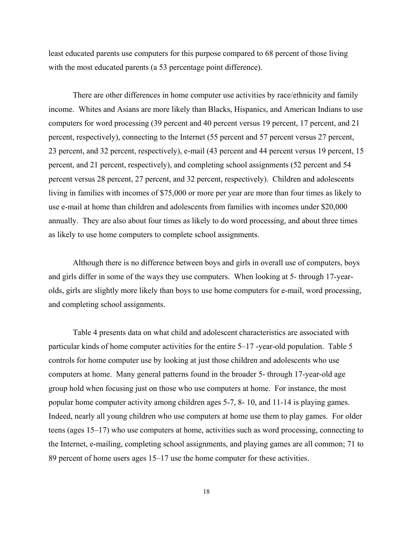least educated parents use computers for this purpose compared to 68 percent of those living with the most educated parents (a 53 percentage point difference).

There are other differences in home computer use activities by race/ethnicity and family income. Whites and Asians are more likely than Blacks, Hispanics, and American Indians to use computers for word processing (39 percent and 40 percent versus 19 percent, 17 percent, and 21 percent, respectively), connecting to the Internet (55 percent and 57 percent versus 27 percent, 23 percent, and 32 percent, respectively), e-mail (43 percent and 44 percent versus 19 percent, 15 percent, and 21 percent, respectively), and completing school assignments (52 percent and 54 percent versus 28 percent, 27 percent, and 32 percent, respectively). Children and adolescents living in families with incomes of \$75,000 or more per year are more than four times as likely to use e-mail at home than children and adolescents from families with incomes under \$20,000 annually. They are also about four times as likely to do word processing, and about three times as likely to use home computers to complete school assignments.

Although there is no difference between boys and girls in overall use of computers, boys and girls differ in some of the ways they use computers. When looking at 5- through 17-yearolds, girls are slightly more likely than boys to use home computers for e-mail, word processing, and completing school assignments.

Table 4 presents data on what child and adolescent characteristics are associated with particular kinds of home computer activities for the entire 5–17 -year-old population. Table 5 controls for home computer use by looking at just those children and adolescents who use computers at home. Many general patterns found in the broader 5- through 17-year-old age group hold when focusing just on those who use computers at home. For instance, the most popular home computer activity among children ages 5-7, 8- 10, and 11-14 is playing games. Indeed, nearly all young children who use computers at home use them to play games. For older teens (ages 15–17) who use computers at home, activities such as word processing, connecting to the Internet, e-mailing, completing school assignments, and playing games are all common; 71 to 89 percent of home users ages 15–17 use the home computer for these activities.

18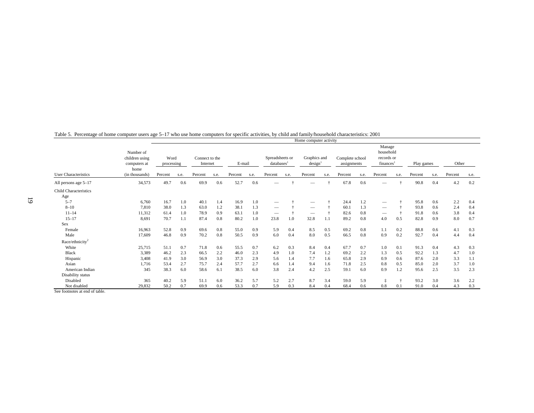|                              |                                                     |                    | Home computer activity |                            |      |         |      |                                           |      |                                     |      |                                |      |                                                            |      |            |      |         |      |
|------------------------------|-----------------------------------------------------|--------------------|------------------------|----------------------------|------|---------|------|-------------------------------------------|------|-------------------------------------|------|--------------------------------|------|------------------------------------------------------------|------|------------|------|---------|------|
|                              | Number of<br>children using<br>computers at<br>home | Word<br>processing |                        | Connect to the<br>Internet |      | E-mail  |      | Spreadsheets or<br>databases <sup>1</sup> |      | Graphics and<br>design <sup>1</sup> |      | Complete school<br>assignments |      | Manage<br>household<br>records or<br>finances <sup>1</sup> |      | Play games |      | Other   |      |
| User Characteristics         | (in thousands)                                      | Percent            | s.e.                   | Percent                    | s.e. | Percent | s.e. | Percent                                   | s.e. | Percent                             | s.e. | Percent                        | s.e. | Percent                                                    | s.e. | Percent    | s.e. | Percent | s.e. |
| All persons age 5-17         | 34,573                                              | 49.7               | 0.6                    | 69.9                       | 0.6  | 52.7    | 0.6  |                                           |      |                                     |      | 67.8                           | 0.6  | --                                                         |      | 90.8       | 0.4  | 4.2     | 0.2  |
| Child Characteristics<br>Age |                                                     |                    |                        |                            |      |         |      |                                           |      |                                     |      |                                |      |                                                            |      |            |      |         |      |
| $5 - 7$                      | 6,760                                               | 16.7               | 1.0                    | 40.1                       | 1.4  | 16.9    | 1.0  | $\overbrace{\phantom{12332}}$             |      | $\hspace{0.05cm}$                   |      | 24.4                           | 1.2  |                                                            |      | 95.8       | 0.6  | 2.2     | 0.4  |
| $8 - 10$                     | 7,810                                               | 38.0               | 1.3                    | 63.0                       | 1.2  | 38.1    | 1.3  | $\overbrace{\phantom{12332}}$             |      |                                     |      | 60.1                           | 1.3  |                                                            |      | 93.8       | 0.6  | 2.4     | 0.4  |
| $11 - 14$                    | 11,312                                              | 61.4               | 1.0                    | 78.9                       | 0.9  | 63.1    | 1.0  | $\overbrace{\phantom{12332}}$             |      | $\overbrace{\phantom{aaaaa}}^{x}$   |      | 82.6                           | 0.8  |                                                            |      | 91.8       | 0.6  | 3.8     | 0.4  |
| $15 - 17$                    | 8,691                                               | 70.7               | 1.1                    | 87.4                       | 0.8  | 80.2    | 1.0  | 23.8                                      | 1.0  | 32.8                                | 1.1  | 89.2                           | 0.8  | 4.0                                                        | 0.5  | 82.8       | 0.9  | 8.0     | 0.7  |
| Sex                          |                                                     |                    |                        |                            |      |         |      |                                           |      |                                     |      |                                |      |                                                            |      |            |      |         |      |
| Female                       | 16,963                                              | 52.8               | 0.9                    | 69.6                       | 0.8  | 55.0    | 0.9  | 5.9                                       | 0.4  | 8.5                                 | 0.5  | 69.2                           | 0.8  | 1.1                                                        | 0.2  | 88.8       | 0.6  | 4.1     | 0.3  |
| Male                         | 17,609                                              | 46.8               | 0.9                    | 70.2                       | 0.8  | 50.5    | 0.9  | 6.0                                       | 0.4  | 8.0                                 | 0.5  | 66.5                           | 0.8  | 0.9                                                        | 0.2  | 92.7       | 0.4  | 4.4     | 0.4  |
| Race/ethnicity <sup>2</sup>  |                                                     |                    |                        |                            |      |         |      |                                           |      |                                     |      |                                |      |                                                            |      |            |      |         |      |
| White                        | 25,715                                              | 51.1               | 0.7                    | 71.8                       | 0.6  | 55.5    | 0.7  | 6.2                                       | 0.3  | 8.4                                 | 0.4  | 67.7                           | 0.7  | 1.0                                                        | 0.1  | 91.3       | 0.4  | 4.3     | 0.3  |
| <b>Black</b>                 | 3,389                                               | 46.2               | 2.3                    | 66.5                       | 2.2  | 46.0    | 2.3  | 4.9                                       | 1.0  | 7.4                                 | 1.2  | 69.2                           | 2.2  | 1.3                                                        | 0.5  | 92.2       | 1.3  | 4.7     | 1.0  |
| Hispanic                     | 3,408                                               | 41.9               | 3.0                    | 56.9                       | 3.0  | 37.3    | 2.9  | 5.6                                       | 1.4  | 7.7                                 | 1.6  | 65.8                           | 2.9  | 0.9                                                        | 0.6  | 87.6       | 2.0  | 3.3     | 1.1  |
| Asian                        | 1,716                                               | 53.4               | 2.7                    | 75.7                       | 2.4  | 57.7    | 2.7  | 6.6                                       | 1.4  | 9.4                                 | 1.6  | 71.8                           | 2.5  | 0.8                                                        | 0.5  | 85.0       | 2.0  | 3.7     | 1.0  |
| American Indian              | 345                                                 | 38.3               | 6.0                    | 58.6                       | 6.1  | 38.5    | 6.0  | 3.8                                       | 2.4  | 4.2                                 | 2.5  | 59.1                           | 6.0  | 0.9                                                        | 1.2  | 95.6       | 2.5  | 3.5     | 2.3  |
| Disability status            |                                                     |                    |                        |                            |      |         |      |                                           |      |                                     |      |                                |      |                                                            |      |            |      |         |      |
| Disabled                     | 365                                                 | 40.2               | 5.9                    | 51.1                       | 6.0  | 36.2    | 5.7  | 5.2                                       | 2.7  | 8.7                                 | 3.4  | 59.0                           | 5.9  |                                                            |      | 93.2       | 3.0  | 3.6     | 2.2  |
| Not disabled                 | 29,832                                              | 50.2               | 0.7                    | 69.9                       | 0.6  | 53.3    | 0.7  | 5.9                                       | 0.3  | 8.4                                 | 0.4  | 68.4                           | 0.6  | 0.8                                                        | 0.1  | 91.0       | 0.4  | 4.3     | 0.3  |

Table 5. Percentage of home computer users age 5–17 who use home computers for specific activities, by child and family/household characteristics: 2001

See footnotes at end of table.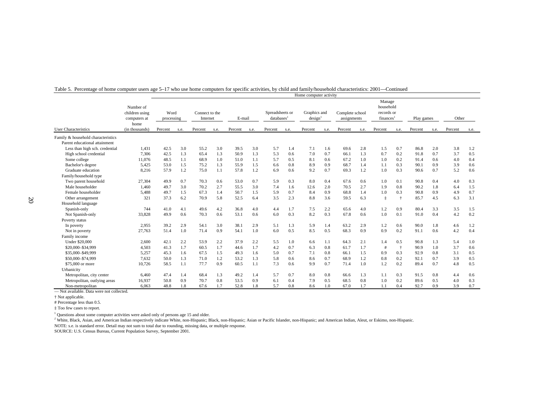| Manage<br>household<br>Number of<br>records or<br>Spreadsheets or<br>Graphics and<br>Word<br>Connect to the<br>Complete school<br>children using<br>databases <sup>1</sup><br>Other<br>E-mail<br>design <sup>1</sup><br>finances<br>Internet<br>assignments<br>Play games<br>computers at<br>processing<br>home<br>User Characteristics<br>Percent<br>Percent<br>Percent<br>Percent<br>Percent<br>Percent<br>Percent<br>(in thousands)<br>Percent<br>Percent<br>s.e.<br>s.e.<br>s.e.<br>s.e.<br>s.e.<br>s.e.<br>s.e.<br>s.e.<br>s.e.<br>Family & household characteristics<br>Parent educational attainment<br>3.0<br>3.0<br>7.1<br>2.8<br>0.7<br>3.8<br>Less than high sch. credential<br>1.431<br>42.5<br>55.2<br>3.0<br>39.5<br>5.7<br>1.4<br>69.6<br>1.5<br>86.8<br>2.0<br>1.2<br>1.6<br>7.306<br>1.3<br>50.9<br>1.3<br>7.0<br>0.7<br>1.3<br>0.2<br>0.7<br>3.7<br>High school credential<br>42.5<br>1.3<br>5.3<br>0.6<br>66.1<br>91.8<br>0.5<br>65.4<br>0.7<br>1.0<br>0.2<br>11,076<br>68.9<br>1.0<br>5.7<br>0.5<br>8.1<br>0.6<br>91.4<br>0.6<br>4.0<br>0.4<br>Some college<br>48.5<br>1.1<br>51.0<br>1.1<br>67.2<br>1.0<br>1.5<br>90.1<br>3.9<br>5,425<br>53.0<br>1.5<br>75.2<br>1.3<br>55.9<br>0.8<br>8.9<br>0.9<br>68.7<br>1.4<br>0.3<br>0.9<br>Bachelor's degree<br>0.6<br>1.1<br>6.6<br>1.2<br>57.8<br>1.2<br>0.7<br>1.2<br>0.3<br>90.6<br>0.7<br>5.2<br>Graduate education<br>57.9<br>75.0<br>1.1<br>0.6<br>9.2<br>69.3<br>1.0<br>0.6<br>8,216<br>6.9<br>Family/household type<br>Two parent household<br>27.304<br>70.3<br>0.3<br>90.8<br>0.4<br>4.0<br>49.9<br>0.7<br>0.6<br>53.0<br>0.7<br>5.9<br>8.0<br>0.4<br>67.6<br>0.6<br>1.0<br>0.1<br>0.3<br>3.0<br>70.2<br>3.0<br>7.4<br>2.0<br>70.5<br>2.7<br>0.8<br>90.2<br>Male householder<br>1.460<br>49.7<br>2.7<br>55.5<br>1.6<br>1.9<br>1.8<br>1.5<br>12.6<br>6.4<br>5.488<br>50.7<br>1.5<br>8.4<br>0.9<br>90.8<br>Female householder<br>49.7<br>1.5<br>67.3<br>5.9<br>0.7<br>68.8<br>1.4<br>1.0<br>0.3<br>0.9<br>4.9<br>0.7<br>1.4<br>6.3<br>321<br>37.3<br>70.9<br>5.8<br>6.4<br>3.5<br>2.3<br>8.8<br>6.3<br>$+$<br>85.7<br>3.1<br>6.2<br>52.5<br>3.6<br>59.5<br>4.5<br>Other arrangement<br>Household language<br>4.2<br>4.0<br>2.2<br>0.9<br>3.5<br>744<br>41.0<br>4.1<br>49.6<br>36.8<br>4.4<br>1.7<br>7.5<br>65.6<br>4.0<br>1.2<br>80.4<br>3.3<br>1.5<br>Spanish-only<br>4.2<br>53.1<br>0.3<br>8.2<br>0.3<br>67.8<br>0.1<br>91.0<br>0.4<br>0.2<br>33,828<br>49.9<br>0.6<br>70.3<br>0.6<br>0.6<br>1.0<br>Not Spanish-only<br>0.6<br>6.0<br>Poverty status<br>39.2<br>2.9<br>38.1<br>2,955<br>54.1<br>3.0<br>2.9<br>1.3<br>5.9<br>1.4<br>63.2<br>2.9<br>1.2<br>0.6<br>90.0<br>5.1<br>1.8<br>4.6<br>1.2<br>In poverty<br>54.1<br>0.2<br>4.2<br>27,763<br>51.4<br>1.0<br>71.4<br>0.9<br>1.0<br>0.5<br>8.5<br>0.5<br>68.3<br>0.9<br>0.9<br>91.1<br>0.6<br>0.4<br>6.0<br>Not in poverty<br>Family income<br>37.9<br><b>Under \$20,000</b><br>2,600<br>42.1<br>2.2<br>53.9<br>2.2<br>2.2<br>5.5<br>1.0<br>1.1<br>64.3<br>2.1<br>0.5<br>90.8<br>5.4<br>1.4<br>1.3<br>1.0<br>6.6<br>$\ddot{\tau}$<br>\$20,000-\$34,999<br>4,503<br>1.7<br>60.5<br>44.6<br>1.7<br>4.2<br>0.7<br>0.8<br>61.7<br>1.7<br>90.9<br>1.0<br>3.7<br>0.6<br>41.3<br>1.7<br>6.3<br>#<br>3.1<br>\$35,000-\$49,999<br>5.257<br>49.3<br>1.6<br>0.7<br>7.1<br>0.8<br>1.5<br>0.9<br>0.3<br>92.9<br>0.8<br>0.5<br>45.3<br>1.6<br>67.5<br>1.5<br>5.0<br>66.1<br>7,632<br>1.3<br>0.7<br>1.2<br>0.2<br>92.1<br>3.9<br>\$50,000-\$74,999<br>50.0<br>1.3<br>1.2<br>53.2<br>68.9<br>0.8<br>0.7<br>0.5<br>71.0<br>5.8<br>0.6<br>8.6<br>0.2<br>89.4<br>1.1<br>7.3<br>0.7<br>1.0<br>1.2<br>0.7<br>4.8<br>\$75,000 or more<br>10,726<br>58.5<br>1.1<br>77.7<br>0.9<br>60.5<br>0.6<br>9.9<br>71.4<br>0.5<br>Urbanicity<br>49.2<br>0.7<br>0.8<br>1.3<br>0.3<br>91.5<br>0.8<br>4.4<br>Metropolitan, city center<br>6,460<br>47.4<br>68.4<br>1.3<br>1.4<br>5.7<br>8.0<br>0.6<br>1.4<br>66.6<br>1.1<br>7.9<br>0.8<br>Metropolitan, outlying areas<br>16,937<br>50.8<br>0.9<br>70.7<br>53.5<br>0.9<br>0.4<br>0.5<br>68.5<br>1.0<br>0.2<br>89.6<br>0.5<br>4.0<br>0.3<br>0.8<br>6.1 |                  |       | Home computer activity |     |      |     |      |     |     |     |     |     |      |     |     |     |      |     |     |     |
|--------------------------------------------------------------------------------------------------------------------------------------------------------------------------------------------------------------------------------------------------------------------------------------------------------------------------------------------------------------------------------------------------------------------------------------------------------------------------------------------------------------------------------------------------------------------------------------------------------------------------------------------------------------------------------------------------------------------------------------------------------------------------------------------------------------------------------------------------------------------------------------------------------------------------------------------------------------------------------------------------------------------------------------------------------------------------------------------------------------------------------------------------------------------------------------------------------------------------------------------------------------------------------------------------------------------------------------------------------------------------------------------------------------------------------------------------------------------------------------------------------------------------------------------------------------------------------------------------------------------------------------------------------------------------------------------------------------------------------------------------------------------------------------------------------------------------------------------------------------------------------------------------------------------------------------------------------------------------------------------------------------------------------------------------------------------------------------------------------------------------------------------------------------------------------------------------------------------------------------------------------------------------------------------------------------------------------------------------------------------------------------------------------------------------------------------------------------------------------------------------------------------------------------------------------------------------------------------------------------------------------------------------------------------------------------------------------------------------------------------------------------------------------------------------------------------------------------------------------------------------------------------------------------------------------------------------------------------------------------------------------------------------------------------------------------------------------------------------------------------------------------------------------------------------------------------------------------------------------------------------------------------------------------------------------------------------------------------------------------------------------------------------------------------------------------------------------------------------------------------------------------------------------------------------------------------------------------------------------------------------------------------------------------------------------------------------------------------------------------------------------------------------------------------------------------------------------------------------------------------------------------------------------------------------------------------------------------------------------------------------------------------------------------------------------------------------------------------|------------------|-------|------------------------|-----|------|-----|------|-----|-----|-----|-----|-----|------|-----|-----|-----|------|-----|-----|-----|
|                                                                                                                                                                                                                                                                                                                                                                                                                                                                                                                                                                                                                                                                                                                                                                                                                                                                                                                                                                                                                                                                                                                                                                                                                                                                                                                                                                                                                                                                                                                                                                                                                                                                                                                                                                                                                                                                                                                                                                                                                                                                                                                                                                                                                                                                                                                                                                                                                                                                                                                                                                                                                                                                                                                                                                                                                                                                                                                                                                                                                                                                                                                                                                                                                                                                                                                                                                                                                                                                                                                                                                                                                                                                                                                                                                                                                                                                                                                                                                                                                                                                                            |                  |       |                        |     |      |     |      |     |     |     |     |     |      |     |     |     |      |     |     |     |
|                                                                                                                                                                                                                                                                                                                                                                                                                                                                                                                                                                                                                                                                                                                                                                                                                                                                                                                                                                                                                                                                                                                                                                                                                                                                                                                                                                                                                                                                                                                                                                                                                                                                                                                                                                                                                                                                                                                                                                                                                                                                                                                                                                                                                                                                                                                                                                                                                                                                                                                                                                                                                                                                                                                                                                                                                                                                                                                                                                                                                                                                                                                                                                                                                                                                                                                                                                                                                                                                                                                                                                                                                                                                                                                                                                                                                                                                                                                                                                                                                                                                                            |                  |       |                        |     |      |     |      |     |     |     |     |     |      |     |     |     |      |     |     |     |
|                                                                                                                                                                                                                                                                                                                                                                                                                                                                                                                                                                                                                                                                                                                                                                                                                                                                                                                                                                                                                                                                                                                                                                                                                                                                                                                                                                                                                                                                                                                                                                                                                                                                                                                                                                                                                                                                                                                                                                                                                                                                                                                                                                                                                                                                                                                                                                                                                                                                                                                                                                                                                                                                                                                                                                                                                                                                                                                                                                                                                                                                                                                                                                                                                                                                                                                                                                                                                                                                                                                                                                                                                                                                                                                                                                                                                                                                                                                                                                                                                                                                                            |                  |       |                        |     |      |     |      |     |     |     |     |     |      |     |     |     |      |     |     |     |
|                                                                                                                                                                                                                                                                                                                                                                                                                                                                                                                                                                                                                                                                                                                                                                                                                                                                                                                                                                                                                                                                                                                                                                                                                                                                                                                                                                                                                                                                                                                                                                                                                                                                                                                                                                                                                                                                                                                                                                                                                                                                                                                                                                                                                                                                                                                                                                                                                                                                                                                                                                                                                                                                                                                                                                                                                                                                                                                                                                                                                                                                                                                                                                                                                                                                                                                                                                                                                                                                                                                                                                                                                                                                                                                                                                                                                                                                                                                                                                                                                                                                                            |                  |       |                        |     |      |     |      |     |     |     |     |     |      |     |     |     |      |     |     |     |
|                                                                                                                                                                                                                                                                                                                                                                                                                                                                                                                                                                                                                                                                                                                                                                                                                                                                                                                                                                                                                                                                                                                                                                                                                                                                                                                                                                                                                                                                                                                                                                                                                                                                                                                                                                                                                                                                                                                                                                                                                                                                                                                                                                                                                                                                                                                                                                                                                                                                                                                                                                                                                                                                                                                                                                                                                                                                                                                                                                                                                                                                                                                                                                                                                                                                                                                                                                                                                                                                                                                                                                                                                                                                                                                                                                                                                                                                                                                                                                                                                                                                                            |                  |       |                        |     |      |     |      |     |     |     |     |     |      |     |     |     |      |     |     |     |
|                                                                                                                                                                                                                                                                                                                                                                                                                                                                                                                                                                                                                                                                                                                                                                                                                                                                                                                                                                                                                                                                                                                                                                                                                                                                                                                                                                                                                                                                                                                                                                                                                                                                                                                                                                                                                                                                                                                                                                                                                                                                                                                                                                                                                                                                                                                                                                                                                                                                                                                                                                                                                                                                                                                                                                                                                                                                                                                                                                                                                                                                                                                                                                                                                                                                                                                                                                                                                                                                                                                                                                                                                                                                                                                                                                                                                                                                                                                                                                                                                                                                                            |                  |       |                        |     |      |     |      |     |     |     |     |     |      |     |     |     |      |     |     |     |
|                                                                                                                                                                                                                                                                                                                                                                                                                                                                                                                                                                                                                                                                                                                                                                                                                                                                                                                                                                                                                                                                                                                                                                                                                                                                                                                                                                                                                                                                                                                                                                                                                                                                                                                                                                                                                                                                                                                                                                                                                                                                                                                                                                                                                                                                                                                                                                                                                                                                                                                                                                                                                                                                                                                                                                                                                                                                                                                                                                                                                                                                                                                                                                                                                                                                                                                                                                                                                                                                                                                                                                                                                                                                                                                                                                                                                                                                                                                                                                                                                                                                                            |                  |       |                        |     |      |     |      |     |     |     |     |     |      |     |     |     |      |     |     |     |
|                                                                                                                                                                                                                                                                                                                                                                                                                                                                                                                                                                                                                                                                                                                                                                                                                                                                                                                                                                                                                                                                                                                                                                                                                                                                                                                                                                                                                                                                                                                                                                                                                                                                                                                                                                                                                                                                                                                                                                                                                                                                                                                                                                                                                                                                                                                                                                                                                                                                                                                                                                                                                                                                                                                                                                                                                                                                                                                                                                                                                                                                                                                                                                                                                                                                                                                                                                                                                                                                                                                                                                                                                                                                                                                                                                                                                                                                                                                                                                                                                                                                                            |                  |       |                        |     |      |     |      |     |     |     |     |     |      |     |     |     |      |     |     |     |
|                                                                                                                                                                                                                                                                                                                                                                                                                                                                                                                                                                                                                                                                                                                                                                                                                                                                                                                                                                                                                                                                                                                                                                                                                                                                                                                                                                                                                                                                                                                                                                                                                                                                                                                                                                                                                                                                                                                                                                                                                                                                                                                                                                                                                                                                                                                                                                                                                                                                                                                                                                                                                                                                                                                                                                                                                                                                                                                                                                                                                                                                                                                                                                                                                                                                                                                                                                                                                                                                                                                                                                                                                                                                                                                                                                                                                                                                                                                                                                                                                                                                                            |                  |       |                        |     |      |     |      |     |     |     |     |     |      |     |     |     |      |     |     |     |
|                                                                                                                                                                                                                                                                                                                                                                                                                                                                                                                                                                                                                                                                                                                                                                                                                                                                                                                                                                                                                                                                                                                                                                                                                                                                                                                                                                                                                                                                                                                                                                                                                                                                                                                                                                                                                                                                                                                                                                                                                                                                                                                                                                                                                                                                                                                                                                                                                                                                                                                                                                                                                                                                                                                                                                                                                                                                                                                                                                                                                                                                                                                                                                                                                                                                                                                                                                                                                                                                                                                                                                                                                                                                                                                                                                                                                                                                                                                                                                                                                                                                                            |                  |       |                        |     |      |     |      |     |     |     |     |     |      |     |     |     |      |     |     |     |
|                                                                                                                                                                                                                                                                                                                                                                                                                                                                                                                                                                                                                                                                                                                                                                                                                                                                                                                                                                                                                                                                                                                                                                                                                                                                                                                                                                                                                                                                                                                                                                                                                                                                                                                                                                                                                                                                                                                                                                                                                                                                                                                                                                                                                                                                                                                                                                                                                                                                                                                                                                                                                                                                                                                                                                                                                                                                                                                                                                                                                                                                                                                                                                                                                                                                                                                                                                                                                                                                                                                                                                                                                                                                                                                                                                                                                                                                                                                                                                                                                                                                                            |                  |       |                        |     |      |     |      |     |     |     |     |     |      |     |     |     |      |     |     |     |
|                                                                                                                                                                                                                                                                                                                                                                                                                                                                                                                                                                                                                                                                                                                                                                                                                                                                                                                                                                                                                                                                                                                                                                                                                                                                                                                                                                                                                                                                                                                                                                                                                                                                                                                                                                                                                                                                                                                                                                                                                                                                                                                                                                                                                                                                                                                                                                                                                                                                                                                                                                                                                                                                                                                                                                                                                                                                                                                                                                                                                                                                                                                                                                                                                                                                                                                                                                                                                                                                                                                                                                                                                                                                                                                                                                                                                                                                                                                                                                                                                                                                                            |                  |       |                        |     |      |     |      |     |     |     |     |     |      |     |     |     |      |     |     |     |
|                                                                                                                                                                                                                                                                                                                                                                                                                                                                                                                                                                                                                                                                                                                                                                                                                                                                                                                                                                                                                                                                                                                                                                                                                                                                                                                                                                                                                                                                                                                                                                                                                                                                                                                                                                                                                                                                                                                                                                                                                                                                                                                                                                                                                                                                                                                                                                                                                                                                                                                                                                                                                                                                                                                                                                                                                                                                                                                                                                                                                                                                                                                                                                                                                                                                                                                                                                                                                                                                                                                                                                                                                                                                                                                                                                                                                                                                                                                                                                                                                                                                                            |                  |       |                        |     |      |     |      |     |     |     |     |     |      |     |     |     |      |     |     |     |
|                                                                                                                                                                                                                                                                                                                                                                                                                                                                                                                                                                                                                                                                                                                                                                                                                                                                                                                                                                                                                                                                                                                                                                                                                                                                                                                                                                                                                                                                                                                                                                                                                                                                                                                                                                                                                                                                                                                                                                                                                                                                                                                                                                                                                                                                                                                                                                                                                                                                                                                                                                                                                                                                                                                                                                                                                                                                                                                                                                                                                                                                                                                                                                                                                                                                                                                                                                                                                                                                                                                                                                                                                                                                                                                                                                                                                                                                                                                                                                                                                                                                                            |                  |       |                        |     |      |     |      |     |     |     |     |     |      |     |     |     |      |     |     |     |
|                                                                                                                                                                                                                                                                                                                                                                                                                                                                                                                                                                                                                                                                                                                                                                                                                                                                                                                                                                                                                                                                                                                                                                                                                                                                                                                                                                                                                                                                                                                                                                                                                                                                                                                                                                                                                                                                                                                                                                                                                                                                                                                                                                                                                                                                                                                                                                                                                                                                                                                                                                                                                                                                                                                                                                                                                                                                                                                                                                                                                                                                                                                                                                                                                                                                                                                                                                                                                                                                                                                                                                                                                                                                                                                                                                                                                                                                                                                                                                                                                                                                                            |                  |       |                        |     |      |     |      |     |     |     |     |     |      |     |     |     |      |     |     |     |
|                                                                                                                                                                                                                                                                                                                                                                                                                                                                                                                                                                                                                                                                                                                                                                                                                                                                                                                                                                                                                                                                                                                                                                                                                                                                                                                                                                                                                                                                                                                                                                                                                                                                                                                                                                                                                                                                                                                                                                                                                                                                                                                                                                                                                                                                                                                                                                                                                                                                                                                                                                                                                                                                                                                                                                                                                                                                                                                                                                                                                                                                                                                                                                                                                                                                                                                                                                                                                                                                                                                                                                                                                                                                                                                                                                                                                                                                                                                                                                                                                                                                                            |                  |       |                        |     |      |     |      |     |     |     |     |     |      |     |     |     |      |     |     |     |
|                                                                                                                                                                                                                                                                                                                                                                                                                                                                                                                                                                                                                                                                                                                                                                                                                                                                                                                                                                                                                                                                                                                                                                                                                                                                                                                                                                                                                                                                                                                                                                                                                                                                                                                                                                                                                                                                                                                                                                                                                                                                                                                                                                                                                                                                                                                                                                                                                                                                                                                                                                                                                                                                                                                                                                                                                                                                                                                                                                                                                                                                                                                                                                                                                                                                                                                                                                                                                                                                                                                                                                                                                                                                                                                                                                                                                                                                                                                                                                                                                                                                                            |                  |       |                        |     |      |     |      |     |     |     |     |     |      |     |     |     |      |     |     |     |
|                                                                                                                                                                                                                                                                                                                                                                                                                                                                                                                                                                                                                                                                                                                                                                                                                                                                                                                                                                                                                                                                                                                                                                                                                                                                                                                                                                                                                                                                                                                                                                                                                                                                                                                                                                                                                                                                                                                                                                                                                                                                                                                                                                                                                                                                                                                                                                                                                                                                                                                                                                                                                                                                                                                                                                                                                                                                                                                                                                                                                                                                                                                                                                                                                                                                                                                                                                                                                                                                                                                                                                                                                                                                                                                                                                                                                                                                                                                                                                                                                                                                                            |                  |       |                        |     |      |     |      |     |     |     |     |     |      |     |     |     |      |     |     |     |
|                                                                                                                                                                                                                                                                                                                                                                                                                                                                                                                                                                                                                                                                                                                                                                                                                                                                                                                                                                                                                                                                                                                                                                                                                                                                                                                                                                                                                                                                                                                                                                                                                                                                                                                                                                                                                                                                                                                                                                                                                                                                                                                                                                                                                                                                                                                                                                                                                                                                                                                                                                                                                                                                                                                                                                                                                                                                                                                                                                                                                                                                                                                                                                                                                                                                                                                                                                                                                                                                                                                                                                                                                                                                                                                                                                                                                                                                                                                                                                                                                                                                                            |                  |       |                        |     |      |     |      |     |     |     |     |     |      |     |     |     |      |     |     |     |
|                                                                                                                                                                                                                                                                                                                                                                                                                                                                                                                                                                                                                                                                                                                                                                                                                                                                                                                                                                                                                                                                                                                                                                                                                                                                                                                                                                                                                                                                                                                                                                                                                                                                                                                                                                                                                                                                                                                                                                                                                                                                                                                                                                                                                                                                                                                                                                                                                                                                                                                                                                                                                                                                                                                                                                                                                                                                                                                                                                                                                                                                                                                                                                                                                                                                                                                                                                                                                                                                                                                                                                                                                                                                                                                                                                                                                                                                                                                                                                                                                                                                                            |                  |       |                        |     |      |     |      |     |     |     |     |     |      |     |     |     |      |     |     |     |
|                                                                                                                                                                                                                                                                                                                                                                                                                                                                                                                                                                                                                                                                                                                                                                                                                                                                                                                                                                                                                                                                                                                                                                                                                                                                                                                                                                                                                                                                                                                                                                                                                                                                                                                                                                                                                                                                                                                                                                                                                                                                                                                                                                                                                                                                                                                                                                                                                                                                                                                                                                                                                                                                                                                                                                                                                                                                                                                                                                                                                                                                                                                                                                                                                                                                                                                                                                                                                                                                                                                                                                                                                                                                                                                                                                                                                                                                                                                                                                                                                                                                                            |                  |       |                        |     |      |     |      |     |     |     |     |     |      |     |     |     |      |     |     |     |
|                                                                                                                                                                                                                                                                                                                                                                                                                                                                                                                                                                                                                                                                                                                                                                                                                                                                                                                                                                                                                                                                                                                                                                                                                                                                                                                                                                                                                                                                                                                                                                                                                                                                                                                                                                                                                                                                                                                                                                                                                                                                                                                                                                                                                                                                                                                                                                                                                                                                                                                                                                                                                                                                                                                                                                                                                                                                                                                                                                                                                                                                                                                                                                                                                                                                                                                                                                                                                                                                                                                                                                                                                                                                                                                                                                                                                                                                                                                                                                                                                                                                                            |                  |       |                        |     |      |     |      |     |     |     |     |     |      |     |     |     |      |     |     |     |
|                                                                                                                                                                                                                                                                                                                                                                                                                                                                                                                                                                                                                                                                                                                                                                                                                                                                                                                                                                                                                                                                                                                                                                                                                                                                                                                                                                                                                                                                                                                                                                                                                                                                                                                                                                                                                                                                                                                                                                                                                                                                                                                                                                                                                                                                                                                                                                                                                                                                                                                                                                                                                                                                                                                                                                                                                                                                                                                                                                                                                                                                                                                                                                                                                                                                                                                                                                                                                                                                                                                                                                                                                                                                                                                                                                                                                                                                                                                                                                                                                                                                                            |                  |       |                        |     |      |     |      |     |     |     |     |     |      |     |     |     |      |     |     |     |
|                                                                                                                                                                                                                                                                                                                                                                                                                                                                                                                                                                                                                                                                                                                                                                                                                                                                                                                                                                                                                                                                                                                                                                                                                                                                                                                                                                                                                                                                                                                                                                                                                                                                                                                                                                                                                                                                                                                                                                                                                                                                                                                                                                                                                                                                                                                                                                                                                                                                                                                                                                                                                                                                                                                                                                                                                                                                                                                                                                                                                                                                                                                                                                                                                                                                                                                                                                                                                                                                                                                                                                                                                                                                                                                                                                                                                                                                                                                                                                                                                                                                                            |                  |       |                        |     |      |     |      |     |     |     |     |     |      |     |     |     |      |     |     |     |
|                                                                                                                                                                                                                                                                                                                                                                                                                                                                                                                                                                                                                                                                                                                                                                                                                                                                                                                                                                                                                                                                                                                                                                                                                                                                                                                                                                                                                                                                                                                                                                                                                                                                                                                                                                                                                                                                                                                                                                                                                                                                                                                                                                                                                                                                                                                                                                                                                                                                                                                                                                                                                                                                                                                                                                                                                                                                                                                                                                                                                                                                                                                                                                                                                                                                                                                                                                                                                                                                                                                                                                                                                                                                                                                                                                                                                                                                                                                                                                                                                                                                                            |                  |       |                        |     |      |     |      |     |     |     |     |     |      |     |     |     |      |     |     |     |
|                                                                                                                                                                                                                                                                                                                                                                                                                                                                                                                                                                                                                                                                                                                                                                                                                                                                                                                                                                                                                                                                                                                                                                                                                                                                                                                                                                                                                                                                                                                                                                                                                                                                                                                                                                                                                                                                                                                                                                                                                                                                                                                                                                                                                                                                                                                                                                                                                                                                                                                                                                                                                                                                                                                                                                                                                                                                                                                                                                                                                                                                                                                                                                                                                                                                                                                                                                                                                                                                                                                                                                                                                                                                                                                                                                                                                                                                                                                                                                                                                                                                                            |                  |       |                        |     |      |     |      |     |     |     |     |     |      |     |     |     |      |     |     |     |
|                                                                                                                                                                                                                                                                                                                                                                                                                                                                                                                                                                                                                                                                                                                                                                                                                                                                                                                                                                                                                                                                                                                                                                                                                                                                                                                                                                                                                                                                                                                                                                                                                                                                                                                                                                                                                                                                                                                                                                                                                                                                                                                                                                                                                                                                                                                                                                                                                                                                                                                                                                                                                                                                                                                                                                                                                                                                                                                                                                                                                                                                                                                                                                                                                                                                                                                                                                                                                                                                                                                                                                                                                                                                                                                                                                                                                                                                                                                                                                                                                                                                                            |                  |       |                        |     |      |     |      |     |     |     |     |     |      |     |     |     |      |     |     |     |
|                                                                                                                                                                                                                                                                                                                                                                                                                                                                                                                                                                                                                                                                                                                                                                                                                                                                                                                                                                                                                                                                                                                                                                                                                                                                                                                                                                                                                                                                                                                                                                                                                                                                                                                                                                                                                                                                                                                                                                                                                                                                                                                                                                                                                                                                                                                                                                                                                                                                                                                                                                                                                                                                                                                                                                                                                                                                                                                                                                                                                                                                                                                                                                                                                                                                                                                                                                                                                                                                                                                                                                                                                                                                                                                                                                                                                                                                                                                                                                                                                                                                                            |                  |       |                        |     |      |     |      |     |     |     |     |     |      |     |     |     |      |     |     |     |
|                                                                                                                                                                                                                                                                                                                                                                                                                                                                                                                                                                                                                                                                                                                                                                                                                                                                                                                                                                                                                                                                                                                                                                                                                                                                                                                                                                                                                                                                                                                                                                                                                                                                                                                                                                                                                                                                                                                                                                                                                                                                                                                                                                                                                                                                                                                                                                                                                                                                                                                                                                                                                                                                                                                                                                                                                                                                                                                                                                                                                                                                                                                                                                                                                                                                                                                                                                                                                                                                                                                                                                                                                                                                                                                                                                                                                                                                                                                                                                                                                                                                                            | Non-metropolitan | 6.063 | 48.8                   | 1.8 | 67.6 | 1.7 | 52.8 | 1.8 | 5.7 | 0.8 | 8.6 | 1.0 | 67.0 | 1.7 | 1.1 | 0.4 | 92.7 | 0.9 | 3.9 | 0.7 |

Table 5. Percentage of home computer users age 5–17 who use home computers for specific activities, by child and family/household characteristics: 2001—Continued

— Not available. Data were not collected.

† Not applicable.

# Percentage less than 0.5.

‡ Too few cases to report.

 $1$  Questions about some computer activities were asked only of persons age 15 and older.

<sup>2</sup> White, Black, Asian, and American Indian respectively indicate White, non-Hispanic; Black, non-Hispanic; Asian or Pacific Islander, non-Hispanic; and American Indian, Aleut, or Eskimo, non-Hispanic.

NOTE: s.e. is standard error. Detail may not sum to total due to rounding, missing data, or multiple response.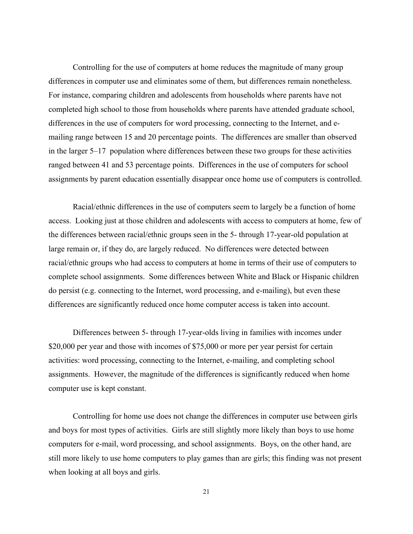Controlling for the use of computers at home reduces the magnitude of many group differences in computer use and eliminates some of them, but differences remain nonetheless. For instance, comparing children and adolescents from households where parents have not completed high school to those from households where parents have attended graduate school, differences in the use of computers for word processing, connecting to the Internet, and emailing range between 15 and 20 percentage points. The differences are smaller than observed in the larger 5–17 population where differences between these two groups for these activities ranged between 41 and 53 percentage points. Differences in the use of computers for school assignments by parent education essentially disappear once home use of computers is controlled.

Racial/ethnic differences in the use of computers seem to largely be a function of home access. Looking just at those children and adolescents with access to computers at home, few of the differences between racial/ethnic groups seen in the 5- through 17-year-old population at large remain or, if they do, are largely reduced. No differences were detected between racial/ethnic groups who had access to computers at home in terms of their use of computers to complete school assignments. Some differences between White and Black or Hispanic children do persist (e.g. connecting to the Internet, word processing, and e-mailing), but even these differences are significantly reduced once home computer access is taken into account.

Differences between 5- through 17-year-olds living in families with incomes under \$20,000 per year and those with incomes of \$75,000 or more per year persist for certain activities: word processing, connecting to the Internet, e-mailing, and completing school assignments. However, the magnitude of the differences is significantly reduced when home computer use is kept constant.

Controlling for home use does not change the differences in computer use between girls and boys for most types of activities. Girls are still slightly more likely than boys to use home computers for e-mail, word processing, and school assignments. Boys, on the other hand, are still more likely to use home computers to play games than are girls; this finding was not present when looking at all boys and girls.

21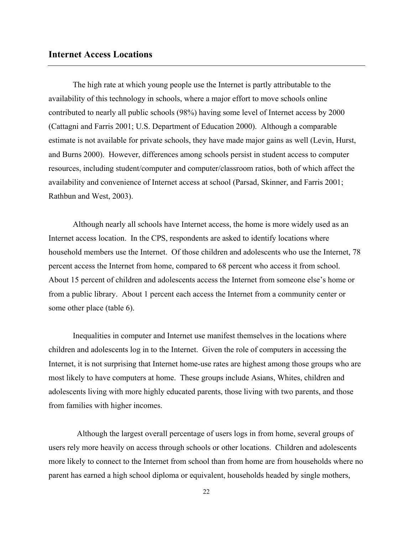# <span id="page-32-0"></span>**Internet Access Locations**

The high rate at which young people use the Internet is partly attributable to the availability of this technology in schools, where a major effort to move schools online contributed to nearly all public schools (98%) having some level of Internet access by 2000 (Cattagni and Farris 2001; U.S. Department of Education 2000). Although a comparable estimate is not available for private schools, they have made major gains as well (Levin, Hurst, and Burns 2000). However, differences among schools persist in student access to computer resources, including student/computer and computer/classroom ratios, both of which affect the availability and convenience of Internet access at school (Parsad, Skinner, and Farris 2001; Rathbun and West, 2003).

Although nearly all schools have Internet access, the home is more widely used as an Internet access location. In the CPS, respondents are asked to identify locations where household members use the Internet. Of those children and adolescents who use the Internet, 78 percent access the Internet from home, compared to 68 percent who access it from school. About 15 percent of children and adolescents access the Internet from someone else's home or from a public library. About 1 percent each access the Internet from a community center or some other place (table 6).

Inequalities in computer and Internet use manifest themselves in the locations where children and adolescents log in to the Internet. Given the role of computers in accessing the Internet, it is not surprising that Internet home-use rates are highest among those groups who are most likely to have computers at home. These groups include Asians, Whites, children and adolescents living with more highly educated parents, those living with two parents, and those from families with higher incomes.

 Although the largest overall percentage of users logs in from home, several groups of users rely more heavily on access through schools or other locations. Children and adolescents more likely to connect to the Internet from school than from home are from households where no parent has earned a high school diploma or equivalent, households headed by single mothers,

22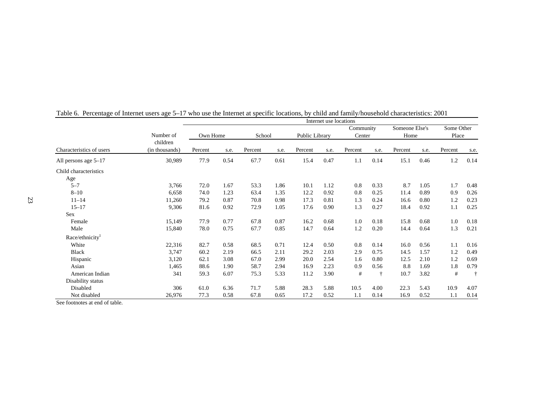|                             |                            | Internet use locations |      |         |      |         |                |           |            |                |      |            |            |  |  |
|-----------------------------|----------------------------|------------------------|------|---------|------|---------|----------------|-----------|------------|----------------|------|------------|------------|--|--|
|                             |                            |                        |      |         |      |         |                | Community |            | Someone Else's |      | Some Other |            |  |  |
|                             | Number of                  | Own Home               |      | School  |      |         | Public Library |           | Center     | Home           |      | Place      |            |  |  |
| Characteristics of users    | children<br>(in thousands) | Percent                | s.e. | Percent | s.e. | Percent | s.e.           | Percent   | s.e.       | Percent        | s.e. | Percent    | s.e.       |  |  |
| All persons age $5-17$      | 30,989                     | 77.9                   | 0.54 | 67.7    | 0.61 | 15.4    | 0.47           | 1.1       | 0.14       | 15.1           | 0.46 | 1.2        | 0.14       |  |  |
| Child characteristics       |                            |                        |      |         |      |         |                |           |            |                |      |            |            |  |  |
| Age                         |                            |                        |      |         |      |         |                |           |            |                |      |            |            |  |  |
| $5 - 7$                     | 3,766                      | 72.0                   | 1.67 | 53.3    | 1.86 | 10.1    | 1.12           | 0.8       | 0.33       | 8.7            | 1.05 | 1.7        | 0.48       |  |  |
| $8 - 10$                    | 6,658                      | 74.0                   | 1.23 | 63.4    | 1.35 | 12.2    | 0.92           | 0.8       | 0.25       | 11.4           | 0.89 | 0.9        | 0.26       |  |  |
| $11 - 14$                   | 11,260                     | 79.2                   | 0.87 | 70.8    | 0.98 | 17.3    | 0.81           | 1.3       | 0.24       | 16.6           | 0.80 | 1.2        | 0.23       |  |  |
| $15 - 17$                   | 9,306                      | 81.6                   | 0.92 | 72.9    | 1.05 | 17.6    | 0.90           | 1.3       | 0.27       | 18.4           | 0.92 | 1.1        | 0.25       |  |  |
| <b>Sex</b>                  |                            |                        |      |         |      |         |                |           |            |                |      |            |            |  |  |
| Female                      | 15,149                     | 77.9                   | 0.77 | 67.8    | 0.87 | 16.2    | 0.68           | 1.0       | 0.18       | 15.8           | 0.68 | 1.0        | 0.18       |  |  |
| Male                        | 15,840                     | 78.0                   | 0.75 | 67.7    | 0.85 | 14.7    | 0.64           | 1.2       | 0.20       | 14.4           | 0.64 | 1.3        | 0.21       |  |  |
| Race/ethnicity <sup>1</sup> |                            |                        |      |         |      |         |                |           |            |                |      |            |            |  |  |
| White                       | 22,316                     | 82.7                   | 0.58 | 68.5    | 0.71 | 12.4    | 0.50           | 0.8       | 0.14       | 16.0           | 0.56 | 1.1        | 0.16       |  |  |
| <b>Black</b>                | 3,747                      | 60.2                   | 2.19 | 66.5    | 2.11 | 29.2    | 2.03           | 2.9       | 0.75       | 14.5           | 1.57 | 1.2        | 0.49       |  |  |
| Hispanic                    | 3,120                      | 62.1                   | 3.08 | 67.0    | 2.99 | 20.0    | 2.54           | 1.6       | 0.80       | 12.5           | 2.10 | 1.2        | 0.69       |  |  |
| Asian                       | 1,465                      | 88.6                   | 1.90 | 58.7    | 2.94 | 16.9    | 2.23           | 0.9       | 0.56       | 8.8            | 1.69 | 1.8        | 0.79       |  |  |
| American Indian             | 341                        | 59.3                   | 6.07 | 75.3    | 5.33 | 11.2    | 3.90           | $\#$      | $\ddagger$ | 10.7           | 3.82 | $\#$       | $\ddagger$ |  |  |
| Disability status           |                            |                        |      |         |      |         |                |           |            |                |      |            |            |  |  |
| Disabled                    | 306                        | 61.0                   | 6.36 | 71.7    | 5.88 | 28.3    | 5.88           | 10.5      | 4.00       | 22.3           | 5.43 | 10.9       | 4.07       |  |  |
| Not disabled                | 26,976                     | 77.3                   | 0.58 | 67.8    | 0.65 | 17.2    | 0.52           | 1.1       | 0.14       | 16.9           | 0.52 | 1.1        | 0.14       |  |  |

|  |  |  | Table 6. Percentage of Internet users age 5–17 who use the Internet at specific locations, by child and family/household characteristics: 2001 |
|--|--|--|------------------------------------------------------------------------------------------------------------------------------------------------|
|  |  |  |                                                                                                                                                |

See footnotes at end of table.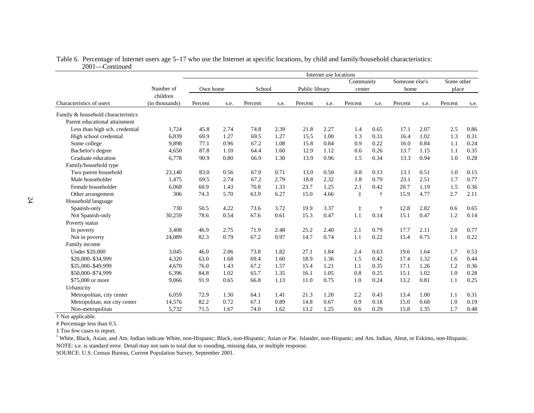|                                    |                            |          |      |         |      |                | Internet use locations |            |            |                |      |            |      |
|------------------------------------|----------------------------|----------|------|---------|------|----------------|------------------------|------------|------------|----------------|------|------------|------|
|                                    |                            |          |      |         |      |                |                        | Community  |            | Someone else's |      | Some other |      |
|                                    | Number of                  | Own home |      | School  |      | Public library |                        | center     |            | home           |      | place      |      |
| Characteristics of users           | children<br>(in thousands) | Percent  | s.e. | Percent | s.e. | Percent        | s.e.                   | Percent    | s.e.       | Percent        | s.e. | Percent    | s.e. |
|                                    |                            |          |      |         |      |                |                        |            |            |                |      |            |      |
| Family & household characteristics |                            |          |      |         |      |                |                        |            |            |                |      |            |      |
| Parent educational attainment      |                            |          |      |         |      |                |                        |            |            |                |      |            |      |
| Less than high sch. credential     | 1,724                      | 45.8     | 2.74 | 74.8    | 2.39 | 21.8           | 2.27                   | 1.4        | 0.65       | 17.1           | 2.07 | 2.5        | 0.86 |
| High school credential             | 6,839                      | 69.9     | 1.27 | 69.5    | 1.27 | 15.5           | 1.00                   | 1.3        | 0.31       | 16.4           | 1.02 | 1.3        | 0.31 |
| Some college                       | 9,898                      | 77.1     | 0.96 | 67.2    | 1.08 | 15.8           | 0.84                   | 0.9        | 0.22       | 16.0           | 0.84 | 1.1        | 0.24 |
| Bachelor's degree                  | 4,650                      | 87.8     | 1.10 | 64.4    | 1.60 | 12.9           | 1.12                   | 0.6        | 0.26       | 13.7           | 1.15 | 1.1        | 0.35 |
| Graduate education                 | 6,778                      | 90.9     | 0.80 | 66.9    | 1.30 | 13.9           | 0.96                   | 1.5        | 0.34       | 13.3           | 0.94 | 1.0        | 0.28 |
| Family/household type              |                            |          |      |         |      |                |                        |            |            |                |      |            |      |
| Two parent household               | 23,140                     | 83.0     | 0.56 | 67.0    | 0.71 | 13.0           | 0.50                   | 0.8        | 0.13       | 13.1           | 0.51 | 1.0        | 0.15 |
| Male householder                   | 1,475                      | 69.5     | 2.74 | 67.2    | 2.79 | 18.8           | 2.32                   | 1.8        | 0.79       | 23.1           | 2.51 | 1.7        | 0.77 |
| Female householder                 | 6,068                      | 60.9     | 1.43 | 70.8    | 1.33 | 23.7           | 1.25                   | 2.1        | 0.42       | 20.7           | 1.19 | 1.5        | 0.36 |
| Other arrangement                  | 306                        | 74.3     | 5.70 | 63.9    | 6.27 | 15.0           | 4.66                   | $\ddagger$ | $\dagger$  | 15.9           | 4.77 | 2.7        | 2.11 |
| Household language                 |                            |          |      |         |      |                |                        |            |            |                |      |            |      |
| Spanish-only                       | 730                        | 50.5     | 4.22 | 73.6    | 3.72 | 19.9           | 3.37                   | $\ddagger$ | $\ddagger$ | 12.8           | 2.82 | 0.6        | 0.65 |
| Not Spanish-only                   | 30,259                     | 78.6     | 0.54 | 67.6    | 0.61 | 15.3           | 0.47                   | 1.1        | 0.14       | 15.1           | 0.47 | 1.2        | 0.14 |
| Poverty status                     |                            |          |      |         |      |                |                        |            |            |                |      |            |      |
| In poverty                         | 3,408                      | 46.9     | 2.75 | 71.9    | 2.48 | 25.2           | 2.40                   | 2.1        | 0.79       | 17.7           | 2.11 | 2.0        | 0.77 |
| Not in poverty                     | 24,089                     | 82.3     | 0.79 | 67.2    | 0.97 | 14.7           | 0.74                   | 1.1        | 0.22       | 15.4           | 0.75 | 1.1        | 0.22 |
| Family income                      |                            |          |      |         |      |                |                        |            |            |                |      |            |      |
| <b>Under \$20,000</b>              | 3,045                      | 46.0     | 2.06 | 73.8    | 1.82 | 27.1           | 1.84                   | 2.4        | 0.63       | 19.6           | 1.64 | 1.7        | 0.53 |
| \$20,000-\$34,999                  | 4,320                      | 63.0     | 1.68 | 69.4    | 1.60 | 18.9           | 1.36                   | 1.5        | 0.42       | 17.4           | 1.32 | 1.6        | 0.44 |
| \$35,000-\$49,999                  | 4,670                      | 76.0     | 1.43 | 67.2    | 1.57 | 15.4           | 1.21                   | 1.1        | 0.35       | 17.1           | 1.26 | 1.2        | 0.36 |
| \$50,000-\$74,999                  | 6,396                      | 84.8     | 1.02 | 65.7    | 1.35 | 16.1           | 1.05                   | 0.8        | 0.25       | 15.1           | 1.02 | 1.0        | 0.28 |
| \$75,000 or more                   | 9,066                      | 91.9     | 0.65 | 66.8    | 1.13 | 11.0           | 0.75                   | 1.0        | 0.24       | 13.2           | 0.81 | 1.1        | 0.25 |
| Urbanicity                         |                            |          |      |         |      |                |                        |            |            |                |      |            |      |
| Metropolitan, city center          | 6,059                      | 72.9     | 1.30 | 64.1    | 1.41 | 21.3           | 1.20                   | 2.2        | 0.43       | 13.4           | 1.00 | 1.1        | 0.31 |
| Metropolitan, not city center      | 14,576                     | 82.2     | 0.72 | 67.1    | 0.89 | 14.8           | 0.67                   | 0.9        | 0.18       | 15.0           | 0.68 | 1.0        | 0.19 |
| Non-metropolitan                   | 5,732                      | 71.5     | 1.67 | 74.0    | 1.62 | 13.2           | 1.25                   | 0.6        | 0.29       | 15.8           | 1.35 | 1.7        | 0.48 |

| Table 6. Percentage of Internet users age 5–17 who use the Internet at specific locations, by child and family/household characteristics: |
|-------------------------------------------------------------------------------------------------------------------------------------------|
| 2001—Continued                                                                                                                            |

† Not applicable.

# Percentage less than 0.5.

‡ Too few cases to report.

NOTE: s.e. is standard error. Detail may not sum to total due to rounding, missing data, or multiple response. <sup>1</sup> White, Black, Asian, and Am. Indian indicate White, non-Hispanic; Black, non-Hispanic; Asian or Pac. Islander, non-Hispanic; and Am. Indian, Aleut, or Eskimo, non-Hispanic.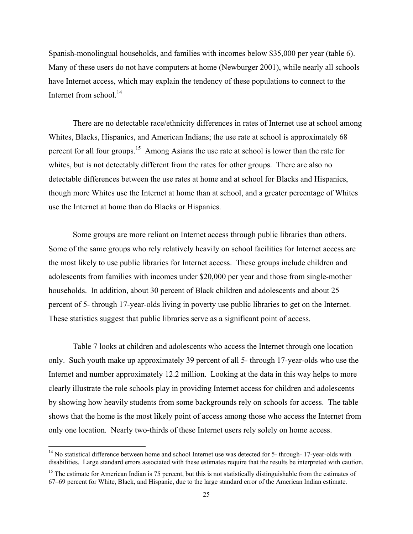Spanish-monolingual households, and families with incomes below \$35,000 per year (table 6). Many of these users do not have computers at home (Newburger 2001), while nearly all schools have Internet access, which may explain the tendency of these populations to connect to the Internet from school. $14$ 

There are no detectable race/ethnicity differences in rates of Internet use at school among Whites, Blacks, Hispanics, and American Indians; the use rate at school is approximately 68 percent for all four groups.<sup>15</sup> Among Asians the use rate at school is lower than the rate for whites, but is not detectably different from the rates for other groups. There are also no detectable differences between the use rates at home and at school for Blacks and Hispanics, though more Whites use the Internet at home than at school, and a greater percentage of Whites use the Internet at home than do Blacks or Hispanics.

Some groups are more reliant on Internet access through public libraries than others. Some of the same groups who rely relatively heavily on school facilities for Internet access are the most likely to use public libraries for Internet access. These groups include children and adolescents from families with incomes under \$20,000 per year and those from single-mother households. In addition, about 30 percent of Black children and adolescents and about 25 percent of 5- through 17-year-olds living in poverty use public libraries to get on the Internet. These statistics suggest that public libraries serve as a significant point of access.

Table 7 looks at children and adolescents who access the Internet through one location only. Such youth make up approximately 39 percent of all 5- through 17-year-olds who use the Internet and number approximately 12.2 million. Looking at the data in this way helps to more clearly illustrate the role schools play in providing Internet access for children and adolescents by showing how heavily students from some backgrounds rely on schools for access. The table shows that the home is the most likely point of access among those who access the Internet from only one location. Nearly two-thirds of these Internet users rely solely on home access.

 $\overline{a}$ 

<span id="page-35-0"></span><sup>&</sup>lt;sup>14</sup> No statistical difference between home and school Internet use was detected for 5- through- 17-year-olds with disabilities. Large standard errors associated with these estimates require that the results be interpreted with caution.

<span id="page-35-1"></span><sup>&</sup>lt;sup>15</sup> The estimate for American Indian is 75 percent, but this is not statistically distinguishable from the estimates of 67–69 percent for White, Black, and Hispanic, due to the large standard error of the American Indian estimate.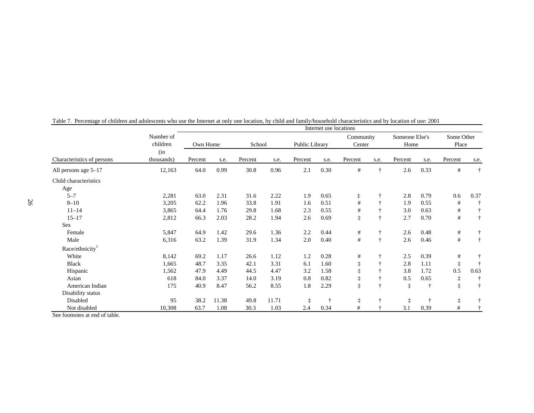|                             |                       |          |       |         |       |                | Internet use locations |                     |               |                        |            |                     |            |
|-----------------------------|-----------------------|----------|-------|---------|-------|----------------|------------------------|---------------------|---------------|------------------------|------------|---------------------|------------|
|                             | Number of<br>children | Own Home |       | School  |       | Public Library |                        | Community<br>Center |               | Someone Else's<br>Home |            | Some Other<br>Place |            |
| Characteristics of persons  | (in<br>thousands)     | Percent  | s.e.  | Percent | s.e.  | Percent        | s.e.                   | Percent             | s.e.          | Percent                | s.e.       | Percent             | s.e.       |
| All persons age 5-17        | 12,163                | 64.0     | 0.99  | 30.8    | 0.96  | 2.1            | 0.30                   | $\#$                | $\ddagger$    | 2.6                    | 0.33       | $\#$                | $\dagger$  |
| Child characteristics       |                       |          |       |         |       |                |                        |                     |               |                        |            |                     |            |
| Age                         |                       |          |       |         |       |                |                        |                     |               |                        |            |                     |            |
| $5 - 7$                     | 2,281                 | 63.0     | 2.31  | 31.6    | 2.22  | 1.9            | 0.65                   | $\ddagger$          |               | 2.8                    | 0.79       | 0.6                 | 0.37       |
| $8 - 10$                    | 3,205                 | 62.2     | 1.96  | 33.8    | 1.91  | 1.6            | 0.51                   | #                   | ÷             | 1.9                    | 0.55       | $\#$                | $\ddagger$ |
| $11 - 14$                   | 3,865                 | 64.4     | 1.76  | 29.8    | 1.68  | 2.3            | 0.55                   | $\#$                |               | 3.0                    | 0.63       | $\#$                | $\dagger$  |
| $15 - 17$                   | 2,812                 | 66.3     | 2.03  | 28.2    | 1.94  | 2.6            | 0.69                   | $\ddagger$          | $\ddagger$    | 2.7                    | 0.70       | $\#$                | $\dagger$  |
| <b>Sex</b>                  |                       |          |       |         |       |                |                        |                     |               |                        |            |                     |            |
| Female                      | 5,847                 | 64.9     | 1.42  | 29.6    | 1.36  | 2.2            | 0.44                   | #                   | $\dagger$     | 2.6                    | 0.48       | $\#$                | $\dagger$  |
| Male                        | 6,316                 | 63.2     | 1.39  | 31.9    | 1.34  | 2.0            | 0.40                   | $\#$                | ÷             | 2.6                    | 0.46       | $\#$                | $\dagger$  |
| Race/ethnicity <sup>1</sup> |                       |          |       |         |       |                |                        |                     |               |                        |            |                     |            |
| White                       | 8,142                 | 69.2     | 1.17  | 26.6    | 1.12  | 1.2            | 0.28                   | #                   | t             | 2.5                    | 0.39       | $\#$                | $\dagger$  |
| <b>Black</b>                | 1,665                 | 48.7     | 3.35  | 42.1    | 3.31  | 6.1            | 1.60                   | $\ddagger$          | $\dagger$     | 2.8                    | 1.11       | $\ddagger$          | $\ddagger$ |
| Hispanic                    | 1,562                 | 47.9     | 4.49  | 44.5    | 4.47  | 3.2            | 1.58                   |                     |               | 3.8                    | 1.72       | 0.5                 | 0.63       |
| Asian                       | 618                   | 84.0     | 3.37  | 14.0    | 3.19  | 0.8            | 0.82                   |                     |               | 0.5                    | 0.65       | $\ddagger$          | $\dagger$  |
| American Indian             | 175                   | 40.9     | 8.47  | 56.2    | 8.55  | 1.8            | 2.29                   | $\ddagger$          | $\ddot{\tau}$ | $\ddagger$             | $\dagger$  | $\ddagger$          | $\ddagger$ |
| Disability status           |                       |          |       |         |       |                |                        |                     |               |                        |            |                     |            |
| Disabled                    | 95                    | 38.2     | 11.38 | 49.8    | 11.71 | $\ddagger$     | $\ddagger$             | $\ddagger$          |               | $\ddagger$             | $\ddagger$ | $\ddagger$          | $\dagger$  |
| Not disabled                | 10,308                | 63.7     | 1.08  | 30.3    | 1.03  | 2.4            | 0.34                   | #                   |               | 3.1                    | 0.39       | #                   | ÷          |

Table 7. Percentage of children and adolescents who use the Internet at only one location, by child and family/household characteristics and by location of use: 2001

See footnotes at end of table.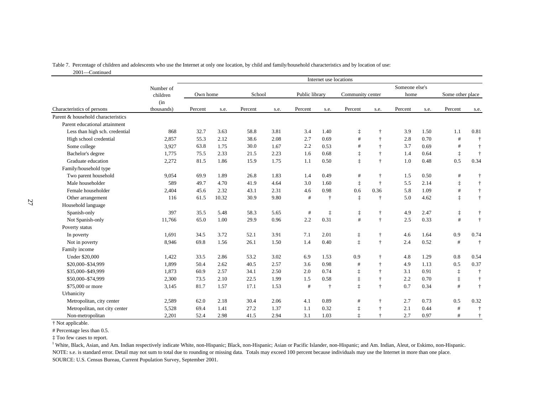| Table 7. Percentage of children and adolescents who use the Internet at only one location, by child and family/household characteristics and by location of use: |  |
|------------------------------------------------------------------------------------------------------------------------------------------------------------------|--|
| 2001-Continued                                                                                                                                                   |  |

|                                    |            |          |       |         |      |                | Internet use locations |                  |              |                |      |                  |                        |
|------------------------------------|------------|----------|-------|---------|------|----------------|------------------------|------------------|--------------|----------------|------|------------------|------------------------|
|                                    | Number of  |          |       |         |      |                |                        |                  |              | Someone else's |      |                  |                        |
|                                    | children   | Own home |       | School  |      | Public library |                        | Community center |              | home           |      | Some other place |                        |
|                                    | (in        |          |       |         |      |                |                        |                  |              |                |      |                  |                        |
| Characteristics of persons         | thousands) | Percent  | s.e.  | Percent | s.e. | Percent        | s.e.                   | Percent          | s.e.         | Percent        | s.e. | Percent          | s.e.                   |
| Parent & household characteristics |            |          |       |         |      |                |                        |                  |              |                |      |                  |                        |
| Parent educational attainment      |            |          |       |         |      |                |                        |                  |              |                |      |                  |                        |
| Less than high sch. credential     | 868        | 32.7     | 3.63  | 58.8    | 3.81 | 3.4            | 1.40                   | $\ddagger$       | $\ddagger$   | 3.9            | 1.50 | 1.1              | 0.81                   |
| High school credential             | 2,857      | 55.3     | 2.12  | 38.6    | 2.08 | 2.7            | 0.69                   | $\#$             | $\ddagger$   | 2.8            | 0.70 | $\#$             | $^\dagger$             |
| Some college                       | 3,927      | 63.8     | 1.75  | 30.0    | 1.67 | 2.2            | 0.53                   | $^{\rm \#}$      | $\ddagger$   | 3.7            | 0.69 | $\#$             | $^\dagger$             |
| Bachelor's degree                  | 1,775      | 75.5     | 2.33  | 21.5    | 2.23 | 1.6            | 0.68                   | $\ddagger$       | $\ddagger$   | 1.4            | 0.64 | $\ddagger$       | $\ddagger$             |
| Graduate education                 | 2,272      | 81.5     | 1.86  | 15.9    | 1.75 | 1.1            | 0.50                   | $\ddagger$       | $\ddagger$   | 1.0            | 0.48 | $0.5\,$          | 0.34                   |
| Family/household type              |            |          |       |         |      |                |                        |                  |              |                |      |                  |                        |
| Two parent household               | 9,054      | 69.9     | 1.89  | 26.8    | 1.83 | 1.4            | 0.49                   | $\#$             | $\ddagger$   | 1.5            | 0.50 | #                | $\dagger$              |
| Male householder                   | 589        | 49.7     | 4.70  | 41.9    | 4.64 | 3.0            | 1.60                   | $\ddagger$       | $\ddagger$   | 5.5            | 2.14 | $\ddagger$       | $\ensuremath{\dagger}$ |
| Female householder                 | 2,404      | 45.6     | 2.32  | 43.1    | 2.31 | 4.6            | 0.98                   | 0.6              | 0.36         | 5.8            | 1.09 | $\#$             | $\dagger$              |
| Other arrangement                  | 116        | 61.5     | 10.32 | 30.9    | 9.80 | $\#$           | $\dagger$              | $\ddagger$       | $\ddagger$   | 5.0            | 4.62 | $\ddagger$       | $\ddagger$             |
| Household language                 |            |          |       |         |      |                |                        |                  |              |                |      |                  |                        |
| Spanish-only                       | 397        | 35.5     | 5.48  | 58.3    | 5.65 | $^{\rm \#}$    | $\ddagger$             | $\ddagger$       | $\dagger$    | 4.9            | 2.47 | $\ddagger$       | $^\dagger$             |
| Not Spanish-only                   | 11,766     | 65.0     | 1.00  | 29.9    | 0.96 | 2.2            | 0.31                   | #                | $\dot{\tau}$ | 2.5            | 0.33 | $\#$             | $\ddagger$             |
| Poverty status                     |            |          |       |         |      |                |                        |                  |              |                |      |                  |                        |
| In poverty                         | 1.691      | 34.5     | 3.72  | 52.1    | 3.91 | 7.1            | 2.01                   | $\ddagger$       | $\ddagger$   | 4.6            | 1.64 | 0.9              | 0.74                   |
| Not in poverty                     | 8,946      | 69.8     | 1.56  | 26.1    | 1.50 | 1.4            | 0.40                   | $\ddagger$       | $\dot{\tau}$ | 2.4            | 0.52 | $\#$             | $\dagger$              |
| Family income                      |            |          |       |         |      |                |                        |                  |              |                |      |                  |                        |
| <b>Under \$20,000</b>              | 1,422      | 33.5     | 2.86  | 53.2    | 3.02 | 6.9            | 1.53                   | 0.9              | $\ddagger$   | 4.8            | 1.29 | 0.8              | 0.54                   |
| \$20,000-\$34,999                  | 1,899      | 50.4     | 2.62  | 40.5    | 2.57 | 3.6            | 0.98                   | $\#$             | $\ddagger$   | 4.9            | 1.13 | 0.5              | 0.37                   |
| \$35,000-\$49,999                  | 1,873      | 60.9     | 2.57  | 34.1    | 2.50 | 2.0            | 0.74                   | $\ddagger$       | $\ddagger$   | 3.1            | 0.91 | $\ddagger$       | $\dagger$              |
| \$50,000-\$74,999                  | 2,300      | 73.5     | 2.10  | 22.5    | 1.99 | 1.5            | 0.58                   | $\ddagger$       | $\ddagger$   | 2.2            | 0.70 | $\ddagger$       | $\ensuremath{\dagger}$ |
| \$75,000 or more                   | 3,145      | 81.7     | 1.57  | 17.1    | 1.53 | $^{\rm \#}$    | $\ddagger$             | $\ddagger$       | $\ddagger$   | 0.7            | 0.34 | #                | $\ddagger$             |
| Urbanicity                         |            |          |       |         |      |                |                        |                  |              |                |      |                  |                        |
| Metropolitan, city center          | 2,589      | 62.0     | 2.18  | 30.4    | 2.06 | 4.1            | 0.89                   | #                | $\ddagger$   | 2.7            | 0.73 | 0.5              | 0.32                   |
| Metropolitan, not city center      | 5,528      | 69.4     | 1.41  | 27.2    | 1.37 | 1.1            | 0.32                   | $\ddagger$       |              | 2.1            | 0.44 | $\#$             | $\ddagger$             |
| Non-metropolitan                   | 2,201      | 52.4     | 2.98  | 41.5    | 2.94 | 3.1            | 1.03                   | $\ddot{}$        | $\ddagger$   | 2.7            | 0.97 | $\#$             | $\dagger$              |

† Not applicable.

# Percentage less than 0.5.

‡ Too few cases to report.

<sup>1</sup> White, Black, Asian, and Am. Indian respectively indicate White, non-Hispanic; Black, non-Hispanic; Asian or Pacific Islander, non-Hispanic; and Am. Indian, Aleut, or Eskimo, non-Hispanic. NOTE: s.e. is standard error. Detail may not sum to total due to rounding or missing data. Totals may exceed 100 percent because individuals may use the Internet in more than one place. SOURCE: U.S. Census Bureau, Current Population Survey, September 2001.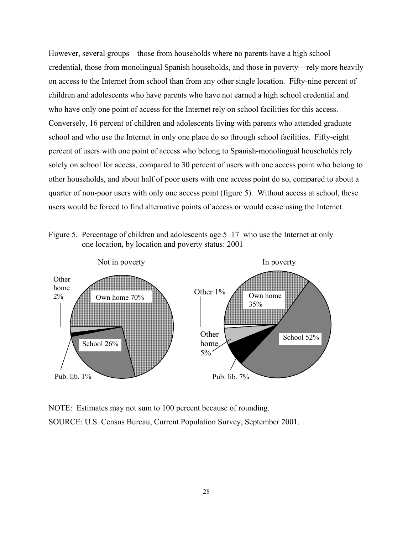<span id="page-38-0"></span>However, several groups—those from households where no parents have a high school credential, those from monolingual Spanish households, and those in poverty—rely more heavily on access to the Internet from school than from any other single location. Fifty-nine percent of children and adolescents who have parents who have not earned a high school credential and who have only one point of access for the Internet rely on school facilities for this access. Conversely, 16 percent of children and adolescents living with parents who attended graduate school and who use the Internet in only one place do so through school facilities. Fifty-eight percent of users with one point of access who belong to Spanish-monolingual households rely solely on school for access, compared to 30 percent of users with one access point who belong to other households, and about half of poor users with one access point do so, compared to about a quarter of non-poor users with only one access point (figure 5). Without access at school, these users would be forced to find alternative points of access or would cease using the Internet.

Figure 5. Percentage of children and adolescents age 5–17 who use the Internet at only one location, by location and poverty status: 2001



NOTE: Estimates may not sum to 100 percent because of rounding. SOURCE: U.S. Census Bureau, Current Population Survey, September 2001.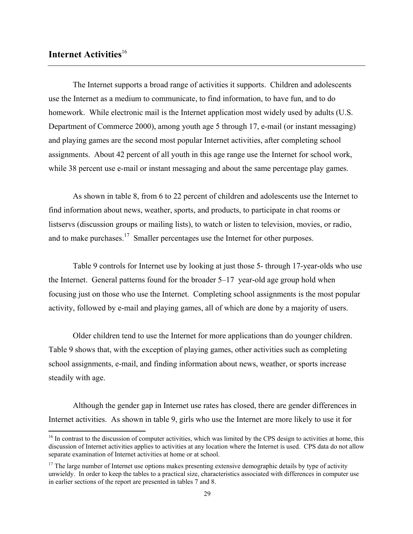# <span id="page-39-0"></span>Internet Activities<sup>[16](#page-39-1)</sup>

 $\overline{a}$ 

The Internet supports a broad range of activities it supports. Children and adolescents use the Internet as a medium to communicate, to find information, to have fun, and to do homework. While electronic mail is the Internet application most widely used by adults (U.S. Department of Commerce 2000), among youth age 5 through 17, e-mail (or instant messaging) and playing games are the second most popular Internet activities, after completing school assignments. About 42 percent of all youth in this age range use the Internet for school work, while 38 percent use e-mail or instant messaging and about the same percentage play games.

As shown in table 8, from 6 to 22 percent of children and adolescents use the Internet to find information about news, weather, sports, and products, to participate in chat rooms or listservs (discussion groups or mailing lists), to watch or listen to television, movies, or radio, and to make purchases.<sup>17</sup> Smaller percentages use the Internet for other purposes.

Table 9 controls for Internet use by looking at just those 5- through 17-year-olds who use the Internet. General patterns found for the broader 5–17 year-old age group hold when focusing just on those who use the Internet. Completing school assignments is the most popular activity, followed by e-mail and playing games, all of which are done by a majority of users.

Older children tend to use the Internet for more applications than do younger children. Table 9 shows that, with the exception of playing games, other activities such as completing school assignments, e-mail, and finding information about news, weather, or sports increase steadily with age.

Although the gender gap in Internet use rates has closed, there are gender differences in Internet activities. As shown in table 9, girls who use the Internet are more likely to use it for

<span id="page-39-1"></span><sup>&</sup>lt;sup>16</sup> In contrast to the discussion of computer activities, which was limited by the CPS design to activities at home, this discussion of Internet activities applies to activities at any location where the Internet is used. CPS data do not allow separate examination of Internet activities at home or at school.

<span id="page-39-2"></span> $17$  The large number of Internet use options makes presenting extensive demographic details by type of activity unwieldy. In order to keep the tables to a practical size, characteristics associated with differences in computer use in earlier sections of the report are presented in tables 7 and 8.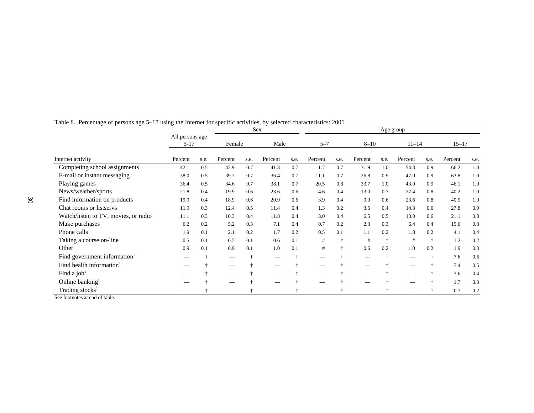|                                          |                             |      |         |               | Sex     |      |         |               |          |            | Age group |            |           |      |
|------------------------------------------|-----------------------------|------|---------|---------------|---------|------|---------|---------------|----------|------------|-----------|------------|-----------|------|
|                                          | All persons age<br>$5 - 17$ |      | Female  |               | Male    |      | $5 - 7$ |               | $8 - 10$ |            | $11 - 14$ |            | $15 - 17$ |      |
| Internet activity                        | Percent                     | s.e. | Percent | s.e.          | Percent | s.e. | Percent | s.e.          | Percent  | s.e.       | Percent   | s.e.       | Percent   | s.e. |
| Completing school assignments            | 42.1                        | 0.5  | 42.9    | 0.7           | 41.3    | 0.7  | 11.7    | 0.7           | 31.9     | 1.0        | 54.3      | 0.9        | 66.2      | 1.0  |
| E-mail or instant messaging              | 38.0                        | 0.5  | 39.7    | 0.7           | 36.4    | 0.7  | 11.1    | 0.7           | 26.8     | 0.9        | 47.0      | 0.9        | 63.8      | 1.0  |
| Playing games                            | 36.4                        | 0.5  | 34.6    | 0.7           | 38.1    | 0.7  | 20.5    | 0.8           | 33.7     | 1.0        | 43.0      | 0.9        | 46.1      | 1.0  |
| News/weather/sports                      | 21.8                        | 0.4  | 19.9    | 0.6           | 23.6    | 0.6  | 4.6     | 0.4           | 13.0     | 0.7        | 27.4      | 0.8        | 40.2      | 1.0  |
| Find information on products             | 19.9                        | 0.4  | 18.9    | 0.6           | 20.9    | 0.6  | 3.9     | 0.4           | 9.9      | 0.6        | 23.6      | 0.8        | 40.9      | 1.0  |
| Chat rooms or listservs                  | 11.9                        | 0.3  | 12.4    | 0.5           | 11.4    | 0.4  | 1.3     | 0.2           | 3.5      | 0.4        | 14.3      | 0.6        | 27.8      | 0.9  |
| Watch/listen to TV, movies, or radio     | 11.1                        | 0.3  | 10.3    | 0.4           | 11.8    | 0.4  | 3.0     | 0.4           | 6.5      | 0.5        | 13.0      | 0.6        | 21.1      | 0.8  |
| Make purchases                           | 6.2                         | 0.2  | 5.2     | 0.3           | 7.1     | 0.4  | 0.7     | 0.2           | 2.3      | 0.3        | 6.4       | 0.4        | 15.6      | 0.8  |
| Phone calls                              | 1.9                         | 0.1  | 2.1     | 0.2           | 1.7     | 0.2  | 0.5     | 0.1           | 1.1      | 0.2        | 1.8       | 0.2        | 4.1       | 0.4  |
| Taking a course on-line                  | 0.5                         | 0.1  | 0.5     | 0.1           | 0.6     | 0.1  | #       | $\ddagger$    | #        | $\ddagger$ | #         | $\ddagger$ | 1.2       | 0.2  |
| Other                                    | 0.9                         | 0.1  | 0.9     | 0.1           | 1.0     | 0.1  | #       | $\ddot{\tau}$ | 0.6      | 0.2        | 1.0       | 0.2        | 1.9       | 0.3  |
| Find government information <sup>1</sup> |                             |      |         |               |         | ÷    |         |               |          | ÷          | --        | ÷          | 7.6       | 0.6  |
| Find health information $1$              |                             |      |         | $\ddot{\tau}$ |         | ÷    |         |               |          | ÷          |           | ÷          | 7.4       | 0.5  |
| Find a job <sup>1</sup>                  |                             |      |         |               |         | ÷    |         |               |          |            |           |            | 3.6       | 0.4  |
| Online banking                           |                             |      |         |               |         | ÷    |         |               |          |            |           | ÷          | 1.7       | 0.3  |
| Trading stocks <sup>1</sup>              |                             |      |         |               |         |      |         |               |          |            |           |            | 0.7       | 0.2  |

Table 8. Percentage of persons age 5–17 using the Internet for specific activities, by selected characteristics: 2001

See footnotes at end of table.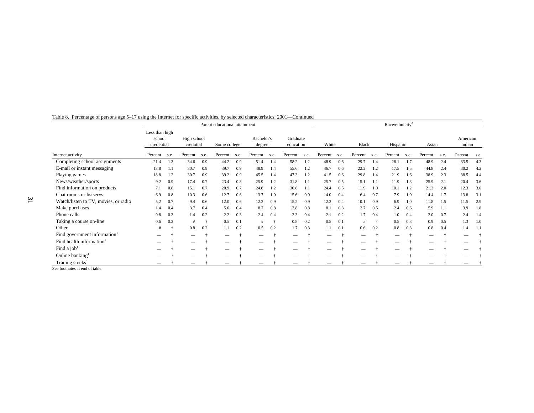|                                          |                                        |      |                          |      | Parent educational attainment    |      |                      |      |                       |      |         |      |              | Race/ethnicity <sup>2</sup> |          |      |         |      |                    |      |
|------------------------------------------|----------------------------------------|------|--------------------------|------|----------------------------------|------|----------------------|------|-----------------------|------|---------|------|--------------|-----------------------------|----------|------|---------|------|--------------------|------|
|                                          | Less than high<br>school<br>credential |      | High school<br>credntial |      | Some college                     |      | Bachelor's<br>degree |      | Graduate<br>education |      | White   |      | <b>Black</b> |                             | Hispanic |      | Asian   |      | American<br>Indian |      |
| Internet activity                        | Percent                                | s.e. | Percent                  | s.e. | Percent                          | s.e. | Percent              | s.e. | Percent               | s.e. | Percent | s.e. | Percent      | s.e.                        | Percent  | s.e. | Percent | s.e. | Percent            | s.e. |
| Completing school assignments            | 21.4                                   | 1.3  | 34.6                     | 0.9  | 44.2                             | 0.9  | 51.4                 | 1.4  | 58.2                  | 1.2  | 48.9    | 0.6  | 29.7         | 1.4                         | 26.1     | 1.7  | 48.9    | 2.4  | 33.5               | 4.3  |
| E-mail or instant messaging              | 13.8                                   | 1.1  | 30.7                     | 0.9  | 39.7                             | 0.9  | 48.9                 | 1.4  | 55.6                  | 1.2  | 46.7    | 0.6  | 22.2         | 1.2                         | 17.5     | 1.5  | 44.8    | 2.4  | 30.2               | 4.2  |
| Playing games                            | 18.8                                   | 1.2  | 30.7                     | 0.9  | 39.2                             | 0.9  | 45.5                 | 1.4  | 47.3                  | 1.2  | 41.5    | 0.6  | 29.8         | 1.4                         | 21.9     | 1.6  | 38.9    | 2.3  | 38.5               | 4.4  |
| News/weather/sports                      | 9.2                                    | 0.9  | 17.4                     | 0.7  | 23.4                             | 0.8  | 25.9                 | 1.2  | 31.8                  | 1.1  | 25.7    | 0.5  | 15.1         | 1.1                         | 11.9     | 1.3  | 25.9    | 2.1  | 20.4               | 3.6  |
| Find information on products             | 7.1                                    | 0.8  | 15.1                     | 0.7  | 20.9                             | 0.7  | 24.8                 | 1.2  | 30.8                  | 1.1  | 24.4    | 0.5  | 11.9         | 1.0                         | 10.1     | 1.2  | 21.3    | 2.0  | 12.3               | 3.0  |
| Chat rooms or listservs                  | 6.9                                    | 0.8  | 10.3                     | 0.6  | 12.7                             | 0.6  | 13.7                 | 1.0  | 15.6                  | 0.9  | 14.0    | 0.4  | 6.4          | 0.7                         | 7.9      | 1.0  | 14.4    | 1.7  | 13.8               | 3.1  |
| Watch/listen to TV, movies, or radio     | 5.2                                    | 0.7  | 9.4                      | 0.6  | 12.0                             | 0.6  | 12.3                 | 0.9  | 15.2                  | 0.9  | 12.3    | 0.4  | 10.1         | 0.9                         | 6.9      | 1.0  | 11.8    | 1.5  | 11.5               | 2.9  |
| Make purchases                           | 1.4                                    | 0.4  | 3.7                      | 0.4  | 5.6                              | 0.4  | 8.7                  | 0.8  | 12.8                  | 0.8  | 8.1     | 0.3  | 2.7          | 0.5                         | 2.4      | 0.6  | 5.9     | 1.1  | 3.9                | 1.8  |
| Phone calls                              | 0.8                                    | 0.3  | 1.4                      | 0.2  | 2.2                              | 0.3  | 2.4                  | 0.4  | 2.3                   | 0.4  | 2.1     | 0.2  | 1.7          | 0.4                         | 1.0      | 0.4  | 2.0     | 0.7  | 2.4                | 1.4  |
| Taking a course on-line                  | 0.6                                    | 0.2  | #                        |      | 0.5                              | 0.1  |                      |      | 0.8                   | 0.2  | 0.5     | 0.1  | #            |                             | 0.5      | 0.3  | 0.9     | 0.5  | 1.3                | 1.0  |
| Other                                    | #                                      |      | 0.8                      | 0.2  | 1.1                              | 0.2  | 0.5                  | 0.2  | 1.7                   | 0.3  |         | 0.1  | 0.6          | 0.2                         | 0.8      | 0.3  | 0.8     | 0.4  | 1.4                | 1.1  |
| Find government information <sup>1</sup> |                                        |      |                          |      | $\overbrace{\phantom{aaaaa}}^{}$ |      |                      |      |                       |      |         |      |              |                             |          |      |         |      |                    |      |
| Find health information <sup>1</sup>     |                                        |      |                          |      |                                  |      |                      |      |                       |      |         |      |              |                             |          |      |         |      |                    |      |
| Find a $job1$                            |                                        |      |                          |      |                                  |      |                      |      |                       |      |         |      |              |                             |          |      |         |      |                    |      |
| Online banking <sup>1</sup>              |                                        |      |                          |      |                                  |      |                      |      |                       |      |         |      |              |                             |          |      |         |      |                    |      |
| Trading stocks <sup>1</sup>              |                                        |      |                          |      |                                  |      |                      |      |                       |      |         |      |              |                             |          |      |         |      |                    |      |

#### Table 8. Percentage of persons age 5–17 using the Internet for specific activities, by selected characteristics: 2001—Continued

See footnotes at end of table.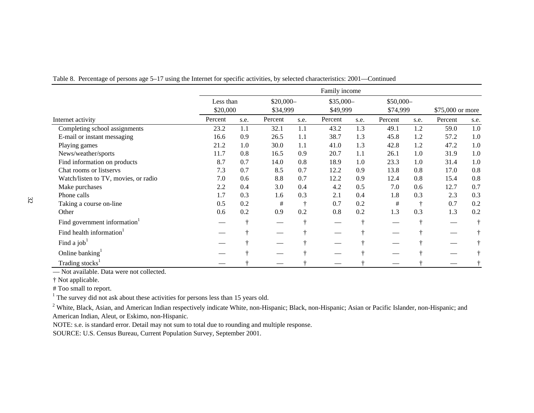|                                      |                       |      |                        |      | Family income          |      |                       |      |                  |      |
|--------------------------------------|-----------------------|------|------------------------|------|------------------------|------|-----------------------|------|------------------|------|
|                                      | Less than<br>\$20,000 |      | $$20,000-$<br>\$34,999 |      | $$35,000-$<br>\$49,999 |      | \$50,000-<br>\$74,999 |      | \$75,000 or more |      |
| Internet activity                    | Percent               | s.e. | Percent                | s.e. | Percent                | s.e. | Percent               | s.e. | Percent          | s.e. |
| Completing school assignments        | 23.2                  | 1.1  | 32.1                   | 1.1  | 43.2                   | 1.3  | 49.1                  | 1.2  | 59.0             | 1.0  |
| E-mail or instant messaging          | 16.6                  | 0.9  | 26.5                   | 1.1  | 38.7                   | 1.3  | 45.8                  | 1.2  | 57.2             | 1.0  |
| Playing games                        | 21.2                  | 1.0  | 30.0                   | 1.1  | 41.0                   | 1.3  | 42.8                  | 1.2  | 47.2             | 1.0  |
| News/weather/sports                  | 11.7                  | 0.8  | 16.5                   | 0.9  | 20.7                   | 1.1  | 26.1                  | 1.0  | 31.9             | 1.0  |
| Find information on products         | 8.7                   | 0.7  | 14.0                   | 0.8  | 18.9                   | 1.0  | 23.3                  | 1.0  | 31.4             | 1.0  |
| Chat rooms or listservs              | 7.3                   | 0.7  | 8.5                    | 0.7  | 12.2                   | 0.9  | 13.8                  | 0.8  | 17.0             | 0.8  |
| Watch/listen to TV, movies, or radio | 7.0                   | 0.6  | 8.8                    | 0.7  | 12.2                   | 0.9  | 12.4                  | 0.8  | 15.4             | 0.8  |
| Make purchases                       | 2.2                   | 0.4  | 3.0                    | 0.4  | 4.2                    | 0.5  | 7.0                   | 0.6  | 12.7             | 0.7  |
| Phone calls                          | 1.7                   | 0.3  | 1.6                    | 0.3  | 2.1                    | 0.4  | 1.8                   | 0.3  | 2.3              | 0.3  |
| Taking a course on-line              | 0.5                   | 0.2  | #                      | ÷    | 0.7                    | 0.2  | #                     | $+$  | 0.7              | 0.2  |
| Other                                | 0.6                   | 0.2  | 0.9                    | 0.2  | 0.8                    | 0.2  | 1.3                   | 0.3  | 1.3              | 0.2  |
| Find government information          |                       |      |                        | ÷    |                        | ÷    |                       | ÷    |                  | ÷    |
| Find health information              |                       |      |                        |      |                        | ÷    |                       |      |                  | ÷    |
| Find a job                           |                       |      |                        | ÷    |                        |      |                       |      |                  |      |
| Online banking                       |                       |      |                        |      |                        |      |                       |      |                  |      |
| Trading stocks <sup>1</sup>          |                       |      |                        |      |                        |      |                       |      |                  |      |

Table 8. Percentage of persons age 5–17 using the Internet for specific activities, by selected characteristics: 2001—Continued

— Not available. Data were not collected.

† Not applicable.

# Too small to report.

 $<sup>1</sup>$  The survey did not ask about these activities for persons less than 15 years old.</sup>

 $2$  White, Black, Asian, and American Indian respectively indicate White, non-Hispanic; Black, non-Hispanic; Asian or Pacific Islander, non-Hispanic; and American Indian, Aleut, or Eskimo, non-Hispanic.

NOTE: s.e. is standard error. Detail may not sum to total due to rounding and multiple response.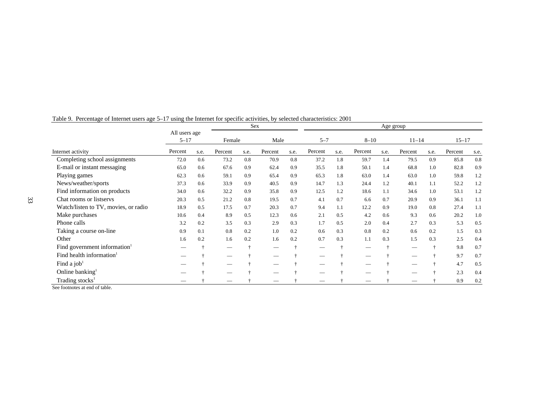|                                          |                           |               |         | <b>Sex</b> |         |      |                          |                      |          | Age group |                          |      |           |      |
|------------------------------------------|---------------------------|---------------|---------|------------|---------|------|--------------------------|----------------------|----------|-----------|--------------------------|------|-----------|------|
|                                          | All users age<br>$5 - 17$ |               | Female  |            | Male    |      | $5 - 7$                  |                      | $8 - 10$ |           | $11 - 14$                |      | $15 - 17$ |      |
| Internet activity                        | Percent                   | s.e.          | Percent | s.e.       | Percent | s.e. | Percent                  | s.e.                 | Percent  | s.e.      | Percent                  | s.e. | Percent   | s.e. |
| Completing school assignments            | 72.0                      | 0.6           | 73.2    | 0.8        | 70.9    | 0.8  | 37.2                     | 1.8                  | 59.7     | 1.4       | 79.5                     | 0.9  | 85.8      | 0.8  |
| E-mail or instant messaging              | 65.0                      | 0.6           | 67.6    | 0.9        | 62.4    | 0.9  | 35.5                     | 1.8                  | 50.1     | 1.4       | 68.8                     | 1.0  | 82.8      | 0.9  |
| Playing games                            | 62.3                      | 0.6           | 59.1    | 0.9        | 65.4    | 0.9  | 65.3                     | 1.8                  | 63.0     | 1.4       | 63.0                     | 1.0  | 59.8      | 1.2  |
| News/weather/sports                      | 37.3                      | 0.6           | 33.9    | 0.9        | 40.5    | 0.9  | 14.7                     | 1.3                  | 24.4     | 1.2       | 40.1                     | 1.1  | 52.2      | 1.2  |
| Find information on products             | 34.0                      | 0.6           | 32.2    | 0.9        | 35.8    | 0.9  | 12.5                     | 1.2                  | 18.6     | 1.1       | 34.6                     | 1.0  | 53.1      | 1.2  |
| Chat rooms or listservs                  | 20.3                      | 0.5           | 21.2    | 0.8        | 19.5    | 0.7  | 4.1                      | 0.7                  | 6.6      | 0.7       | 20.9                     | 0.9  | 36.1      | 1.1  |
| Watch/listen to TV, movies, or radio     | 18.9                      | 0.5           | 17.5    | 0.7        | 20.3    | 0.7  | 9.4                      | 1.1                  | 12.2     | 0.9       | 19.0                     | 0.8  | 27.4      | 1.1  |
| Make purchases                           | 10.6                      | 0.4           | 8.9     | 0.5        | 12.3    | 0.6  | 2.1                      | 0.5                  | 4.2      | 0.6       | 9.3                      | 0.6  | 20.2      | 1.0  |
| Phone calls                              | 3.2                       | 0.2           | 3.5     | 0.3        | 2.9     | 0.3  | 1.7                      | 0.5                  | 2.0      | 0.4       | 2.7                      | 0.3  | 5.3       | 0.5  |
| Taking a course on-line                  | 0.9                       | 0.1           | 0.8     | 0.2        | 1.0     | 0.2  | 0.6                      | 0.3                  | 0.8      | 0.2       | 0.6                      | 0.2  | 1.5       | 0.3  |
| Other                                    | 1.6                       | 0.2           | 1.6     | 0.2        | 1.6     | 0.2  | 0.7                      | 0.3                  | 1.1      | 0.3       | 1.5                      | 0.3  | 2.5       | 0.4  |
| Find government information <sup>1</sup> |                           | $\rightarrow$ |         | ÷          |         |      |                          | $\ddot{\phantom{1}}$ |          | ÷         |                          | ÷    | 9.8       | 0.7  |
| Find health information <sup>1</sup>     |                           | ÷             | --      | ÷          | --      |      | —                        | ÷                    |          | ÷         |                          | ÷    | 9.7       | 0.7  |
| Find a job <sup>1</sup>                  |                           |               | --      |            | —       |      |                          |                      |          |           |                          | ÷    | 4.7       | 0.5  |
| Online banking <sup>1</sup>              |                           |               |         |            | --      |      | $\overline{\phantom{a}}$ |                      |          |           | $\overline{\phantom{a}}$ | ÷    | 2.3       | 0.4  |
| Trading stocks <sup>1</sup>              |                           |               |         |            |         |      |                          |                      |          |           |                          |      | 0.9       | 0.2  |

#### Table 9. Percentage of Internet users age 5–17 using the Internet for specific activities, by selected characteristics: 2001

See footnotes at end of table.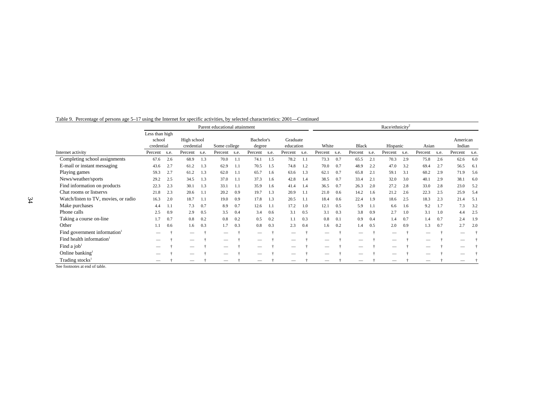|                                          |                                        |     |                           |        | Parent educational attainment |      |                      |      |                       |     |         |      |                          |      | Race/ethnicity <sup>2</sup> |      |         |      |                          |     |
|------------------------------------------|----------------------------------------|-----|---------------------------|--------|-------------------------------|------|----------------------|------|-----------------------|-----|---------|------|--------------------------|------|-----------------------------|------|---------|------|--------------------------|-----|
|                                          | Less than high<br>school<br>credential |     | High school<br>credential |        | Some college                  |      | Bachelor's<br>degree |      | Graduate<br>education |     | White   |      | <b>Black</b>             |      | Hispanic                    |      | Asian   |      | American<br>Indian       |     |
| Internet activity                        | Percent s.e.                           |     | Percent                   | s.e.   | Percent                       | s.e. | Percent              | s.e. | Percent s.e.          |     | Percent | s.e. | Percent                  | s.e. | Percent                     | s.e. | Percent | s.e. | Percent s.e.             |     |
| Completing school assignments            | 67.6                                   | 2.6 | 68.9                      | 1.3    | 70.0                          | 1.1  | 74.1                 | 1.5  | 78.2                  | 1.1 | 73.3    | 0.7  | 65.5                     | 2.1  | 70.3                        | 2.9  | 75.8    | 2.6  | 62.6                     | 6.0 |
| E-mail or instant messaging              | 43.6                                   | 2.7 | 61.2                      | 1.3    | 62.9                          | 1.1  | 70.5                 | 1.5  | 74.8                  | 1.2 | 70.0    | 0.7  | 48.9                     | 2.2  | 47.0                        | 3.2  | 69.4    | 2.7  | 56.5                     | 6.1 |
| Playing games                            | 59.3                                   | 2.7 | 61.2                      | 1.3    | 62.0                          | 1.1  | 65.7                 | 1.6  | 63.6                  | 1.3 | 62.1    | 0.7  | 65.8                     | 2.1  | 59.1                        | 3.1  | 60.2    | 2.9  | 71.9                     | 5.6 |
| News/weather/sports                      | 29.2                                   | 2.5 | 34.5                      | 1.3    | 37.0                          | 1.1  | 37.3                 | 1.6  | 42.8                  | 1.4 | 38.5    | 0.7  | 33.4                     | 2.1  | 32.0                        | 3.0  | 40.1    | 2.9  | 38.1                     | 6.0 |
| Find information on products             | 22.3                                   | 2.3 | 30.1                      | 1.3    | 33.1                          | 1.1  | 35.9                 | 1.6  | 41.4                  | 1.4 | 36.5    | 0.7  | 26.3                     | 2.0  | 27.2                        | 2.8  | 33.0    | 2.8  | 23.0                     | 5.2 |
| Chat rooms or listservs                  | 21.8                                   | 2.3 | 20.6                      | 1.1    | 20.2                          | 0.9  | 19.7                 | 1.3  | 20.9                  | 1.1 | 21.0    | 0.6  | 14.2                     | 1.6  | 21.2                        | 2.6  | 22.3    | 2.5  | 25.9                     | 5.4 |
| Watch/listen to TV, movies, or radio     | 16.3                                   | 2.0 | 18.7                      | 1.1    | 19.0                          | 0.9  | 17.8                 | 1.3  | 20.5                  | 1.1 | 18.4    | 0.6  | 22.4                     | 1.9  | 18.6                        | 2.5  | 18.3    | 2.3  | 21.4                     | 5.1 |
| Make purchases                           | 4.4                                    | 1.1 | 7.3                       | 0.7    | 8.9                           | 0.7  | 12.6                 | -1.1 | 17.2                  | 1.0 | 12.1    | 0.5  | 5.9                      | 1.1  | 6.6                         | 1.6  | 9.2     | 1.7  | 7.3                      | 3.2 |
| Phone calls                              | 2.5                                    | 0.9 | 2.9                       | 0.5    | 3.5                           | 0.4  | 3.4                  | 0.6  | 3.1                   | 0.5 | 3.1     | 0.3  | 3.8                      | 0.9  | 2.7                         | 1.0  | 3.1     | 1.0  | 4.4                      | 2.5 |
| Taking a course on-line                  | 1.7                                    | 0.7 | 0.8                       | 0.2    | 0.8                           | 0.2  | 0.5                  | 0.2  |                       | 0.3 | 0.8     | 0.1  | 0.9                      | 0.4  | 1.4                         | 0.7  | 1.4     | 0.7  | 2.4                      | 1.9 |
| Other                                    | 1.1                                    | 0.6 | 1.6                       | 0.3    | 1.7                           | 0.3  | 0.8                  | 0.3  | 2.3                   | 0.4 | 1.6     | 0.2  | 1.4                      | 0.5  | 2.0                         | 0.9  | 1.3     | 0.7  | 2.7                      | 2.0 |
| Find government information <sup>1</sup> |                                        |     |                           | $\div$ |                               |      |                      |      |                       |     |         | ÷    | $\overline{\phantom{a}}$ | ÷    |                             |      |         |      | $\overline{\phantom{a}}$ |     |
| Find health information <sup>1</sup>     |                                        |     |                           |        |                               |      |                      |      |                       |     |         |      |                          |      |                             |      |         |      | $\hspace{0.05cm}$        |     |
| Find a $job1$                            |                                        |     |                           |        |                               |      |                      |      |                       |     |         |      |                          |      |                             |      |         |      |                          |     |
| Online banking $1$                       |                                        |     |                           |        |                               |      |                      |      |                       |     |         |      |                          |      |                             |      |         |      |                          |     |
| Trading stocks <sup>1</sup>              |                                        |     |                           |        |                               |      |                      |      |                       |     |         |      |                          |      |                             |      |         |      |                          |     |

#### Table 9. Percentage of persons age 5–17 using the Internet for specific activities, by selected characteristics: 2001—Continued

See footnotes at end of table.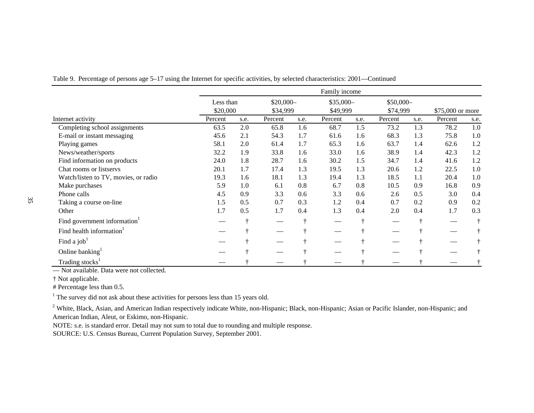|                                          |                       |      |                        |      | Family income          |      |                       |      |                  |            |
|------------------------------------------|-----------------------|------|------------------------|------|------------------------|------|-----------------------|------|------------------|------------|
|                                          | Less than<br>\$20,000 |      | $$20,000-$<br>\$34,999 |      | $$35,000-$<br>\$49,999 |      | \$50,000-<br>\$74,999 |      | \$75,000 or more |            |
| Internet activity                        | Percent               | s.e. | Percent                | s.e. | Percent                | s.e. | Percent               | s.e. | Percent          | s.e.       |
| Completing school assignments            | 63.5                  | 2.0  | 65.8                   | 1.6  | 68.7                   | 1.5  | 73.2                  | 1.3  | 78.2             | 1.0        |
| E-mail or instant messaging              | 45.6                  | 2.1  | 54.3                   | 1.7  | 61.6                   | 1.6  | 68.3                  | 1.3  | 75.8             | 1.0        |
| Playing games                            | 58.1                  | 2.0  | 61.4                   | 1.7  | 65.3                   | 1.6  | 63.7                  | 1.4  | 62.6             | 1.2        |
| News/weather/sports                      | 32.2                  | 1.9  | 33.8                   | 1.6  | 33.0                   | 1.6  | 38.9                  | 1.4  | 42.3             | 1.2        |
| Find information on products             | 24.0                  | 1.8  | 28.7                   | 1.6  | 30.2                   | 1.5  | 34.7                  | 1.4  | 41.6             | 1.2        |
| Chat rooms or listservs                  | 20.1                  | 1.7  | 17.4                   | 1.3  | 19.5                   | 1.3  | 20.6                  | 1.2  | 22.5             | 1.0        |
| Watch/listen to TV, movies, or radio     | 19.3                  | 1.6  | 18.1                   | 1.3  | 19.4                   | 1.3  | 18.5                  | 1.1  | 20.4             | 1.0        |
| Make purchases                           | 5.9                   | 1.0  | 6.1                    | 0.8  | 6.7                    | 0.8  | 10.5                  | 0.9  | 16.8             | 0.9        |
| Phone calls                              | 4.5                   | 0.9  | 3.3                    | 0.6  | 3.3                    | 0.6  | 2.6                   | 0.5  | 3.0              | 0.4        |
| Taking a course on-line                  | 1.5                   | 0.5  | 0.7                    | 0.3  | 1.2                    | 0.4  | 0.7                   | 0.2  | 0.9              | 0.2        |
| Other                                    | 1.7                   | 0.5  | 1.7                    | 0.4  | 1.3                    | 0.4  | 2.0                   | 0.4  | 1.7              | 0.3        |
| Find government information <sup>1</sup> |                       |      |                        | ÷    |                        | ÷    |                       |      |                  | $\ddagger$ |
| Find health information                  |                       | ÷    |                        | ÷    |                        | ÷    |                       |      |                  |            |
| Find a job <sup>1</sup>                  |                       |      |                        |      |                        |      |                       |      |                  |            |
| Online banking                           |                       |      |                        |      |                        |      |                       |      |                  |            |
| Trading stocks                           |                       |      |                        |      |                        |      |                       |      |                  |            |

Table 9. Percentage of persons age 5–17 using the Internet for specific activities, by selected characteristics: 2001—Continued

— Not available. Data were not collected.

† Not applicable.

# Percentage less than 0.5.

 $<sup>1</sup>$  The survey did not ask about these activities for persons less than 15 years old.</sup>

<sup>2</sup> White, Black, Asian, and American Indian respectively indicate White, non-Hispanic; Black, non-Hispanic; Asian or Pacific Islander, non-Hispanic; and American Indian, Aleut, or Eskimo, non-Hispanic.

NOTE: s.e. is standard error. Detail may not sum to total due to rounding and multiple response.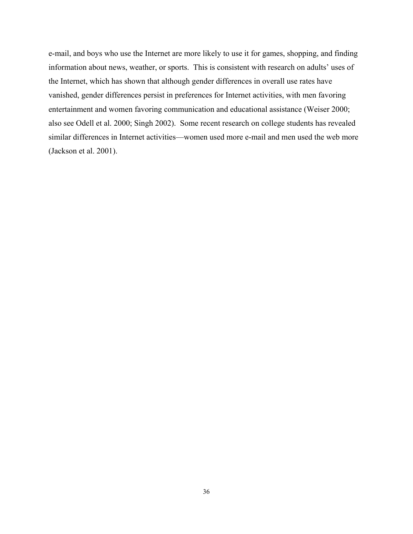e-mail, and boys who use the Internet are more likely to use it for games, shopping, and finding information about news, weather, or sports. This is consistent with research on adults' uses of the Internet, which has shown that although gender differences in overall use rates have vanished, gender differences persist in preferences for Internet activities, with men favoring entertainment and women favoring communication and educational assistance (Weiser 2000; also see Odell et al. 2000; Singh 2002). Some recent research on college students has revealed similar differences in Internet activities—women used more e-mail and men used the web more (Jackson et al. 2001).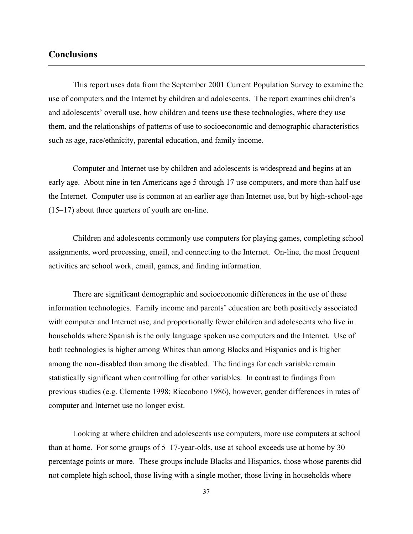# <span id="page-47-0"></span>**Conclusions**

This report uses data from the September 2001 Current Population Survey to examine the use of computers and the Internet by children and adolescents. The report examines children's and adolescents' overall use, how children and teens use these technologies, where they use them, and the relationships of patterns of use to socioeconomic and demographic characteristics such as age, race/ethnicity, parental education, and family income.

Computer and Internet use by children and adolescents is widespread and begins at an early age. About nine in ten Americans age 5 through 17 use computers, and more than half use the Internet. Computer use is common at an earlier age than Internet use, but by high-school-age (15–17) about three quarters of youth are on-line.

Children and adolescents commonly use computers for playing games, completing school assignments, word processing, email, and connecting to the Internet. On-line, the most frequent activities are school work, email, games, and finding information.

There are significant demographic and socioeconomic differences in the use of these information technologies. Family income and parents' education are both positively associated with computer and Internet use, and proportionally fewer children and adolescents who live in households where Spanish is the only language spoken use computers and the Internet. Use of both technologies is higher among Whites than among Blacks and Hispanics and is higher among the non-disabled than among the disabled. The findings for each variable remain statistically significant when controlling for other variables. In contrast to findings from previous studies (e.g. Clemente 1998; Riccobono 1986), however, gender differences in rates of computer and Internet use no longer exist.

Looking at where children and adolescents use computers, more use computers at school than at home. For some groups of 5–17-year-olds, use at school exceeds use at home by 30 percentage points or more. These groups include Blacks and Hispanics, those whose parents did not complete high school, those living with a single mother, those living in households where

37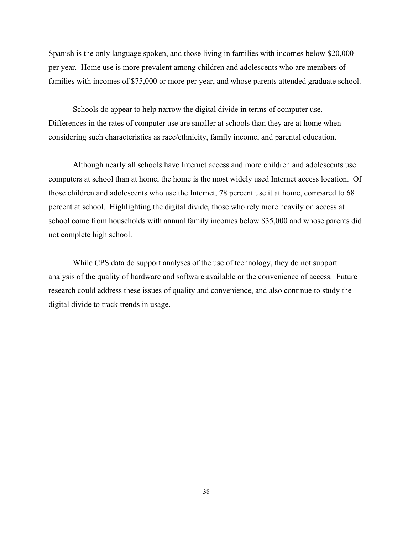Spanish is the only language spoken, and those living in families with incomes below \$20,000 per year. Home use is more prevalent among children and adolescents who are members of families with incomes of \$75,000 or more per year, and whose parents attended graduate school.

Schools do appear to help narrow the digital divide in terms of computer use. Differences in the rates of computer use are smaller at schools than they are at home when considering such characteristics as race/ethnicity, family income, and parental education.

Although nearly all schools have Internet access and more children and adolescents use computers at school than at home, the home is the most widely used Internet access location. Of those children and adolescents who use the Internet, 78 percent use it at home, compared to 68 percent at school. Highlighting the digital divide, those who rely more heavily on access at school come from households with annual family incomes below \$35,000 and whose parents did not complete high school.

While CPS data do support analyses of the use of technology, they do not support analysis of the quality of hardware and software available or the convenience of access. Future research could address these issues of quality and convenience, and also continue to study the digital divide to track trends in usage.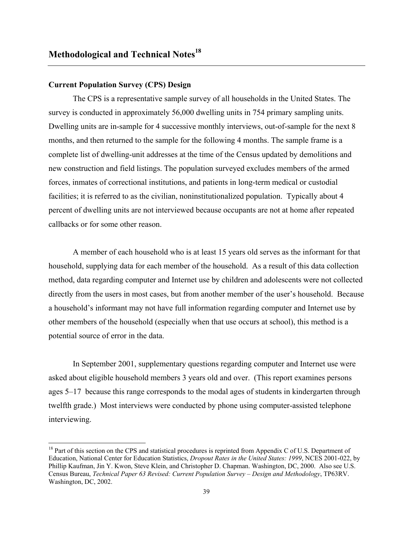# <span id="page-49-0"></span>**Current Population Survey (CPS) Design**

 $\overline{a}$ 

The CPS is a representative sample survey of all households in the United States. The survey is conducted in approximately 56,000 dwelling units in 754 primary sampling units. Dwelling units are in-sample for 4 successive monthly interviews, out-of-sample for the next 8 months, and then returned to the sample for the following 4 months. The sample frame is a complete list of dwelling-unit addresses at the time of the Census updated by demolitions and new construction and field listings. The population surveyed excludes members of the armed forces, inmates of correctional institutions, and patients in long-term medical or custodial facilities; it is referred to as the civilian, noninstitutionalized population. Typically about 4 percent of dwelling units are not interviewed because occupants are not at home after repeated callbacks or for some other reason.

A member of each household who is at least 15 years old serves as the informant for that household, supplying data for each member of the household. As a result of this data collection method, data regarding computer and Internet use by children and adolescents were not collected directly from the users in most cases, but from another member of the user's household. Because a household's informant may not have full information regarding computer and Internet use by other members of the household (especially when that use occurs at school), this method is a potential source of error in the data.

In September 2001, supplementary questions regarding computer and Internet use were asked about eligible household members 3 years old and over. (This report examines persons ages 5–17 because this range corresponds to the modal ages of students in kindergarten through twelfth grade.) Most interviews were conducted by phone using computer-assisted telephone interviewing.

<span id="page-49-1"></span> $18$  Part of this section on the CPS and statistical procedures is reprinted from Appendix C of U.S. Department of Education, National Center for Education Statistics, *Dropout Rates in the United States: 1999*, NCES 2001-022, by Phillip Kaufman, Jin Y. Kwon, Steve Klein, and Christopher D. Chapman. Washington, DC, 2000. Also see U.S. Census Bureau, *Technical Paper 63 Revised: Current Population Survey – Design and Methodology*, TP63RV. Washington, DC, 2002.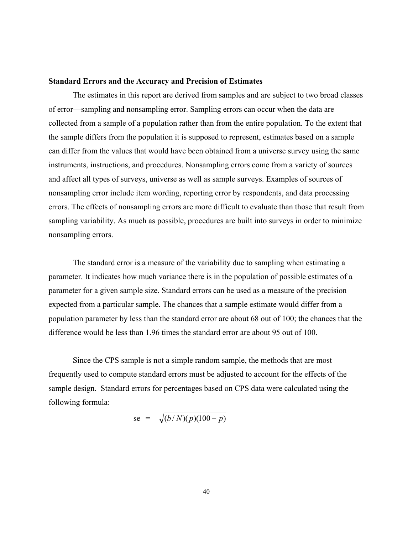#### **Standard Errors and the Accuracy and Precision of Estimates**

The estimates in this report are derived from samples and are subject to two broad classes of error—sampling and nonsampling error. Sampling errors can occur when the data are collected from a sample of a population rather than from the entire population. To the extent that the sample differs from the population it is supposed to represent, estimates based on a sample can differ from the values that would have been obtained from a universe survey using the same instruments, instructions, and procedures. Nonsampling errors come from a variety of sources and affect all types of surveys, universe as well as sample surveys. Examples of sources of nonsampling error include item wording, reporting error by respondents, and data processing errors. The effects of nonsampling errors are more difficult to evaluate than those that result from sampling variability. As much as possible, procedures are built into surveys in order to minimize nonsampling errors.

The standard error is a measure of the variability due to sampling when estimating a parameter. It indicates how much variance there is in the population of possible estimates of a parameter for a given sample size. Standard errors can be used as a measure of the precision expected from a particular sample. The chances that a sample estimate would differ from a population parameter by less than the standard error are about 68 out of 100; the chances that the difference would be less than 1.96 times the standard error are about 95 out of 100.

Since the CPS sample is not a simple random sample, the methods that are most frequently used to compute standard errors must be adjusted to account for the effects of the sample design. Standard errors for percentages based on CPS data were calculated using the following formula:

$$
\text{se} = \sqrt{(b/N)(p)(100-p)}
$$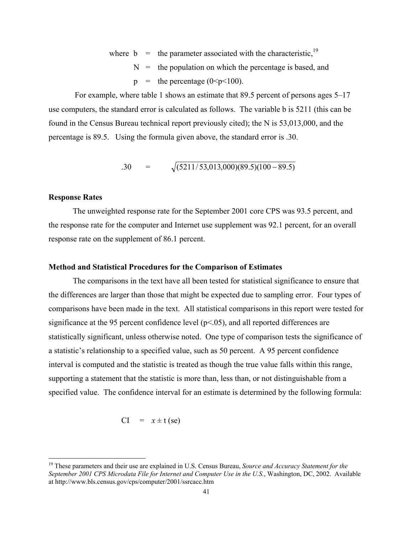where  $b =$  the parameter associated with the characteristic,  $19$ 

 $N =$  the population on which the percentage is based, and

 $p =$  the percentage (0 \cdot p \le 100).

 For example, where table 1 shows an estimate that 89.5 percent of persons ages 5–17 use computers, the standard error is calculated as follows. The variable b is 5211 (this can be found in the Census Bureau technical report previously cited); the N is 53,013,000, and the percentage is 89.5. Using the formula given above, the standard error is .30.

$$
.30 = \sqrt{(5211/53,013,000)(89.5)(100 - 89.5)}
$$

#### **Response Rates**

1

The unweighted response rate for the September 2001 core CPS was 93.5 percent, and the response rate for the computer and Internet use supplement was 92.1 percent, for an overall response rate on the supplement of 86.1 percent.

#### **Method and Statistical Procedures for the Comparison of Estimates**

The comparisons in the text have all been tested for statistical significance to ensure that the differences are larger than those that might be expected due to sampling error. Four types of comparisons have been made in the text. All statistical comparisons in this report were tested for significance at the 95 percent confidence level  $(p<0.05)$ , and all reported differences are statistically significant, unless otherwise noted. One type of comparison tests the significance of a statistic's relationship to a specified value, such as 50 percent. A 95 percent confidence interval is computed and the statistic is treated as though the true value falls within this range, supporting a statement that the statistic is more than, less than, or not distinguishable from a specified value. The confidence interval for an estimate is determined by the following formula:

$$
CI = x \pm t (se)
$$

<span id="page-51-0"></span><sup>19</sup> These parameters and their use are explained in U.S. Census Bureau, *Source and Accuracy Statement for the September 2001 CPS Microdata File for Internet and Computer Use in the U.S.*, Washington, DC, 2002. Available at http://www.bls.census.gov/cps/computer/2001/ssrcacc.htm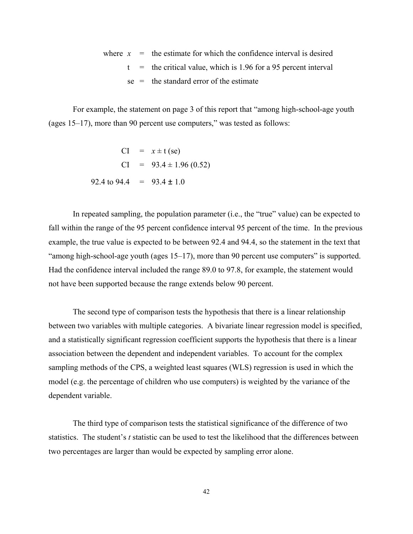where 
$$
x
$$
 = the estimate for which the confidence interval is desired  
\n $t$  = the critical value, which is 1.96 for a 95 percent interval  
\n $se$  = the standard error of the estimate

For example, the statement on page [3](#page-13-1) of this report that "among high-school-age youth (ages 15–17), more than 90 percent use computers," was tested as follows:

CI = 
$$
x \pm t
$$
 (se)  
CI = 93.4 ± 1.96 (0.52)  
92.4 to 94.4 = 93.4 ± 1.0

In repeated sampling, the population parameter (i.e., the "true" value) can be expected to fall within the range of the 95 percent confidence interval 95 percent of the time. In the previous example, the true value is expected to be between 92.4 and 94.4, so the statement in the text that "among high-school-age youth (ages 15–17), more than 90 percent use computers" is supported. Had the confidence interval included the range 89.0 to 97.8, for example, the statement would not have been supported because the range extends below 90 percent.

The second type of comparison tests the hypothesis that there is a linear relationship between two variables with multiple categories. A bivariate linear regression model is specified, and a statistically significant regression coefficient supports the hypothesis that there is a linear association between the dependent and independent variables. To account for the complex sampling methods of the CPS, a weighted least squares (WLS) regression is used in which the model (e.g. the percentage of children who use computers) is weighted by the variance of the dependent variable.

The third type of comparison tests the statistical significance of the difference of two statistics. The student's *t* statistic can be used to test the likelihood that the differences between two percentages are larger than would be expected by sampling error alone.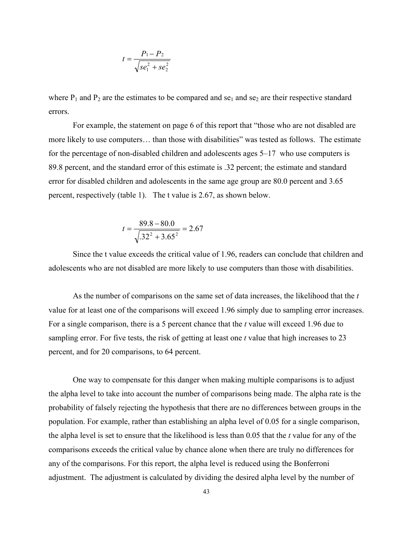$$
t = \frac{P_1 - P_2}{\sqrt{se_1^2 + se_2^2}}
$$

where  $P_1$  and  $P_2$  are the estimates to be compared and se<sub>1</sub> and se<sub>2</sub> are their respective standard errors.

For example, the statement on page 6 of this report that "those who are not disabled are more likely to use computers… than those with disabilities" was tested as follows. The estimate for the percentage of non-disabled children and adolescents ages 5–17 who use computers is 89.8 percent, and the standard error of this estimate is .32 percent; the estimate and standard error for disabled children and adolescents in the same age group are 80.0 percent and 3.65 percent, respectively (table 1). The t value is 2.67, as shown below.

$$
t = \frac{89.8 - 80.0}{\sqrt{0.32^2 + 3.65^2}} = 2.67
$$

Since the t value exceeds the critical value of 1.96, readers can conclude that children and adolescents who are not disabled are more likely to use computers than those with disabilities.

As the number of comparisons on the same set of data increases, the likelihood that the *t* value for at least one of the comparisons will exceed 1.96 simply due to sampling error increases. For a single comparison, there is a 5 percent chance that the *t* value will exceed 1.96 due to sampling error. For five tests, the risk of getting at least one *t* value that high increases to 23 percent, and for 20 comparisons, to 64 percent.

One way to compensate for this danger when making multiple comparisons is to adjust the alpha level to take into account the number of comparisons being made. The alpha rate is the probability of falsely rejecting the hypothesis that there are no differences between groups in the population. For example, rather than establishing an alpha level of 0.05 for a single comparison, the alpha level is set to ensure that the likelihood is less than 0.05 that the *t* value for any of the comparisons exceeds the critical value by chance alone when there are truly no differences for any of the comparisons. For this report, the alpha level is reduced using the Bonferroni adjustment. The adjustment is calculated by dividing the desired alpha level by the number of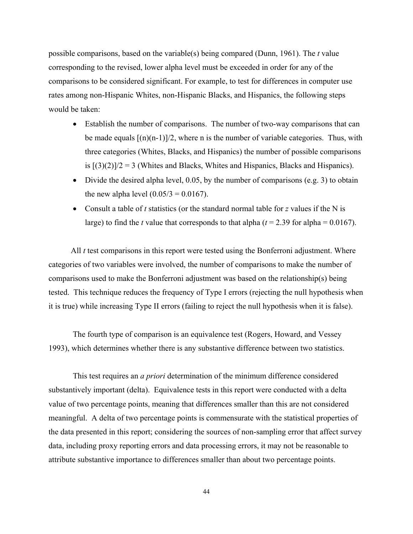possible comparisons, based on the variable(s) being compared (Dunn, 1961). The *t* value corresponding to the revised, lower alpha level must be exceeded in order for any of the comparisons to be considered significant. For example, to test for differences in computer use rates among non-Hispanic Whites, non-Hispanic Blacks, and Hispanics, the following steps would be taken:

- Establish the number of comparisons. The number of two-way comparisons that can be made equals  $[(n)(n-1)]/2$ , where n is the number of variable categories. Thus, with three categories (Whites, Blacks, and Hispanics) the number of possible comparisons is  $[(3)(2)]/2 = 3$  (Whites and Blacks, Whites and Hispanics, Blacks and Hispanics).
- Divide the desired alpha level,  $0.05$ , by the number of comparisons (e.g. 3) to obtain the new alpha level  $(0.05/3 = 0.0167)$ .
- Consult a table of *t* statistics (or the standard normal table for *z* values if the N is large) to find the *t* value that corresponds to that alpha ( $t = 2.39$  for alpha = 0.0167).

All *t* test comparisons in this report were tested using the Bonferroni adjustment. Where categories of two variables were involved, the number of comparisons to make the number of comparisons used to make the Bonferroni adjustment was based on the relationship(s) being tested. This technique reduces the frequency of Type I errors (rejecting the null hypothesis when it is true) while increasing Type II errors (failing to reject the null hypothesis when it is false).

The fourth type of comparison is an equivalence test (Rogers, Howard, and Vessey 1993), which determines whether there is any substantive difference between two statistics.

This test requires an *a priori* determination of the minimum difference considered substantively important (delta). Equivalence tests in this report were conducted with a delta value of two percentage points, meaning that differences smaller than this are not considered meaningful. A delta of two percentage points is commensurate with the statistical properties of the data presented in this report; considering the sources of non-sampling error that affect survey data, including proxy reporting errors and data processing errors, it may not be reasonable to attribute substantive importance to differences smaller than about two percentage points.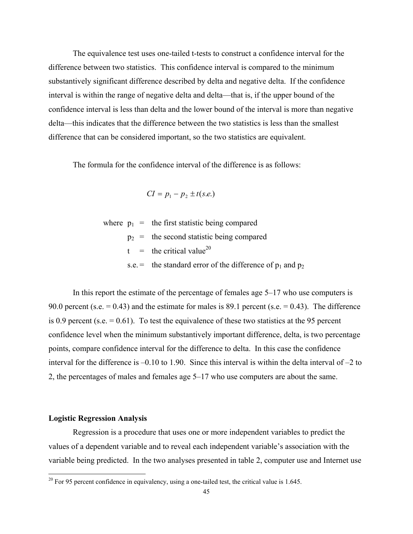The equivalence test uses one-tailed t-tests to construct a confidence interval for the difference between two statistics. This confidence interval is compared to the minimum substantively significant difference described by delta and negative delta. If the confidence interval is within the range of negative delta and delta—that is, if the upper bound of the confidence interval is less than delta and the lower bound of the interval is more than negative delta—this indicates that the difference between the two statistics is less than the smallest difference that can be considered important, so the two statistics are equivalent.

The formula for the confidence interval of the difference is as follows:

$$
CI = p_1 - p_2 \pm t(s.e.)
$$

where  $p_1$  = the first statistic being compared  $p_2$  = the second statistic being compared t = the critical value<sup>20</sup> s.e. = the standard error of the difference of  $p_1$  and  $p_2$ 

In this report the estimate of the percentage of females age 5–17 who use computers is 90.0 percent (s.e.  $= 0.43$ ) and the estimate for males is 89.1 percent (s.e.  $= 0.43$ ). The difference is 0.9 percent (s.e.  $= 0.61$ ). To test the equivalence of these two statistics at the 95 percent confidence level when the minimum substantively important difference, delta, is two percentage points, compare confidence interval for the difference to delta. In this case the confidence interval for the difference is  $-0.10$  to 1.90. Since this interval is within the delta interval of  $-2$  to 2, the percentages of males and females age 5–17 who use computers are about the same.

#### **Logistic Regression Analysis**

<u>.</u>

Regression is a procedure that uses one or more independent variables to predict the values of a dependent variable and to reveal each independent variable's association with the variable being predicted. In the two analyses presented in table 2, computer use and Internet use

<span id="page-55-0"></span><sup>&</sup>lt;sup>20</sup> For 95 percent confidence in equivalency, using a one-tailed test, the critical value is 1.645.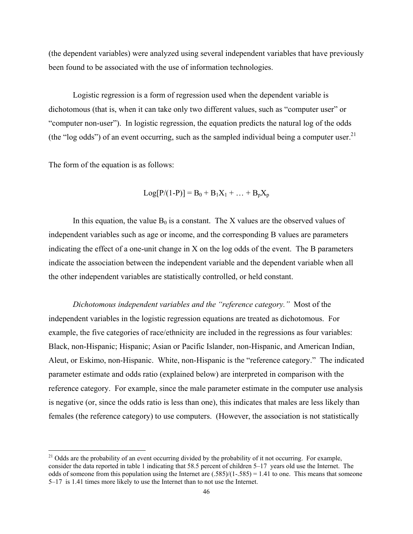(the dependent variables) were analyzed using several independent variables that have previously been found to be associated with the use of information technologies.

Logistic regression is a form of regression used when the dependent variable is dichotomous (that is, when it can take only two different values, such as "computer user" or "computer non-user"). In logistic regression, the equation predicts the natural log of the odds (the "log odds") of an event occurring, such as the sampled individual being a computer user.<sup>21</sup>

The form of the equation is as follows:

<u>.</u>

$$
Log[P/(1-P)] = B_0 + B_1X_1 + ... + B_pX_p
$$

In this equation, the value  $B_0$  is a constant. The X values are the observed values of independent variables such as age or income, and the corresponding B values are parameters indicating the effect of a one-unit change in X on the log odds of the event. The B parameters indicate the association between the independent variable and the dependent variable when all the other independent variables are statistically controlled, or held constant.

*Dichotomous independent variables and the "reference category."* Most of the independent variables in the logistic regression equations are treated as dichotomous. For example, the five categories of race/ethnicity are included in the regressions as four variables: Black, non-Hispanic; Hispanic; Asian or Pacific Islander, non-Hispanic, and American Indian, Aleut, or Eskimo, non-Hispanic. White, non-Hispanic is the "reference category." The indicated parameter estimate and odds ratio (explained below) are interpreted in comparison with the reference category. For example, since the male parameter estimate in the computer use analysis is negative (or, since the odds ratio is less than one), this indicates that males are less likely than females (the reference category) to use computers. (However, the association is not statistically

<span id="page-56-0"></span><sup>&</sup>lt;sup>21</sup> Odds are the probability of an event occurring divided by the probability of it not occurring. For example, consider the data reported in table 1 indicating that 58.5 percent of children 5–17 years old use the Internet. The odds of someone from this population using the Internet are  $(.585)/(1-.585) = 1.41$  to one. This means that someone 5–17 is 1.41 times more likely to use the Internet than to not use the Internet.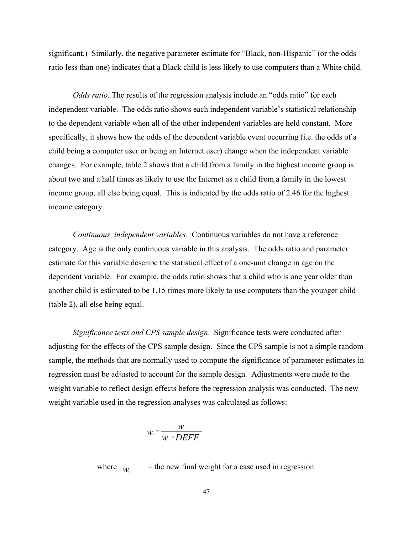significant.) Similarly, the negative parameter estimate for "Black, non-Hispanic" (or the odds ratio less than one) indicates that a Black child is less likely to use computers than a White child.

*Odds ratio*. The results of the regression analysis include an "odds ratio" for each independent variable. The odds ratio shows each independent variable's statistical relationship to the dependent variable when all of the other independent variables are held constant. More specifically, it shows how the odds of the dependent variable event occurring (i.e. the odds of a child being a computer user or being an Internet user) change when the independent variable changes. For example, table 2 shows that a child from a family in the highest income group is about two and a half times as likely to use the Internet as a child from a family in the lowest income group, all else being equal. This is indicated by the odds ratio of 2.46 for the highest income category.

*Continuous independent variables*. Continuous variables do not have a reference category. Age is the only continuous variable in this analysis. The odds ratio and parameter estimate for this variable describe the statistical effect of a one-unit change in age on the dependent variable. For example, the odds ratio shows that a child who is one year older than another child is estimated to be 1.15 times more likely to use computers than the younger child (table 2), all else being equal.

*Significance tests and CPS sample design*. Significance tests were conducted after adjusting for the effects of the CPS sample design. Since the CPS sample is not a simple random sample, the methods that are normally used to compute the significance of parameter estimates in regression must be adjusted to account for the sample design. Adjustments were made to the weight variable to reflect design effects before the regression analysis was conducted. The new weight variable used in the regression analyses was calculated as follows:

$$
w_n = \frac{w}{\overline{w} \times DEFF}
$$

where  $w =$  the new final weight for a case used in regression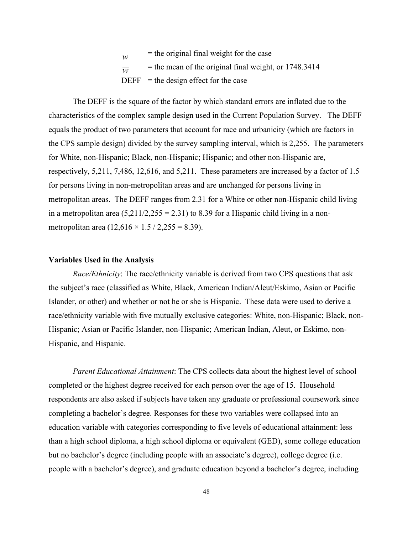$w =$  the original final weight for the case  $\overline{w}$  = the mean of the original final weight, or 1748.3414  $DEF$  = the design effect for the case

The DEFF is the square of the factor by which standard errors are inflated due to the characteristics of the complex sample design used in the Current Population Survey. The DEFF equals the product of two parameters that account for race and urbanicity (which are factors in the CPS sample design) divided by the survey sampling interval, which is 2,255. The parameters for White, non-Hispanic; Black, non-Hispanic; Hispanic; and other non-Hispanic are, respectively, 5,211, 7,486, 12,616, and 5,211. These parameters are increased by a factor of 1.5 for persons living in non-metropolitan areas and are unchanged for persons living in metropolitan areas. The DEFF ranges from 2.31 for a White or other non-Hispanic child living in a metropolitan area  $(5,211/2,255 = 2.31)$  to 8.39 for a Hispanic child living in a nonmetropolitan area  $(12,616 \times 1.5 / 2,255 = 8.39)$ .

#### **Variables Used in the Analysis**

*Race/Ethnicity*: The race/ethnicity variable is derived from two CPS questions that ask the subject's race (classified as White, Black, American Indian/Aleut/Eskimo, Asian or Pacific Islander, or other) and whether or not he or she is Hispanic. These data were used to derive a race/ethnicity variable with five mutually exclusive categories: White, non-Hispanic; Black, non-Hispanic; Asian or Pacific Islander, non-Hispanic; American Indian, Aleut, or Eskimo, non-Hispanic, and Hispanic.

*Parent Educational Attainment*: The CPS collects data about the highest level of school completed or the highest degree received for each person over the age of 15. Household respondents are also asked if subjects have taken any graduate or professional coursework since completing a bachelor's degree. Responses for these two variables were collapsed into an education variable with categories corresponding to five levels of educational attainment: less than a high school diploma, a high school diploma or equivalent (GED), some college education but no bachelor's degree (including people with an associate's degree), college degree (i.e. people with a bachelor's degree), and graduate education beyond a bachelor's degree, including

48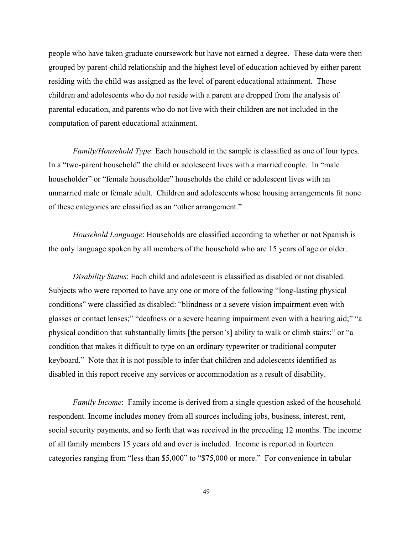people who have taken graduate coursework but have not earned a degree. These data were then grouped by parent-child relationship and the highest level of education achieved by either parent residing with the child was assigned as the level of parent educational attainment. Those children and adolescents who do not reside with a parent are dropped from the analysis of parental education, and parents who do not live with their children are not included in the computation of parent educational attainment.

*Family/Household Type*: Each household in the sample is classified as one of four types. In a "two-parent household" the child or adolescent lives with a married couple. In "male householder" or "female householder" households the child or adolescent lives with an unmarried male or female adult. Children and adolescents whose housing arrangements fit none of these categories are classified as an "other arrangement."

*Household Language*: Households are classified according to whether or not Spanish is the only language spoken by all members of the household who are 15 years of age or older.

*Disability Status*: Each child and adolescent is classified as disabled or not disabled. Subjects who were reported to have any one or more of the following "long-lasting physical conditions" were classified as disabled: "blindness or a severe vision impairment even with glasses or contact lenses;" "deafness or a severe hearing impairment even with a hearing aid;" "a physical condition that substantially limits [the person's] ability to walk or climb stairs;" or "a condition that makes it difficult to type on an ordinary typewriter or traditional computer keyboard." Note that it is not possible to infer that children and adolescents identified as disabled in this report receive any services or accommodation as a result of disability.

*Family Income*: Family income is derived from a single question asked of the household respondent. Income includes money from all sources including jobs, business, interest, rent, social security payments, and so forth that was received in the preceding 12 months. The income of all family members 15 years old and over is included. Income is reported in fourteen categories ranging from "less than \$5,000" to "\$75,000 or more." For convenience in tabular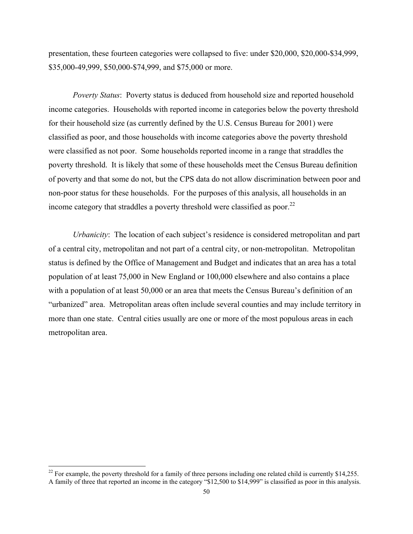presentation, these fourteen categories were collapsed to five: under \$20,000, \$20,000-\$34,999, \$35,000-49,999, \$50,000-\$74,999, and \$75,000 or more.

*Poverty Status*: Poverty status is deduced from household size and reported household income categories. Households with reported income in categories below the poverty threshold for their household size (as currently defined by the U.S. Census Bureau for 2001) were classified as poor, and those households with income categories above the poverty threshold were classified as not poor. Some households reported income in a range that straddles the poverty threshold. It is likely that some of these households meet the Census Bureau definition of poverty and that some do not, but the CPS data do not allow discrimination between poor and non-poor status for these households. For the purposes of this analysis, all households in an income category that straddles a poverty threshold were classified as poor.<sup>22</sup>

*Urbanicity*: The location of each subject's residence is considered metropolitan and part of a central city, metropolitan and not part of a central city, or non-metropolitan. Metropolitan status is defined by the Office of Management and Budget and indicates that an area has a total population of at least 75,000 in New England or 100,000 elsewhere and also contains a place with a population of at least 50,000 or an area that meets the Census Bureau's definition of an "urbanized" area. Metropolitan areas often include several counties and may include territory in more than one state. Central cities usually are one or more of the most populous areas in each metropolitan area.

 $\overline{a}$ 

<span id="page-60-0"></span> $22$  For example, the poverty threshold for a family of three persons including one related child is currently \$14,255. A family of three that reported an income in the category "\$12,500 to \$14,999" is classified as poor in this analysis.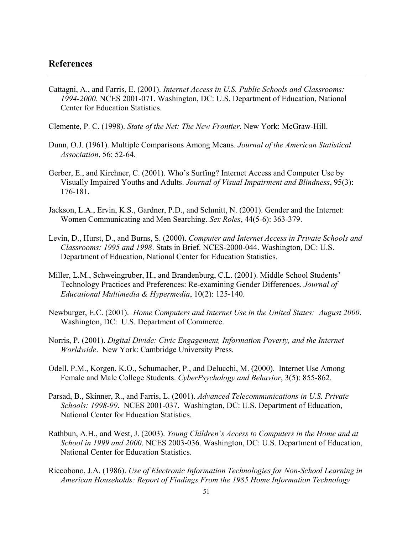# <span id="page-61-0"></span>**References**

Cattagni, A., and Farris, E. (2001). *Internet Access in U.S. Public Schools and Classrooms: 1994-2000*. NCES 2001-071. Washington, DC: U.S. Department of Education, National Center for Education Statistics.

Clemente, P. C. (1998). *State of the Net: The New Frontier*. New York: McGraw-Hill.

- Dunn, O.J. (1961). Multiple Comparisons Among Means. *Journal of the American Statistical Association*, 56: 52-64.
- Gerber, E., and Kirchner, C. (2001). Who's Surfing? Internet Access and Computer Use by Visually Impaired Youths and Adults. *Journal of Visual Impairment and Blindness*, 95(3): 176-181.
- Jackson, L.A., Ervin, K.S., Gardner, P.D., and Schmitt, N. (2001). Gender and the Internet: Women Communicating and Men Searching. *Sex Roles*, 44(5-6): 363-379.
- Levin, D., Hurst, D., and Burns, S. (2000). *Computer and Internet Access in Private Schools and Classrooms: 1995 and 1998*. Stats in Brief. NCES-2000-044. Washington, DC: U.S. Department of Education, National Center for Education Statistics.
- Miller, L.M., Schweingruber, H., and Brandenburg, C.L. (2001). Middle School Students' Technology Practices and Preferences: Re-examining Gender Differences. *Journal of Educational Multimedia & Hypermedia*, 10(2): 125-140.
- Newburger, E.C. (2001). *Home Computers and Internet Use in the United States: August 2000*. Washington, DC: U.S. Department of Commerce.
- Norris, P. (2001). *Digital Divide: Civic Engagement, Information Poverty, and the Internet Worldwide*. New York: Cambridge University Press.
- Odell, P.M., Korgen, K.O., Schumacher, P., and Delucchi, M. (2000). Internet Use Among Female and Male College Students. *CyberPsychology and Behavior*, 3(5): 855-862.
- Parsad, B., Skinner, R., and Farris, L. (2001). *Advanced Telecommunications in U.S. Private Schools: 1998-99*. NCES 2001-037. Washington, DC: U.S. Department of Education, National Center for Education Statistics.
- Rathbun, A.H., and West, J. (2003). *Young Children's Access to Computers in the Home and at School in 1999 and 2000*. NCES 2003-036. Washington, DC: U.S. Department of Education, National Center for Education Statistics.
- Riccobono, J.A. (1986). *Use of Electronic Information Technologies for Non-School Learning in American Households: Report of Findings From the 1985 Home Information Technology*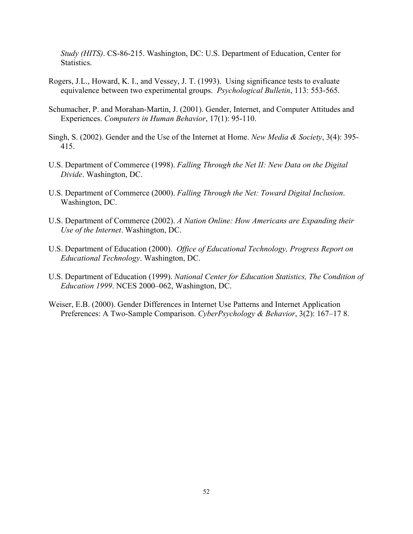*Study (HITS)*. CS-86-215. Washington, DC: U.S. Department of Education, Center for Statistics.

- Rogers, J.L., Howard, K. I., and Vessey, J. T. (1993). Using significance tests to evaluate equivalence between two experimental groups. *Psychological Bulletin*, 113: 553-565.
- Schumacher, P. and Morahan-Martin, J. (2001). Gender, Internet, and Computer Attitudes and Experiences. *Computers in Human Behavior*, 17(1): 95-110.
- Singh, S. (2002). Gender and the Use of the Internet at Home. *New Media & Society*, 3(4): 395- 415.
- U.S. Department of Commerce (1998). *Falling Through the Net II: New Data on the Digital Divide*. Washington, DC.
- U.S. Department of Commerce (2000). *Falling Through the Net: Toward Digital Inclusion*. Washington, DC.
- U.S. Department of Commerce (2002). *A Nation Online: How Americans are Expanding their Use of the Internet*. Washington, DC.
- U.S. Department of Education (2000). *Office of Educational Technology, Progress Report on Educational Technology*. Washington, DC.
- U.S. Department of Education (1999). *National Center for Education Statistics, The Condition of Education 1999*. NCES 2000–062, Washington, DC.
- Weiser, E.B. (2000). Gender Differences in Internet Use Patterns and Internet Application Preferences: A Two-Sample Comparison. *CyberPsychology & Behavior*, 3(2): 167–17 8.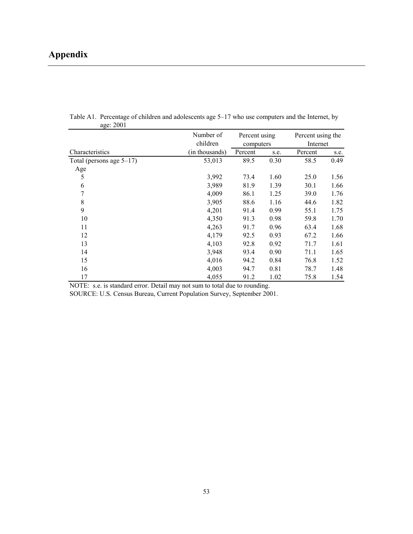|                             | Number of<br>children | Percent using<br>computers |      | Percent using the<br>Internet |      |  |
|-----------------------------|-----------------------|----------------------------|------|-------------------------------|------|--|
| Characteristics             | (in thousands)        | Percent                    | s.e. | Percent                       | s.e. |  |
| Total (persons age $5-17$ ) | 53,013                | 89.5                       | 0.30 | 58.5                          | 0.49 |  |
| Age                         |                       |                            |      |                               |      |  |
| 5                           | 3,992                 | 73.4                       | 1.60 | 25.0                          | 1.56 |  |
| 6                           | 3,989                 | 81.9                       | 1.39 | 30.1                          | 1.66 |  |
| 7                           | 4,009                 | 86.1                       | 1.25 | 39.0                          | 1.76 |  |
| 8                           | 3,905                 | 88.6                       | 1.16 | 44.6                          | 1.82 |  |
| 9                           | 4,201                 | 91.4                       | 0.99 | 55.1                          | 1.75 |  |
| 10                          | 4,350                 | 91.3                       | 0.98 | 59.8                          | 1.70 |  |
| 11                          | 4,263                 | 91.7                       | 0.96 | 63.4                          | 1.68 |  |
| 12                          | 4,179                 | 92.5                       | 0.93 | 67.2                          | 1.66 |  |
| 13                          | 4,103                 | 92.8                       | 0.92 | 71.7                          | 1.61 |  |
| 14                          | 3,948                 | 93.4                       | 0.90 | 71.1                          | 1.65 |  |
| 15                          | 4,016                 | 94.2                       | 0.84 | 76.8                          | 1.52 |  |
| 16                          | 4,003                 | 94.7                       | 0.81 | 78.7                          | 1.48 |  |
| 17                          | 4,055                 | 91.2                       | 1.02 | 75.8                          | 1.54 |  |

 age: 2001 Table A1. Percentage of children and adolescents age 5–17 who use computers and the Internet, by

NOTE: s.e. is standard error. Detail may not sum to total due to rounding.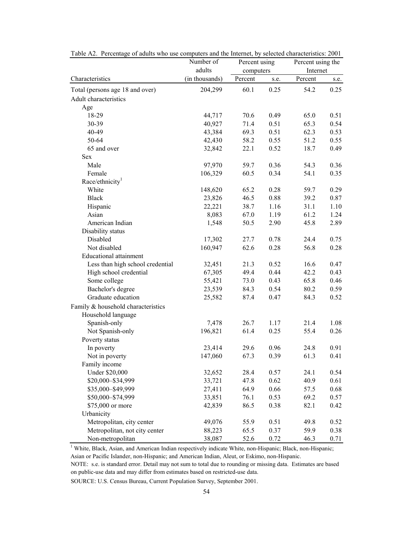|                                    | Number of      | Percent using |      | Percent using the<br>Internet |      |  |
|------------------------------------|----------------|---------------|------|-------------------------------|------|--|
|                                    | adults         | computers     |      |                               |      |  |
| Characteristics                    | (in thousands) | Percent       | s.e. | Percent                       | s.e. |  |
| Total (persons age 18 and over)    | 204,299        | 60.1          | 0.25 | 54.2                          | 0.25 |  |
| Adult characteristics              |                |               |      |                               |      |  |
| Age                                |                |               |      |                               |      |  |
| 18-29                              | 44,717         | 70.6          | 0.49 | 65.0                          | 0.51 |  |
| 30-39                              | 40,927         | 71.4          | 0.51 | 65.3                          | 0.54 |  |
| 40-49                              | 43,384         | 69.3          | 0.51 | 62.3                          | 0.53 |  |
| 50-64                              | 42,430         | 58.2          | 0.55 | 51.2                          | 0.55 |  |
| 65 and over                        | 32,842         | 22.1          | 0.52 | 18.7                          | 0.49 |  |
| Sex                                |                |               |      |                               |      |  |
| Male                               | 97,970         | 59.7          | 0.36 | 54.3                          | 0.36 |  |
| Female                             | 106,329        | 60.5          | 0.34 | 54.1                          | 0.35 |  |
| Race/ethnicity <sup>1</sup>        |                |               |      |                               |      |  |
| White                              | 148,620        | 65.2          | 0.28 | 59.7                          | 0.29 |  |
| <b>Black</b>                       | 23,826         | 46.5          | 0.88 | 39.2                          | 0.87 |  |
| Hispanic                           | 22,221         | 38.7          | 1.16 | 31.1                          | 1.10 |  |
| Asian                              | 8,083          | 67.0          | 1.19 | 61.2                          | 1.24 |  |
| American Indian                    | 1,548          | 50.5          | 2.90 | 45.8                          | 2.89 |  |
| Disability status                  |                |               |      |                               |      |  |
| Disabled                           | 17,302         | 27.7          | 0.78 | 24.4                          | 0.75 |  |
| Not disabled                       | 160,947        | 62.6          | 0.28 | 56.8                          | 0.28 |  |
| <b>Educational attainment</b>      |                |               |      |                               |      |  |
| Less than high school credential   | 32,451         | 21.3          | 0.52 | 16.6                          | 0.47 |  |
| High school credential             | 67,305         | 49.4          | 0.44 | 42.2                          | 0.43 |  |
| Some college                       | 55,421         | 73.0          | 0.43 | 65.8                          | 0.46 |  |
| Bachelor's degree                  | 23,539         | 84.3          | 0.54 | 80.2                          | 0.59 |  |
| Graduate education                 | 25,582         | 87.4          | 0.47 | 84.3                          | 0.52 |  |
| Family & household characteristics |                |               |      |                               |      |  |
| Household language                 |                |               |      |                               |      |  |
| Spanish-only                       | 7,478          | 26.7          | 1.17 | 21.4                          | 1.08 |  |
| Not Spanish-only                   | 196,821        | 61.4          | 0.25 | 55.4                          | 0.26 |  |
| Poverty status                     |                |               |      |                               |      |  |
| In poverty                         | 23,414         | 29.6          | 0.96 | 24.8                          | 0.91 |  |
| Not in poverty                     | 147,060        | 67.3          | 0.39 | 61.3                          | 0.41 |  |
| Family income                      |                |               |      |                               |      |  |
| <b>Under \$20,000</b>              | 32,652         | 28.4          | 0.57 | 24.1                          | 0.54 |  |
| \$20,000-\$34,999                  | 33,721         | 47.8          | 0.62 | 40.9                          | 0.61 |  |
| \$35,000-\$49,999                  | 27,411         | 64.9          | 0.66 | 57.5                          | 0.68 |  |
| \$50,000-\$74,999                  | 33,851         | 76.1          | 0.53 | 69.2                          | 0.57 |  |
| \$75,000 or more                   | 42,839         | 86.5          | 0.38 | 82.1                          | 0.42 |  |
| Urbanicity                         |                |               |      |                               |      |  |
| Metropolitan, city center          | 49,076         | 55.9          | 0.51 | 49.8                          | 0.52 |  |
| Metropolitan, not city center      | 88,223         | 65.5          | 0.37 | 59.9                          | 0.38 |  |
| Non-metropolitan                   | 38,087         | 52.6          | 0.72 | 46.3                          | 0.71 |  |

Table A2. Percentage of adults who use computers and the Internet, by selected characteristics: 2001

<sup>1</sup> White, Black, Asian, and American Indian respectively indicate White, non-Hispanic; Black, non-Hispanic; Asian or Pacific Islander, non-Hispanic; and American Indian, Aleut, or Eskimo, non-Hispanic.

NOTE: s.e. is standard error. Detail may not sum to total due to rounding or missing data. Estimates are based on public-use data and may differ from estimates based on restricted-use data.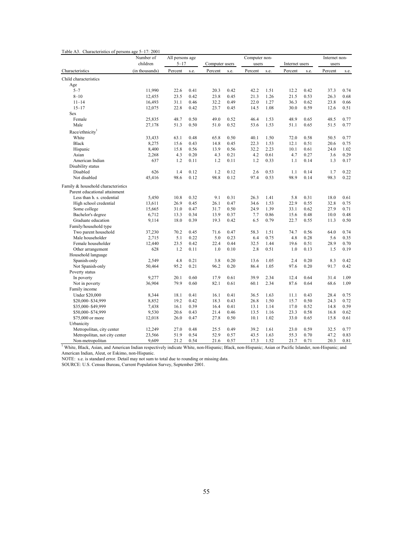|                                    | Number of<br>children | All persons age<br>$5 - 17$ |      | Computer users |      | Computer non-<br>users |      | Internet users |      | Internet non-<br>users |      |
|------------------------------------|-----------------------|-----------------------------|------|----------------|------|------------------------|------|----------------|------|------------------------|------|
| Characteristics                    | (in thousands)        | Percent                     | s.e. | Percent        | s.e. | Percent                | s.e. | Percent        | s.e. | Percent                | s.e. |
| Child characteristics              |                       |                             |      |                |      |                        |      |                |      |                        |      |
| Age                                |                       |                             |      |                |      |                        |      |                |      |                        |      |
| $5 - 7$                            | 11.990                | 22.6                        | 0.41 | 20.3           | 0.42 | 42.2                   | 1.51 | 12.2           | 0.42 | 37.3                   | 0.74 |
| $8 - 10$                           | 12,455                | 23.5                        | 0.42 | 23.8           | 0.45 | 21.3                   | 1.26 | 21.5           | 0.53 | 26.3                   | 0.68 |
| $11 - 14$                          | 16,493                | 31.1                        | 0.46 | 32.2           | 0.49 | 22.0                   | 1.27 | 36.3           | 0.62 | 23.8                   | 0.66 |
| $15 - 17$                          | 12,075                | 22.8                        | 0.42 | 23.7           | 0.45 | 14.5                   | 1.08 | 30.0           | 0.59 | 12.6                   | 0.51 |
| Sex                                |                       |                             |      |                |      |                        |      |                |      |                        |      |
| Female                             | 25,835                | 48.7                        | 0.50 | 49.0           | 0.52 | 46.4                   | 1.53 | 48.9           | 0.65 | 48.5                   | 0.77 |
| Male                               | 27,178                | 51.3                        | 0.50 | 51.0           | 0.52 | 53.6                   | 1.53 | 51.1           | 0.65 | 51.5                   | 0.77 |
| Race/ethnicity <sup>1</sup>        |                       |                             |      |                |      |                        |      |                |      |                        |      |
| White                              | 33,433                | 63.1                        | 0.48 | 65.8           | 0.50 | 40.1                   | 1.50 | 72.0           | 0.58 | 50.5                   | 0.77 |
| <b>Black</b>                       | 8,275                 | 15.6                        | 0.43 | 14.8           | 0.45 | 22.3                   | 1.53 | 12.1           | 0.51 | 20.6                   | 0.75 |
| Hispanic                           | 8,400                 | 15.8                        | 0.56 | 13.9           | 0.56 | 32.2                   | 2.23 | 10.1           | 0.61 | 24.0                   | 1.02 |
| Asian                              | 2,268                 | 4.3                         | 0.20 | 4.3            | 0.21 | 4.2                    | 0.61 | 4.7            | 0.27 | 3.6                    | 0.29 |
| American Indian                    | 637                   | 1.2                         | 0.11 | 1.2            | 0.11 | 1.2                    | 0.33 | 1.1            | 0.14 | 1.3                    | 0.17 |
| Disability status                  |                       |                             |      |                |      |                        |      |                |      |                        |      |
| Disabled                           | 626                   | 1.4                         | 0.12 | 1.2            | 0.12 | 2.6                    | 0.53 | 1.1            | 0.14 | 1.7                    | 0.22 |
| Not disabled                       | 45,416                | 98.6                        | 0.12 | 98.8           | 0.12 | 97.4                   | 0.53 | 98.9           | 0.14 | 98.3                   | 0.22 |
|                                    |                       |                             |      |                |      |                        |      |                |      |                        |      |
| Family & household characteristics |                       |                             |      |                |      |                        |      |                |      |                        |      |
| Parent educational attainment      |                       |                             |      |                |      |                        |      |                |      |                        |      |
| Less than h. s. credential         | 5,450                 | 10.8                        | 0.32 | 9.1            | 0.31 | 26.3                   | 1.41 | 5.8            | 0.31 | 18.0                   | 0.61 |
| High school credential             | 13,611                | 26.9                        | 0.45 | 26.1           | 0.47 | 34.6                   | 1.53 | 22.9           | 0.55 | 32.8                   | 0.75 |
| Some college                       | 15,665                | 31.0                        | 0.47 | 31.7           | 0.50 | 24.9                   | 1.39 | 33.1           | 0.62 | 27.9                   | 0.71 |
| Bachelor's degree                  | 6,712                 | 13.3                        | 0.34 | 13.9           | 0.37 | 7.7                    | 0.86 | 15.6           | 0.48 | 10.0                   | 0.48 |
| Graduate education                 | 9,114                 | 18.0                        | 0.39 | 19.3           | 0.42 | 6.5                    | 0.79 | 22.7           | 0.55 | 11.3                   | 0.50 |
| Family/household type              |                       |                             |      |                |      |                        |      |                |      |                        |      |
| Two parent household               | 37,230                | 70.2                        | 0.45 | 71.6           | 0.47 | 58.3                   | 1.51 | 74.7           | 0.56 | 64.0                   | 0.74 |
| Male householder                   | 2,715                 | 5.1                         | 0.22 | 5.0            | 0.23 | 6.4                    | 0.75 | 4.8            | 0.28 | 5.6                    | 0.35 |
| Female householder                 | 12,440                | 23.5                        | 0.42 | 22.4           | 0.44 | 32.5                   | 1.44 | 19.6           | 0.51 | 28.9                   | 0.70 |
| Other arrangement                  | 628                   | 1.2                         | 0.11 | 1.0            | 0.10 | 2.8                    | 0.51 | 1.0            | 0.13 | 1.5                    | 0.19 |
| Household language                 |                       |                             |      |                |      |                        |      |                |      |                        |      |
| Spanish-only                       | 2,549                 | 4.8                         | 0.21 | 3.8            | 0.20 | 13.6                   | 1.05 | 2.4            | 0.20 | 8.3                    | 0.42 |
| Not Spanish-only                   | 50,464                | 95.2                        | 0.21 | 96.2           | 0.20 | 86.4                   | 1.05 | 97.6           | 0.20 | 91.7                   | 0.42 |
| Poverty status                     |                       |                             |      |                |      |                        |      |                |      |                        |      |
| In poverty                         | 9,277                 | 20.1                        | 0.60 | 17.9           | 0.61 | 39.9                   | 2.34 | 12.4           | 0.64 | 31.4                   | 1.09 |
| Not in poverty                     | 36,904                | 79.9                        | 0.60 | 82.1           | 0.61 | 60.1                   | 2.34 | 87.6           | 0.64 | 68.6                   | 1.09 |
| Family income                      |                       |                             |      |                |      |                        |      |                |      |                        |      |
| <b>Under \$20,000</b>              | 8,344                 | 18.1                        | 0.41 | 16.1           | 0.41 | 36.5                   | 1.63 | 11.1           | 0.43 | 28.4                   | 0.75 |
| \$20,000-\$34,999                  | 8,852                 | 19.2                        | 0.42 | 18.3           | 0.43 | 26.8                   | 1.50 | 15.7           | 0.50 | 24.3                   | 0.72 |
| \$35,000-\$49,999                  | 7,438                 | 16.1                        | 0.39 | 16.4           | 0.41 | 13.1                   | 1.14 | 17.0           | 0.52 | 14.8                   | 0.59 |
| \$50,000-\$74,999                  | 9,530                 | 20.6                        | 0.43 | 21.4           | 0.46 | 13.5                   | 1.16 | 23.3           | 0.58 | 16.8                   | 0.62 |
| \$75,000 or more                   | 12,018                | 26.0                        | 0.47 | 27.8           | 0.50 | 10.1                   | 1.02 | 33.0           | 0.65 | 15.8                   | 0.61 |
| Urbanicity                         |                       |                             |      |                |      |                        |      |                |      |                        |      |
| Metropolitan, city center          | 12,249                | 27.0                        | 0.48 | 25.5           | 0.49 | 39.2                   | 1.61 | 23.0           | 0.59 | 32.5                   | 0.77 |
| Metropolitan, not city center      | 23,566                | 51.9                        | 0.54 | 52.9           | 0.57 | 43.5                   | 1.63 | 55.3           | 0.70 | 47.2                   | 0.83 |
| Non-metropolitan                   | 9,609                 | 21.2                        | 0.54 | 21.6           | 0.57 | 17.3                   | 1.52 | 21.7           | 0.71 | 20.3                   | 0.81 |

<sup>1</sup> White, Black, Asian, and American Indian respectively indicate White, non-Hispanic; Black, non-Hispanic; Asian or Pacific Islander, non-Hispanic; and American Indian, Aleut, or Eskimo, non-Hispanic.

NOTE: s.e. is standard error. Detail may not sum to total due to rounding or missing data.